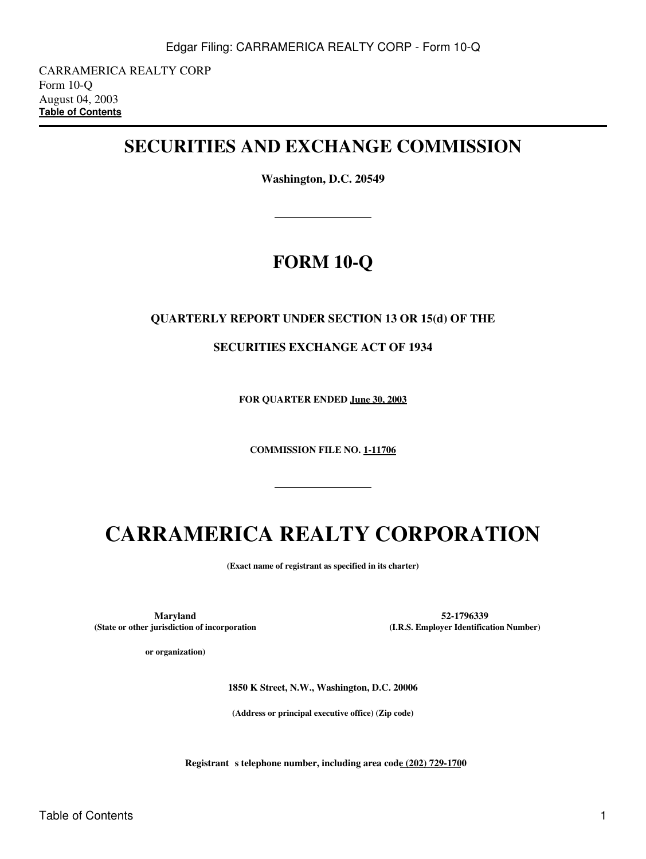CARRAMERICA REALTY CORP Form 10-Q August 04, 2003 **[Table of Contents](#page-2-0)**

# **SECURITIES AND EXCHANGE COMMISSION**

**Washington, D.C. 20549**

# **FORM 10-Q**

### **QUARTERLY REPORT UNDER SECTION 13 OR 15(d) OF THE**

**SECURITIES EXCHANGE ACT OF 1934**

**FOR QUARTER ENDED June 30, 2003**

**COMMISSION FILE NO. 1-11706**

# **CARRAMERICA REALTY CORPORATION**

**(Exact name of registrant as specified in its charter)**

**Maryland 52-1796339 (State or other jurisdiction of incorporation**

**or organization)**

**(I.R.S. Employer Identification Number)**

**1850 K Street, N.W., Washington, D.C. 20006**

**(Address or principal executive office) (Zip code)**

**Registrant** s telephone number, including area code (202) 729-1700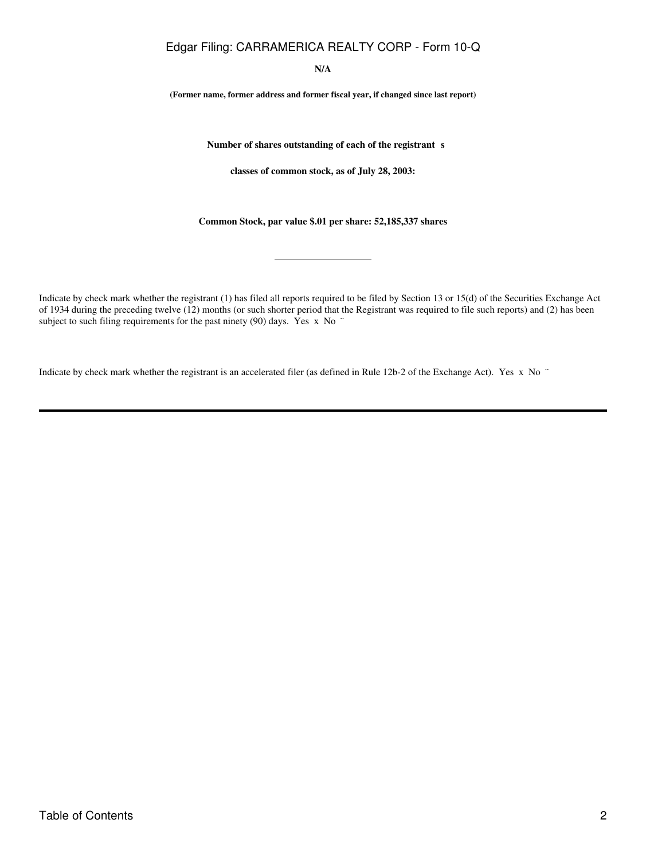**N/A**

**(Former name, former address and former fiscal year, if changed since last report)**

Number of shares outstanding of each of the registrant s

**classes of common stock, as of July 28, 2003:**

**Common Stock, par value \$.01 per share: 52,185,337 shares**

Indicate by check mark whether the registrant (1) has filed all reports required to be filed by Section 13 or 15(d) of the Securities Exchange Act of 1934 during the preceding twelve (12) months (or such shorter period that the Registrant was required to file such reports) and (2) has been subject to such filing requirements for the past ninety (90) days. Yes x No "

Indicate by check mark whether the registrant is an accelerated filer (as defined in Rule 12b-2 of the Exchange Act). Yes x No ¨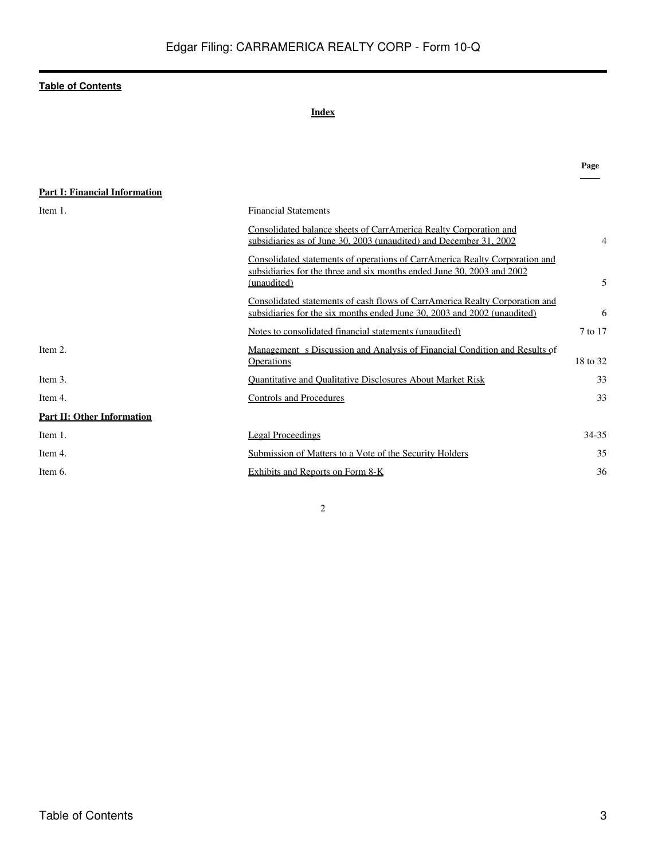#### **Index**

<span id="page-2-0"></span>

|                                      |                                                                                                                                                                      | Page     |
|--------------------------------------|----------------------------------------------------------------------------------------------------------------------------------------------------------------------|----------|
| <b>Part I: Financial Information</b> |                                                                                                                                                                      |          |
| Item 1.                              | <b>Financial Statements</b>                                                                                                                                          |          |
|                                      | Consolidated balance sheets of CarrAmerica Realty Corporation and<br>subsidiaries as of June 30, 2003 (unaudited) and December 31, 2002                              | 4        |
|                                      | Consolidated statements of operations of CarrAmerica Realty Corporation and<br>subsidiaries for the three and six months ended June 30, 2003 and 2002<br>(unaudited) | 5        |
|                                      | Consolidated statements of cash flows of CarrAmerica Realty Corporation and<br>subsidiaries for the six months ended June 30, 2003 and 2002 (unaudited)              | 6        |
|                                      | Notes to consolidated financial statements (unaudited)                                                                                                               | 7 to 17  |
| Item 2.                              | Management s Discussion and Analysis of Financial Condition and Results of<br>Operations                                                                             | 18 to 32 |
| Item 3.                              | <b>Quantitative and Qualitative Disclosures About Market Risk</b>                                                                                                    | 33       |
| Item 4.                              | <b>Controls and Procedures</b>                                                                                                                                       | 33       |
| <b>Part II: Other Information</b>    |                                                                                                                                                                      |          |
| Item 1.                              | <b>Legal Proceedings</b>                                                                                                                                             | 34-35    |
| Item 4.                              | Submission of Matters to a Vote of the Security Holders                                                                                                              | 35       |
| Item 6.                              | Exhibits and Reports on Form 8-K                                                                                                                                     | 36       |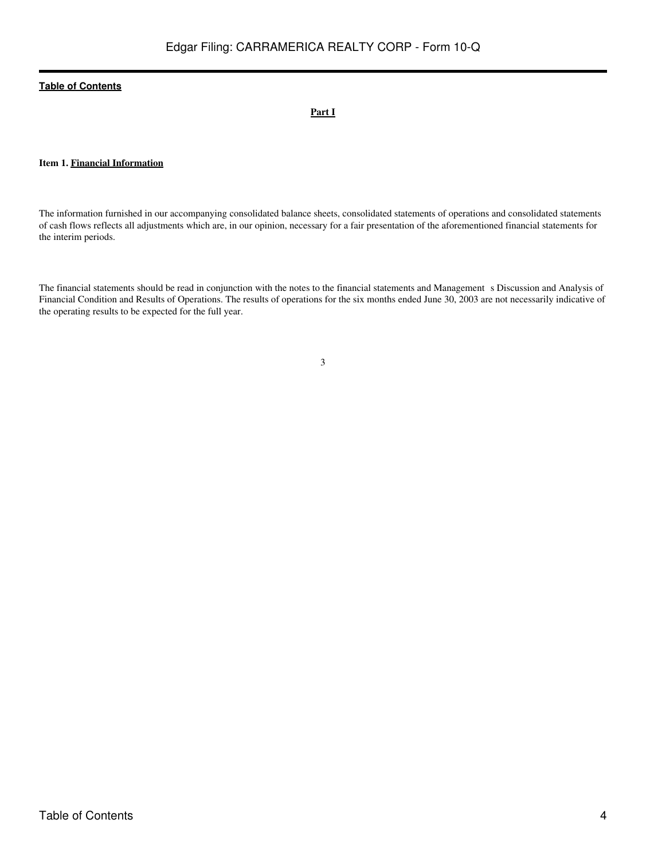#### **Part I**

#### **Item 1. Financial Information**

The information furnished in our accompanying consolidated balance sheets, consolidated statements of operations and consolidated statements of cash flows reflects all adjustments which are, in our opinion, necessary for a fair presentation of the aforementioned financial statements for the interim periods.

The financial statements should be read in conjunction with the notes to the financial statements and Management s Discussion and Analysis of Financial Condition and Results of Operations. The results of operations for the six months ended June 30, 2003 are not necessarily indicative of the operating results to be expected for the full year.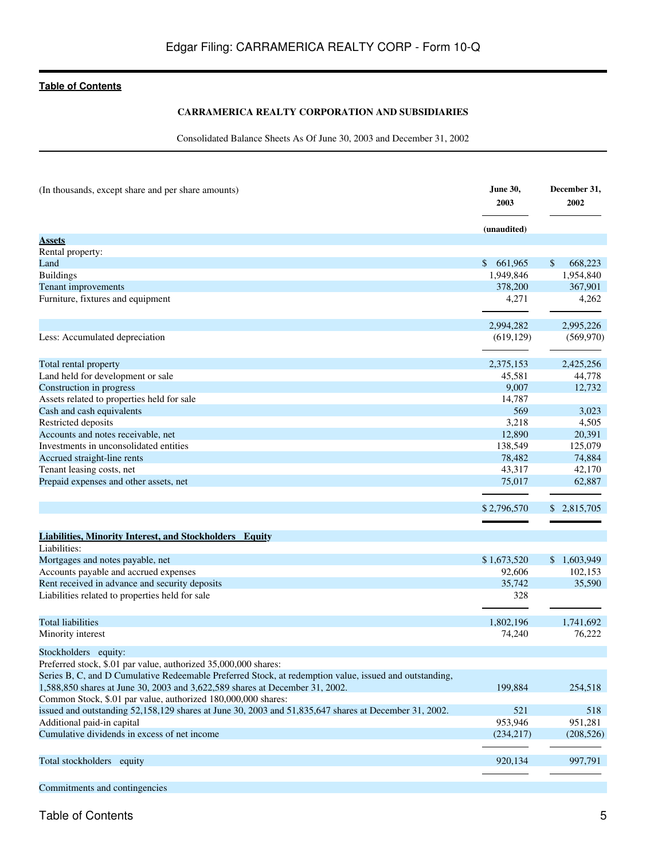#### **CARRAMERICA REALTY CORPORATION AND SUBSIDIARIES**

Consolidated Balance Sheets As Of June 30, 2003 and December 31, 2002

<span id="page-4-0"></span>

| (In thousands, except share and per share amounts)                                                     | <b>June 30,</b><br>2003 | December 31,<br>2002      |
|--------------------------------------------------------------------------------------------------------|-------------------------|---------------------------|
|                                                                                                        | (unaudited)             |                           |
| <b>Assets</b>                                                                                          |                         |                           |
| Rental property:                                                                                       |                         |                           |
| Land                                                                                                   | \$661,965               | \$<br>668,223             |
| <b>Buildings</b>                                                                                       | 1,949,846               | 1,954,840                 |
| Tenant improvements                                                                                    | 378,200                 | 367,901                   |
| Furniture, fixtures and equipment                                                                      | 4,271                   | 4,262                     |
|                                                                                                        | 2,994,282               | 2,995,226                 |
| Less: Accumulated depreciation                                                                         | (619, 129)              | (569, 970)                |
| Total rental property                                                                                  | 2,375,153               | 2,425,256                 |
| Land held for development or sale                                                                      | 45,581                  | 44,778                    |
| Construction in progress                                                                               | 9,007                   | 12,732                    |
| Assets related to properties held for sale                                                             | 14,787                  |                           |
| Cash and cash equivalents                                                                              | 569                     | 3.023                     |
| Restricted deposits                                                                                    | 3,218                   | 4,505                     |
| Accounts and notes receivable, net                                                                     | 12,890                  | 20,391                    |
| Investments in unconsolidated entities                                                                 | 138,549                 | 125,079                   |
| Accrued straight-line rents                                                                            | 78,482                  | 74,884                    |
| Tenant leasing costs, net                                                                              | 43,317                  | 42,170                    |
| Prepaid expenses and other assets, net                                                                 | 75,017                  | 62,887                    |
|                                                                                                        |                         |                           |
|                                                                                                        | \$2,796,570             | \$ 2,815,705              |
|                                                                                                        |                         |                           |
| <b>Liabilities, Minority Interest, and Stockholders Equity</b><br>Liabilities:                         |                         |                           |
| Mortgages and notes payable, net                                                                       | \$1,673,520             | $\mathbb{S}$<br>1,603,949 |
| Accounts payable and accrued expenses                                                                  | 92,606                  | 102,153                   |
| Rent received in advance and security deposits                                                         | 35,742                  | 35,590                    |
| Liabilities related to properties held for sale                                                        | 328                     |                           |
|                                                                                                        |                         |                           |
| <b>Total liabilities</b>                                                                               | 1,802,196               | 1,741,692                 |
| Minority interest                                                                                      | 74,240                  | 76,222                    |
| Stockholders equity:                                                                                   |                         |                           |
| Preferred stock, \$.01 par value, authorized 35,000,000 shares:                                        |                         |                           |
| Series B, C, and D Cumulative Redeemable Preferred Stock, at redemption value, issued and outstanding, |                         |                           |
| 1,588,850 shares at June 30, 2003 and 3,622,589 shares at December 31, 2002.                           | 199,884                 | 254,518                   |
| Common Stock, \$.01 par value, authorized 180,000,000 shares:                                          |                         |                           |
| issued and outstanding 52,158,129 shares at June 30, 2003 and 51,835,647 shares at December 31, 2002.  | 521                     | 518                       |
| Additional paid-in capital                                                                             | 953,946                 | 951,281                   |
| Cumulative dividends in excess of net income                                                           | (234, 217)              | (208, 526)                |
| Total stockholders equity                                                                              | 920,134                 | 997,791                   |
|                                                                                                        |                         |                           |
| Commitments and contingencies                                                                          |                         |                           |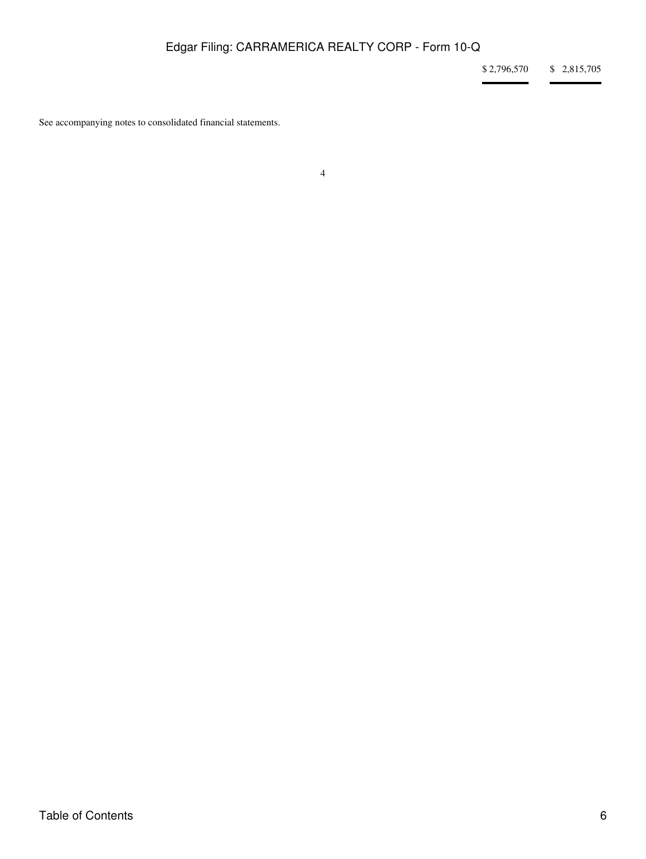\$ 2,796,570 \$ 2,815,705

÷.

See accompanying notes to consolidated financial statements.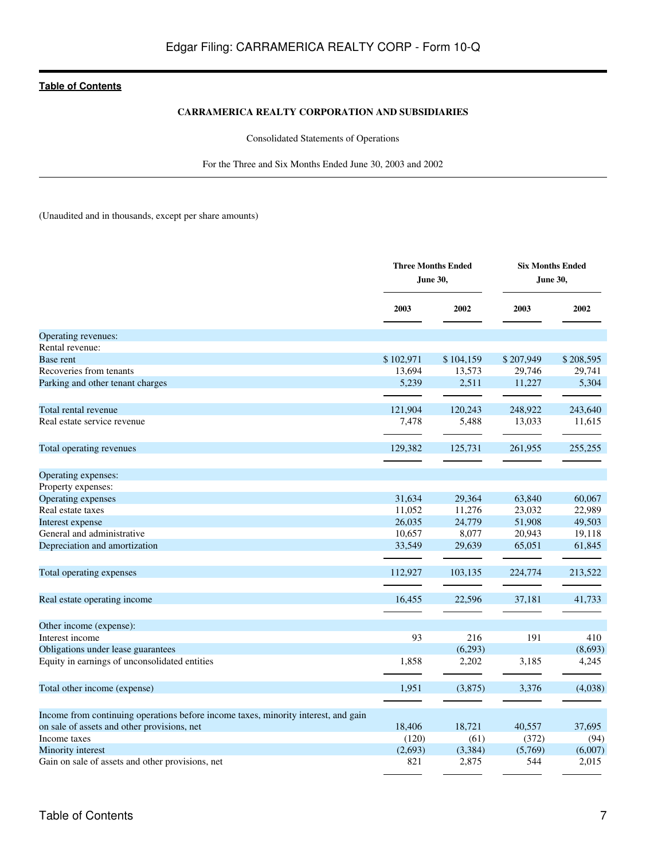#### **CARRAMERICA REALTY CORPORATION AND SUBSIDIARIES**

Consolidated Statements of Operations

For the Three and Six Months Ended June 30, 2003 and 2002

<span id="page-6-0"></span>(Unaudited and in thousands, except per share amounts)

|                                                                                    | <b>Three Months Ended</b><br>June 30, |           |           | <b>Six Months Ended</b><br>June 30, |  |
|------------------------------------------------------------------------------------|---------------------------------------|-----------|-----------|-------------------------------------|--|
|                                                                                    | 2003                                  | 2002      | 2003      | 2002                                |  |
| Operating revenues:                                                                |                                       |           |           |                                     |  |
| Rental revenue:                                                                    |                                       |           |           |                                     |  |
| Base rent                                                                          | \$102,971                             | \$104,159 | \$207,949 | \$208,595                           |  |
| Recoveries from tenants                                                            | 13,694                                | 13,573    | 29,746    | 29,741                              |  |
| Parking and other tenant charges                                                   | 5,239                                 | 2,511     | 11,227    | 5,304                               |  |
| Total rental revenue                                                               | 121,904                               | 120,243   | 248,922   | 243,640                             |  |
| Real estate service revenue                                                        | 7,478                                 | 5,488     | 13,033    | 11,615                              |  |
| Total operating revenues                                                           | 129,382                               | 125,731   | 261,955   | 255,255                             |  |
| Operating expenses:                                                                |                                       |           |           |                                     |  |
| Property expenses:                                                                 |                                       |           |           |                                     |  |
| Operating expenses                                                                 | 31,634                                | 29,364    | 63,840    | 60,067                              |  |
| Real estate taxes                                                                  | 11,052                                | 11,276    | 23,032    | 22,989                              |  |
| Interest expense                                                                   | 26,035                                | 24,779    | 51,908    | 49,503                              |  |
| General and administrative                                                         | 10,657                                | 8,077     | 20,943    | 19,118                              |  |
| Depreciation and amortization                                                      | 33,549                                | 29,639    | 65,051    | 61,845                              |  |
| Total operating expenses                                                           | 112,927                               | 103,135   | 224,774   | 213,522                             |  |
| Real estate operating income                                                       | 16,455                                | 22,596    | 37,181    | 41,733                              |  |
|                                                                                    |                                       |           |           |                                     |  |
| Other income (expense):                                                            |                                       |           |           |                                     |  |
| Interest income                                                                    | 93                                    | 216       | 191       | 410                                 |  |
| Obligations under lease guarantees                                                 |                                       | (6,293)   |           | (8,693)                             |  |
| Equity in earnings of unconsolidated entities                                      | 1,858                                 | 2,202     | 3,185     | 4,245                               |  |
| Total other income (expense)                                                       | 1,951                                 | (3,875)   | 3,376     | (4,038)                             |  |
| Income from continuing operations before income taxes, minority interest, and gain |                                       |           |           |                                     |  |
| on sale of assets and other provisions, net                                        | 18,406                                | 18,721    | 40,557    | 37,695                              |  |
| Income taxes                                                                       | (120)                                 | (61)      | (372)     | (94)                                |  |
| Minority interest                                                                  | (2,693)                               | (3,384)   | (5,769)   | (6,007)                             |  |
| Gain on sale of assets and other provisions, net                                   | 821                                   | 2,875     | 544       | 2,015                               |  |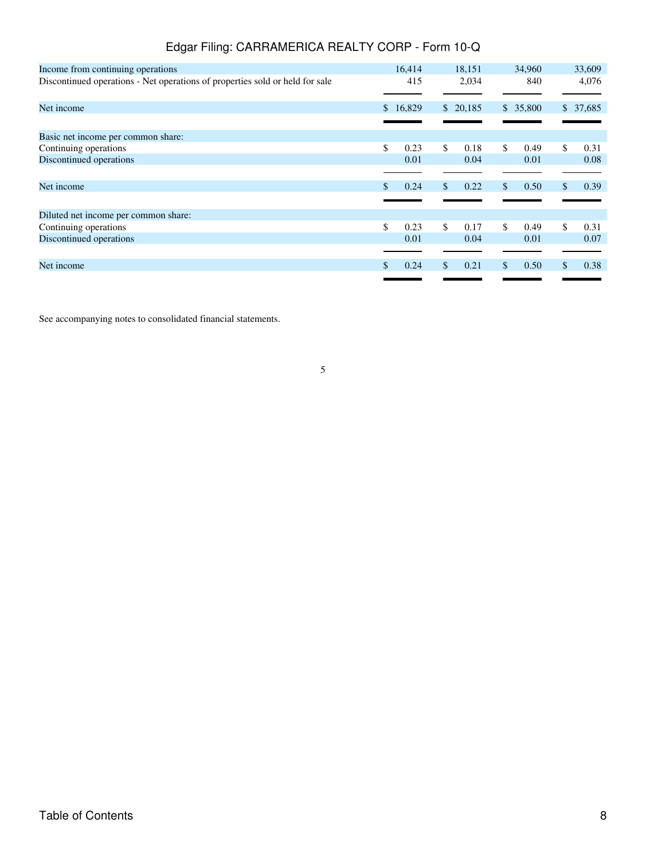| Income from continuing operations                                            |              | 16,414 |    | 18,151   | 34,960     |    | 33,609   |
|------------------------------------------------------------------------------|--------------|--------|----|----------|------------|----|----------|
| Discontinued operations - Net operations of properties sold or held for sale |              | 415    |    | 2,034    | 840        |    | 4,076    |
| Net income                                                                   | $\mathbb{S}$ | 16,829 |    | \$20,185 | \$35,800   |    | \$37,685 |
|                                                                              |              |        |    |          |            |    |          |
| Basic net income per common share:                                           |              |        |    |          |            |    |          |
| Continuing operations                                                        | \$           | 0.23   | \$ | 0.18     | \$<br>0.49 | \$ | 0.31     |
| Discontinued operations                                                      |              | 0.01   |    | 0.04     | 0.01       |    | 0.08     |
|                                                                              |              |        |    |          |            |    |          |
| Net income                                                                   | \$.          | 0.24   | \$ | 0.22     | \$<br>0.50 | \$ | 0.39     |
|                                                                              |              |        |    |          |            |    |          |
| Diluted net income per common share:                                         |              |        |    |          |            |    |          |
| Continuing operations                                                        | \$           | 0.23   | \$ | 0.17     | \$<br>0.49 | \$ | 0.31     |
| Discontinued operations                                                      |              | 0.01   |    | 0.04     | 0.01       |    | 0.07     |
|                                                                              |              |        |    |          |            |    |          |
| Net income                                                                   |              | 0.24   | S  | 0.21     | \$<br>0.50 | S  | 0.38     |
|                                                                              |              |        |    |          |            |    |          |

See accompanying notes to consolidated financial statements.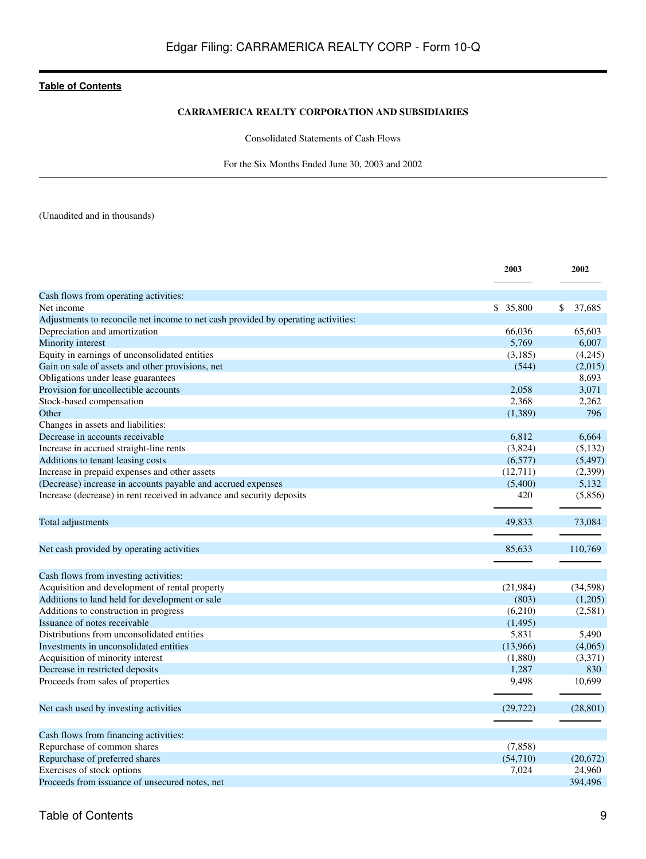#### **CARRAMERICA REALTY CORPORATION AND SUBSIDIARIES**

Consolidated Statements of Cash Flows

For the Six Months Ended June 30, 2003 and 2002

<span id="page-8-0"></span>(Unaudited and in thousands)

|                                                                                   | 2003      | 2002         |
|-----------------------------------------------------------------------------------|-----------|--------------|
| Cash flows from operating activities:                                             |           |              |
| Net income                                                                        | \$ 35,800 | \$<br>37,685 |
| Adjustments to reconcile net income to net cash provided by operating activities: |           |              |
| Depreciation and amortization                                                     | 66,036    | 65,603       |
| Minority interest                                                                 | 5,769     | 6,007        |
| Equity in earnings of unconsolidated entities                                     | (3,185)   | (4,245)      |
| Gain on sale of assets and other provisions, net                                  | (544)     | (2,015)      |
| Obligations under lease guarantees                                                |           | 8,693        |
| Provision for uncollectible accounts                                              | 2,058     | 3,071        |
| Stock-based compensation                                                          | 2,368     | 2,262        |
| Other                                                                             | (1,389)   | 796          |
| Changes in assets and liabilities:                                                |           |              |
| Decrease in accounts receivable                                                   | 6,812     | 6.664        |
| Increase in accrued straight-line rents                                           | (3,824)   | (5,132)      |
| Additions to tenant leasing costs                                                 | (6,577)   | (5, 497)     |
| Increase in prepaid expenses and other assets                                     | (12,711)  | (2,399)      |
| (Decrease) increase in accounts payable and accrued expenses                      | (5,400)   | 5,132        |
| Increase (decrease) in rent received in advance and security deposits             | 420       | (5,856)      |
| Total adjustments                                                                 | 49.833    | 73,084       |
|                                                                                   |           |              |
| Net cash provided by operating activities                                         | 85.633    | 110,769      |
| Cash flows from investing activities:                                             |           |              |
| Acquisition and development of rental property                                    | (21, 984) | (34,598)     |
| Additions to land held for development or sale                                    | (803)     | (1,205)      |
| Additions to construction in progress                                             | (6,210)   | (2,581)      |
| Issuance of notes receivable                                                      | (1, 495)  |              |
| Distributions from unconsolidated entities                                        | 5,831     | 5,490        |
| Investments in unconsolidated entities                                            | (13,966)  | (4,065)      |
| Acquisition of minority interest                                                  | (1,880)   | (3,371)      |
| Decrease in restricted deposits                                                   | 1,287     | 830          |
| Proceeds from sales of properties                                                 | 9,498     | 10,699       |
| Net cash used by investing activities                                             | (29, 722) | (28, 801)    |
| Cash flows from financing activities:                                             |           |              |
| Repurchase of common shares                                                       | (7, 858)  |              |
| Repurchase of preferred shares                                                    | (54,710)  | (20,672)     |
| Exercises of stock options                                                        | 7,024     | 24,960       |
| Proceeds from issuance of unsecured notes, net                                    |           | 394,496      |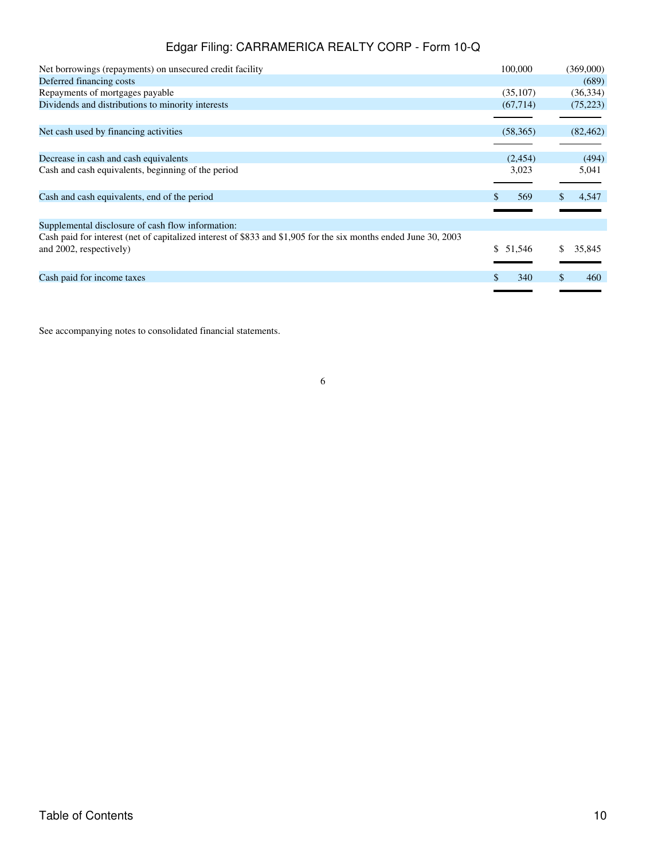| Net borrowings (repayments) on unsecured credit facility                                                                                   | 100,000   | (369,000)    |
|--------------------------------------------------------------------------------------------------------------------------------------------|-----------|--------------|
| Deferred financing costs                                                                                                                   |           | (689)        |
| Repayments of mortgages payable                                                                                                            | (35,107)  | (36, 334)    |
| Dividends and distributions to minority interests                                                                                          | (67, 714) | (75, 223)    |
|                                                                                                                                            |           |              |
| Net cash used by financing activities                                                                                                      | (58,365)  | (82, 462)    |
|                                                                                                                                            |           |              |
| Decrease in cash and cash equivalents                                                                                                      | (2,454)   | (494)        |
| Cash and cash equivalents, beginning of the period                                                                                         | 3,023     | 5,041        |
| Cash and cash equivalents, end of the period                                                                                               | 569       | 4,547        |
| Supplemental disclosure of cash flow information:                                                                                          |           |              |
| Cash paid for interest (net of capitalized interest of \$833 and \$1,905 for the six months ended June 30, 2003<br>and 2002, respectively) | \$ 51,546 | 35,845<br>S. |
|                                                                                                                                            |           |              |
| Cash paid for income taxes                                                                                                                 | 340       | 460          |
|                                                                                                                                            |           |              |

See accompanying notes to consolidated financial statements.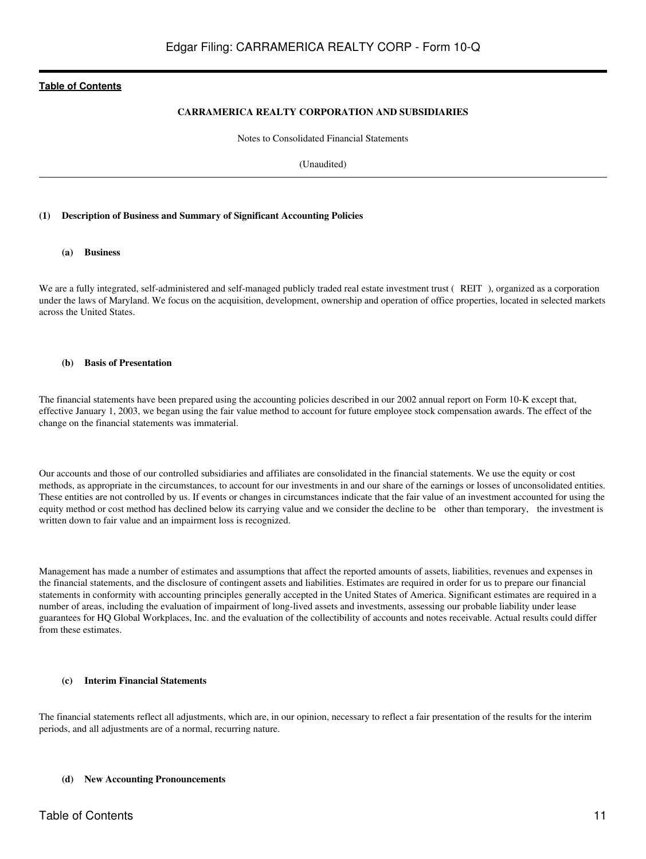#### **CARRAMERICA REALTY CORPORATION AND SUBSIDIARIES**

Notes to Consolidated Financial Statements

(Unaudited)

#### <span id="page-10-0"></span>**(1) Description of Business and Summary of Significant Accounting Policies**

#### **(a) Business**

We are a fully integrated, self-administered and self-managed publicly traded real estate investment trust (REIT), organized as a corporation under the laws of Maryland. We focus on the acquisition, development, ownership and operation of office properties, located in selected markets across the United States.

#### **(b) Basis of Presentation**

The financial statements have been prepared using the accounting policies described in our 2002 annual report on Form 10-K except that, effective January 1, 2003, we began using the fair value method to account for future employee stock compensation awards. The effect of the change on the financial statements was immaterial.

Our accounts and those of our controlled subsidiaries and affiliates are consolidated in the financial statements. We use the equity or cost methods, as appropriate in the circumstances, to account for our investments in and our share of the earnings or losses of unconsolidated entities. These entities are not controlled by us. If events or changes in circumstances indicate that the fair value of an investment accounted for using the equity method or cost method has declined below its carrying value and we consider the decline to be other than temporary, the investment is written down to fair value and an impairment loss is recognized.

Management has made a number of estimates and assumptions that affect the reported amounts of assets, liabilities, revenues and expenses in the financial statements, and the disclosure of contingent assets and liabilities. Estimates are required in order for us to prepare our financial statements in conformity with accounting principles generally accepted in the United States of America. Significant estimates are required in a number of areas, including the evaluation of impairment of long-lived assets and investments, assessing our probable liability under lease guarantees for HQ Global Workplaces, Inc. and the evaluation of the collectibility of accounts and notes receivable. Actual results could differ from these estimates.

#### **(c) Interim Financial Statements**

The financial statements reflect all adjustments, which are, in our opinion, necessary to reflect a fair presentation of the results for the interim periods, and all adjustments are of a normal, recurring nature.

#### **(d) New Accounting Pronouncements**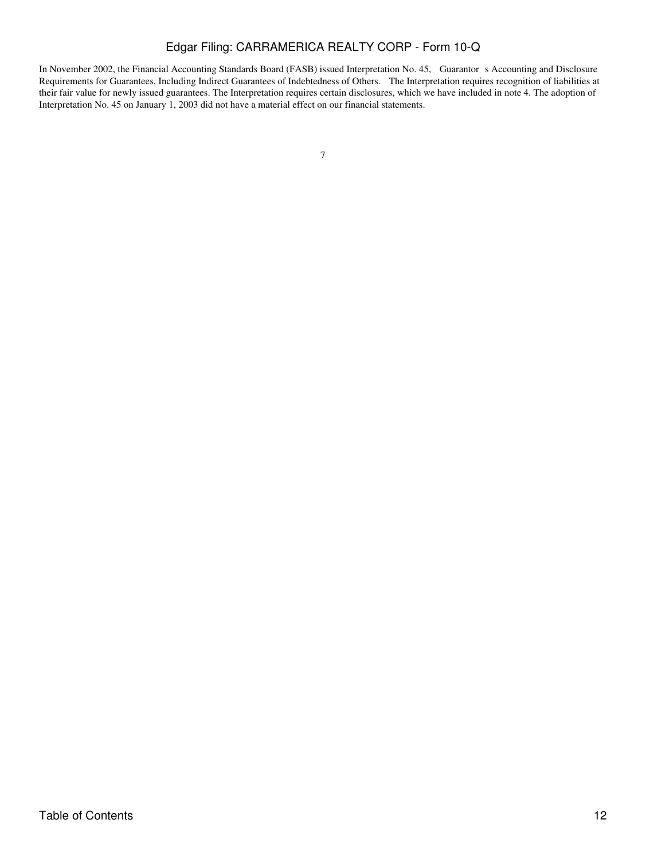In November 2002, the Financial Accounting Standards Board (FASB) issued Interpretation No. 45, Guarantors Accounting and Disclosure Requirements for Guarantees, Including Indirect Guarantees of Indebtedness of Others. The Interpretation requires recognition of liabilities at their fair value for newly issued guarantees. The Interpretation requires certain disclosures, which we have included in note 4. The adoption of Interpretation No. 45 on January 1, 2003 did not have a material effect on our financial statements.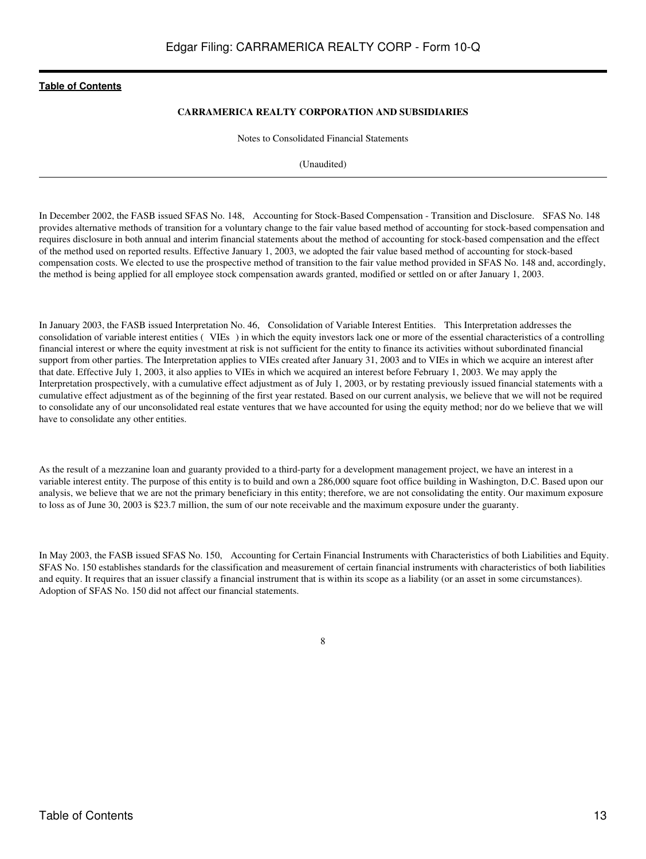#### **CARRAMERICA REALTY CORPORATION AND SUBSIDIARIES**

Notes to Consolidated Financial Statements

(Unaudited)

In December 2002, the FASB issued SFAS No. 148, Accounting for Stock-Based Compensation - Transition and Disclosure. SFAS No. 148 provides alternative methods of transition for a voluntary change to the fair value based method of accounting for stock-based compensation and requires disclosure in both annual and interim financial statements about the method of accounting for stock-based compensation and the effect of the method used on reported results. Effective January 1, 2003, we adopted the fair value based method of accounting for stock-based compensation costs. We elected to use the prospective method of transition to the fair value method provided in SFAS No. 148 and, accordingly, the method is being applied for all employee stock compensation awards granted, modified or settled on or after January 1, 2003.

In January 2003, the FASB issued Interpretation No. 46, Consolidation of Variable Interest Entities. This Interpretation addresses the consolidation of variable interest entities (VIEs) in which the equity investors lack one or more of the essential characteristics of a controlling financial interest or where the equity investment at risk is not sufficient for the entity to finance its activities without subordinated financial support from other parties. The Interpretation applies to VIEs created after January 31, 2003 and to VIEs in which we acquire an interest after that date. Effective July 1, 2003, it also applies to VIEs in which we acquired an interest before February 1, 2003. We may apply the Interpretation prospectively, with a cumulative effect adjustment as of July 1, 2003, or by restating previously issued financial statements with a cumulative effect adjustment as of the beginning of the first year restated. Based on our current analysis, we believe that we will not be required to consolidate any of our unconsolidated real estate ventures that we have accounted for using the equity method; nor do we believe that we will have to consolidate any other entities.

As the result of a mezzanine loan and guaranty provided to a third-party for a development management project, we have an interest in a variable interest entity. The purpose of this entity is to build and own a 286,000 square foot office building in Washington, D.C. Based upon our analysis, we believe that we are not the primary beneficiary in this entity; therefore, we are not consolidating the entity. Our maximum exposure to loss as of June 30, 2003 is \$23.7 million, the sum of our note receivable and the maximum exposure under the guaranty.

In May 2003, the FASB issued SFAS No. 150, Accounting for Certain Financial Instruments with Characteristics of both Liabilities and Equity. SFAS No. 150 establishes standards for the classification and measurement of certain financial instruments with characteristics of both liabilities and equity. It requires that an issuer classify a financial instrument that is within its scope as a liability (or an asset in some circumstances). Adoption of SFAS No. 150 did not affect our financial statements.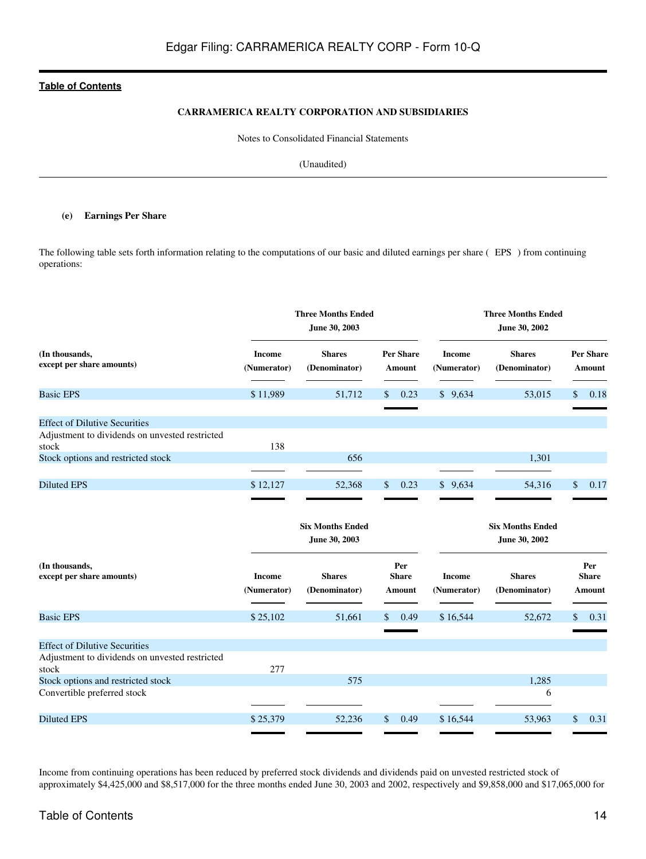#### **CARRAMERICA REALTY CORPORATION AND SUBSIDIARIES**

Notes to Consolidated Financial Statements

(Unaudited)

#### **(e) Earnings Per Share**

The following table sets forth information relating to the computations of our basic and diluted earnings per share (EPS) from continuing operations:

|                                                                                                 |                              | <b>Three Months Ended</b><br>June 30, 2003 |                               | <b>Three Months Ended</b><br>June 30, 2002 |                                          |                               |  |  |
|-------------------------------------------------------------------------------------------------|------------------------------|--------------------------------------------|-------------------------------|--------------------------------------------|------------------------------------------|-------------------------------|--|--|
| (In thousands,<br>except per share amounts)                                                     | <b>Income</b><br>(Numerator) | <b>Shares</b><br>(Denominator)             | <b>Per Share</b><br>Amount    | <b>Income</b><br>(Numerator)               | <b>Shares</b><br>(Denominator)           | <b>Per Share</b><br>Amount    |  |  |
| <b>Basic EPS</b>                                                                                | \$11,989                     | 51,712                                     | 0.23<br>S                     | \$9,634                                    | 53,015                                   | \$<br>0.18                    |  |  |
| <b>Effect of Dilutive Securities</b><br>Adjustment to dividends on unvested restricted          |                              |                                            |                               |                                            |                                          |                               |  |  |
| stock                                                                                           | 138                          |                                            |                               |                                            |                                          |                               |  |  |
| Stock options and restricted stock                                                              |                              | 656                                        |                               |                                            | 1,301                                    |                               |  |  |
| <b>Diluted EPS</b>                                                                              | \$12,127                     | 52,368                                     | 0.23<br>\$                    | \$9,634                                    | 54,316                                   | \$<br>0.17                    |  |  |
|                                                                                                 |                              | <b>Six Months Ended</b><br>June 30, 2003   |                               |                                            | <b>Six Months Ended</b><br>June 30, 2002 |                               |  |  |
| (In thousands,<br>except per share amounts)                                                     | <b>Income</b><br>(Numerator) | <b>Shares</b><br>(Denominator)             | Per<br><b>Share</b><br>Amount | <b>Income</b><br>(Numerator)               | <b>Shares</b><br>(Denominator)           | Per<br><b>Share</b><br>Amount |  |  |
| <b>Basic EPS</b>                                                                                | \$25,102                     | 51,661                                     | 0.49<br>S                     | \$16,544                                   | 52,672                                   | \$<br>0.31                    |  |  |
| <b>Effect of Dilutive Securities</b><br>Adjustment to dividends on unvested restricted<br>stock | 277                          |                                            |                               |                                            |                                          |                               |  |  |
| Stock options and restricted stock                                                              |                              | 575                                        |                               |                                            | 1,285                                    |                               |  |  |
| Convertible preferred stock                                                                     |                              |                                            |                               |                                            | 6                                        |                               |  |  |
| <b>Diluted EPS</b>                                                                              | \$25,379                     | 52,236                                     | \$<br>0.49                    | \$16,544                                   | 53,963                                   | \$<br>0.31                    |  |  |

Income from continuing operations has been reduced by preferred stock dividends and dividends paid on unvested restricted stock of approximately \$4,425,000 and \$8,517,000 for the three months ended June 30, 2003 and 2002, respectively and \$9,858,000 and \$17,065,000 for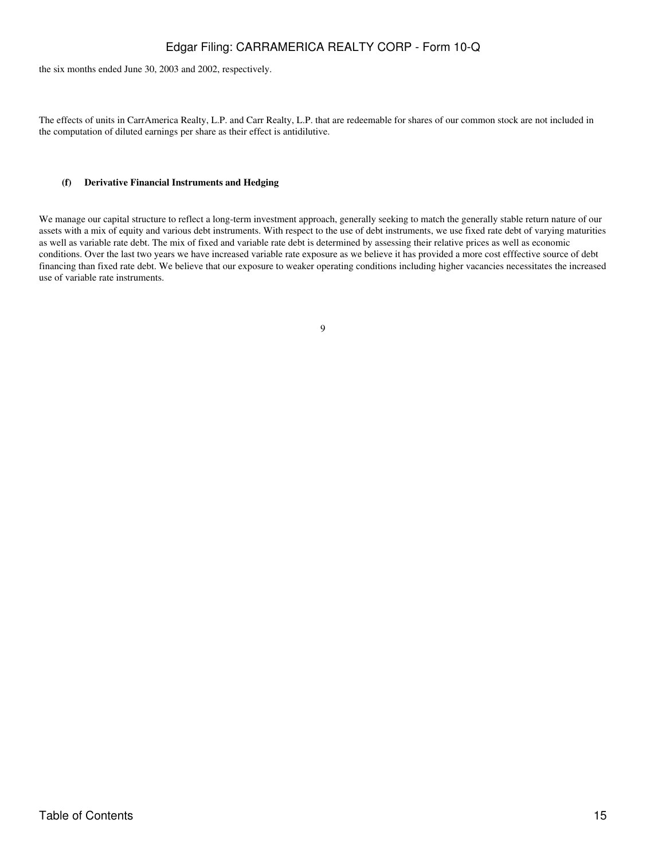the six months ended June 30, 2003 and 2002, respectively.

The effects of units in CarrAmerica Realty, L.P. and Carr Realty, L.P. that are redeemable for shares of our common stock are not included in the computation of diluted earnings per share as their effect is antidilutive.

#### **(f) Derivative Financial Instruments and Hedging**

We manage our capital structure to reflect a long-term investment approach, generally seeking to match the generally stable return nature of our assets with a mix of equity and various debt instruments. With respect to the use of debt instruments, we use fixed rate debt of varying maturities as well as variable rate debt. The mix of fixed and variable rate debt is determined by assessing their relative prices as well as economic conditions. Over the last two years we have increased variable rate exposure as we believe it has provided a more cost efffective source of debt financing than fixed rate debt. We believe that our exposure to weaker operating conditions including higher vacancies necessitates the increased use of variable rate instruments.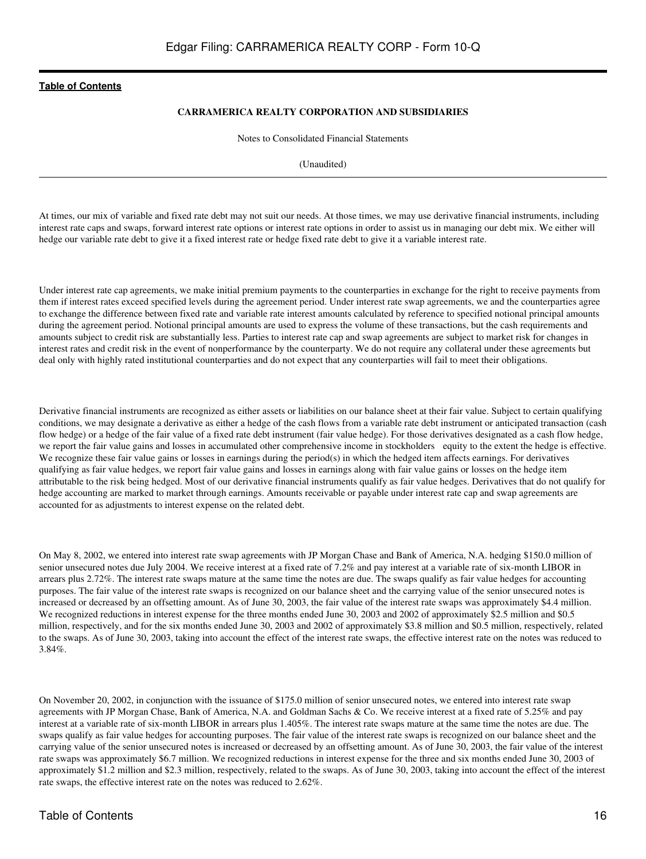#### **CARRAMERICA REALTY CORPORATION AND SUBSIDIARIES**

Notes to Consolidated Financial Statements

(Unaudited)

At times, our mix of variable and fixed rate debt may not suit our needs. At those times, we may use derivative financial instruments, including interest rate caps and swaps, forward interest rate options or interest rate options in order to assist us in managing our debt mix. We either will hedge our variable rate debt to give it a fixed interest rate or hedge fixed rate debt to give it a variable interest rate.

Under interest rate cap agreements, we make initial premium payments to the counterparties in exchange for the right to receive payments from them if interest rates exceed specified levels during the agreement period. Under interest rate swap agreements, we and the counterparties agree to exchange the difference between fixed rate and variable rate interest amounts calculated by reference to specified notional principal amounts during the agreement period. Notional principal amounts are used to express the volume of these transactions, but the cash requirements and amounts subject to credit risk are substantially less. Parties to interest rate cap and swap agreements are subject to market risk for changes in interest rates and credit risk in the event of nonperformance by the counterparty. We do not require any collateral under these agreements but deal only with highly rated institutional counterparties and do not expect that any counterparties will fail to meet their obligations.

Derivative financial instruments are recognized as either assets or liabilities on our balance sheet at their fair value. Subject to certain qualifying conditions, we may designate a derivative as either a hedge of the cash flows from a variable rate debt instrument or anticipated transaction (cash flow hedge) or a hedge of the fair value of a fixed rate debt instrument (fair value hedge). For those derivatives designated as a cash flow hedge, we report the fair value gains and losses in accumulated other comprehensive income in stockholders equity to the extent the hedge is effective. We recognize these fair value gains or losses in earnings during the period(s) in which the hedged item affects earnings. For derivatives qualifying as fair value hedges, we report fair value gains and losses in earnings along with fair value gains or losses on the hedge item attributable to the risk being hedged. Most of our derivative financial instruments qualify as fair value hedges. Derivatives that do not qualify for hedge accounting are marked to market through earnings. Amounts receivable or payable under interest rate cap and swap agreements are accounted for as adjustments to interest expense on the related debt.

On May 8, 2002, we entered into interest rate swap agreements with JP Morgan Chase and Bank of America, N.A. hedging \$150.0 million of senior unsecured notes due July 2004. We receive interest at a fixed rate of 7.2% and pay interest at a variable rate of six-month LIBOR in arrears plus 2.72%. The interest rate swaps mature at the same time the notes are due. The swaps qualify as fair value hedges for accounting purposes. The fair value of the interest rate swaps is recognized on our balance sheet and the carrying value of the senior unsecured notes is increased or decreased by an offsetting amount. As of June 30, 2003, the fair value of the interest rate swaps was approximately \$4.4 million. We recognized reductions in interest expense for the three months ended June 30, 2003 and 2002 of approximately \$2.5 million and \$0.5 million, respectively, and for the six months ended June 30, 2003 and 2002 of approximately \$3.8 million and \$0.5 million, respectively, related to the swaps. As of June 30, 2003, taking into account the effect of the interest rate swaps, the effective interest rate on the notes was reduced to 3.84%.

On November 20, 2002, in conjunction with the issuance of \$175.0 million of senior unsecured notes, we entered into interest rate swap agreements with JP Morgan Chase, Bank of America, N.A. and Goldman Sachs & Co. We receive interest at a fixed rate of 5.25% and pay interest at a variable rate of six-month LIBOR in arrears plus 1.405%. The interest rate swaps mature at the same time the notes are due. The swaps qualify as fair value hedges for accounting purposes. The fair value of the interest rate swaps is recognized on our balance sheet and the carrying value of the senior unsecured notes is increased or decreased by an offsetting amount. As of June 30, 2003, the fair value of the interest rate swaps was approximately \$6.7 million. We recognized reductions in interest expense for the three and six months ended June 30, 2003 of approximately \$1.2 million and \$2.3 million, respectively, related to the swaps. As of June 30, 2003, taking into account the effect of the interest rate swaps, the effective interest rate on the notes was reduced to 2.62%.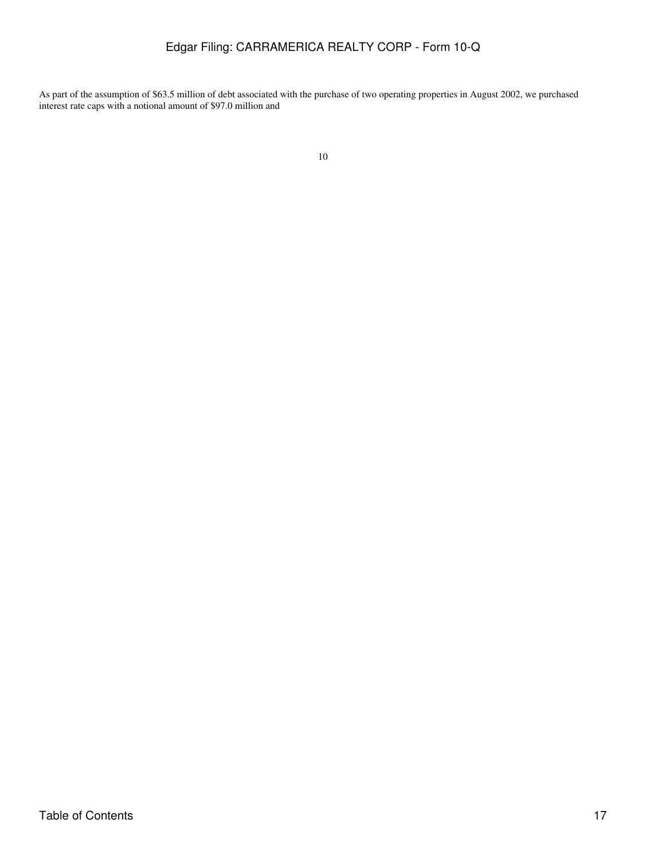As part of the assumption of \$63.5 million of debt associated with the purchase of two operating properties in August 2002, we purchased interest rate caps with a notional amount of \$97.0 million and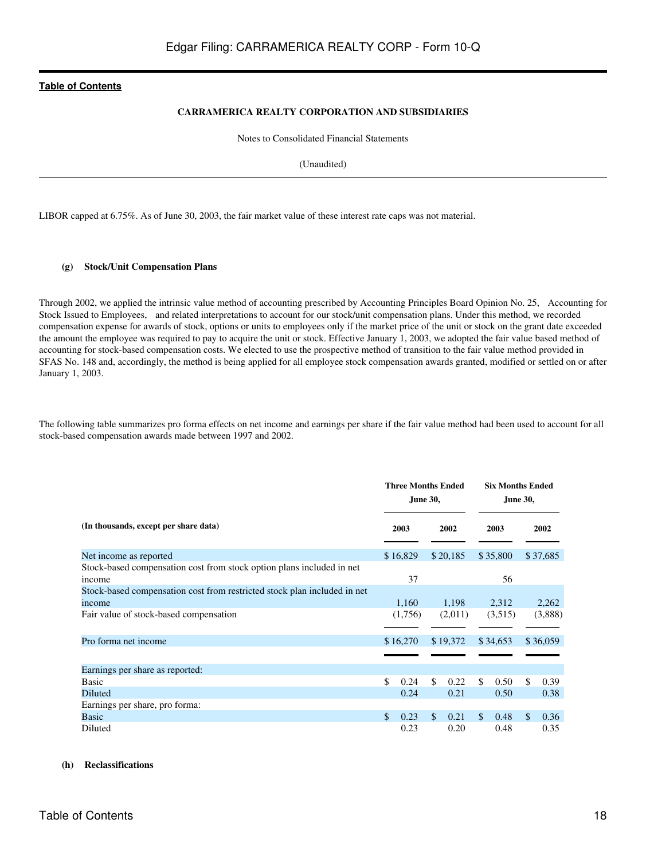#### **CARRAMERICA REALTY CORPORATION AND SUBSIDIARIES**

Notes to Consolidated Financial Statements

(Unaudited)

LIBOR capped at 6.75%. As of June 30, 2003, the fair market value of these interest rate caps was not material.

#### **(g) Stock/Unit Compensation Plans**

Through 2002, we applied the intrinsic value method of accounting prescribed by Accounting Principles Board Opinion No. 25, Accounting for Stock Issued to Employees, and related interpretations to account for our stock/unit compensation plans. Under this method, we recorded compensation expense for awards of stock, options or units to employees only if the market price of the unit or stock on the grant date exceeded the amount the employee was required to pay to acquire the unit or stock. Effective January 1, 2003, we adopted the fair value based method of accounting for stock-based compensation costs. We elected to use the prospective method of transition to the fair value method provided in SFAS No. 148 and, accordingly, the method is being applied for all employee stock compensation awards granted, modified or settled on or after January 1, 2003.

The following table summarizes pro forma effects on net income and earnings per share if the fair value method had been used to account for all stock-based compensation awards made between 1997 and 2002.

|                                                                                    |    |          | <b>Three Months Ended</b><br><b>June 30,</b> |          |    |          | <b>Six Months Ended</b><br><b>June 30,</b> |          |  |  |
|------------------------------------------------------------------------------------|----|----------|----------------------------------------------|----------|----|----------|--------------------------------------------|----------|--|--|
| (In thousands, except per share data)                                              |    | 2003     |                                              | 2002     |    | 2003     |                                            | 2002     |  |  |
| Net income as reported                                                             |    | \$16,829 |                                              | \$20,185 |    | \$35,800 |                                            | \$37,685 |  |  |
| Stock-based compensation cost from stock option plans included in net<br>income    |    | 37       |                                              |          |    | 56       |                                            |          |  |  |
| Stock-based compensation cost from restricted stock plan included in net<br>income |    | 1,160    |                                              | 1,198    |    | 2,312    |                                            | 2,262    |  |  |
| Fair value of stock-based compensation                                             |    | (1,756)  |                                              | (2,011)  |    | (3,515)  |                                            | (3,888)  |  |  |
| Pro forma net income                                                               |    | \$16,270 |                                              | \$19,372 |    | \$34,653 |                                            | \$36,059 |  |  |
|                                                                                    |    |          |                                              |          |    |          |                                            |          |  |  |
| Earnings per share as reported:                                                    |    |          |                                              |          |    |          |                                            |          |  |  |
| Basic                                                                              | \$ | 0.24     | \$                                           | 0.22     | \$ | 0.50     | \$                                         | 0.39     |  |  |
| Diluted                                                                            |    | 0.24     |                                              | 0.21     |    | 0.50     |                                            | 0.38     |  |  |
| Earnings per share, pro forma:                                                     |    |          |                                              |          |    |          |                                            |          |  |  |
| <b>Basic</b>                                                                       | \$ | 0.23     | $\mathcal{S}$                                | 0.21     | \$ | 0.48     | \$                                         | 0.36     |  |  |
| Diluted                                                                            |    | 0.23     |                                              | 0.20     |    | 0.48     |                                            | 0.35     |  |  |

#### **(h) Reclassifications**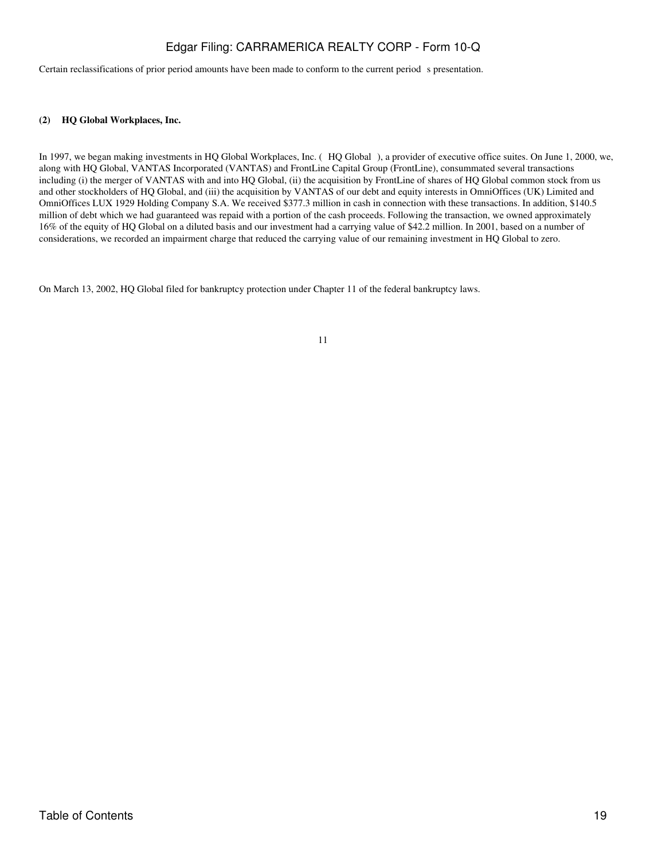Certain reclassifications of prior period amounts have been made to conform to the current period s presentation.

#### **(2) HQ Global Workplaces, Inc.**

In 1997, we began making investments in HQ Global Workplaces, Inc. (HQ Global), a provider of executive office suites. On June 1, 2000, we, along with HQ Global, VANTAS Incorporated (VANTAS) and FrontLine Capital Group (FrontLine), consummated several transactions including (i) the merger of VANTAS with and into HQ Global, (ii) the acquisition by FrontLine of shares of HQ Global common stock from us and other stockholders of HQ Global, and (iii) the acquisition by VANTAS of our debt and equity interests in OmniOffices (UK) Limited and OmniOffices LUX 1929 Holding Company S.A. We received \$377.3 million in cash in connection with these transactions. In addition, \$140.5 million of debt which we had guaranteed was repaid with a portion of the cash proceeds. Following the transaction, we owned approximately 16% of the equity of HQ Global on a diluted basis and our investment had a carrying value of \$42.2 million. In 2001, based on a number of considerations, we recorded an impairment charge that reduced the carrying value of our remaining investment in HQ Global to zero.

On March 13, 2002, HQ Global filed for bankruptcy protection under Chapter 11 of the federal bankruptcy laws.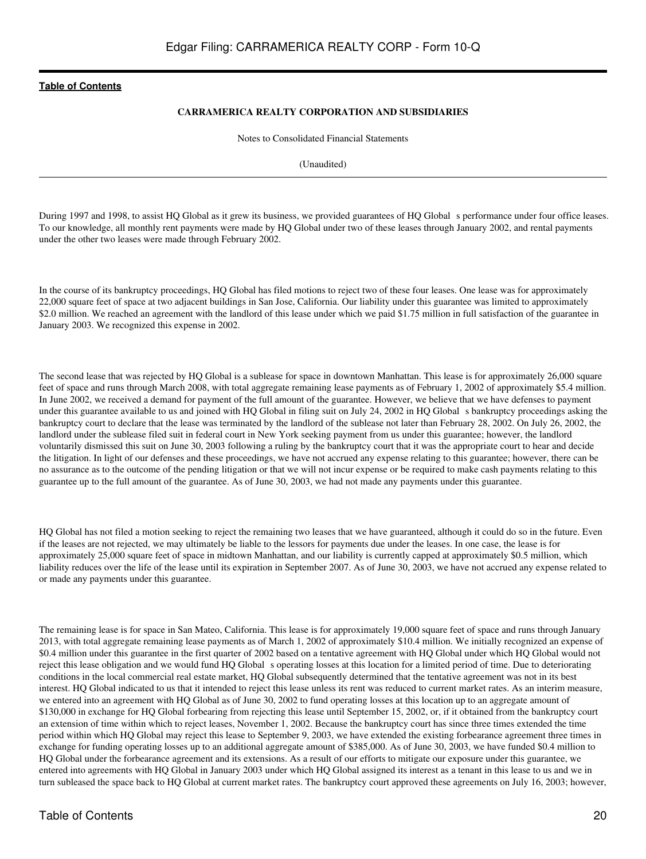#### **CARRAMERICA REALTY CORPORATION AND SUBSIDIARIES**

Notes to Consolidated Financial Statements

(Unaudited)

During 1997 and 1998, to assist HQ Global as it grew its business, we provided guarantees of HQ Global s performance under four office leases. To our knowledge, all monthly rent payments were made by HQ Global under two of these leases through January 2002, and rental payments under the other two leases were made through February 2002.

In the course of its bankruptcy proceedings, HQ Global has filed motions to reject two of these four leases. One lease was for approximately 22,000 square feet of space at two adjacent buildings in San Jose, California. Our liability under this guarantee was limited to approximately \$2.0 million. We reached an agreement with the landlord of this lease under which we paid \$1.75 million in full satisfaction of the guarantee in January 2003. We recognized this expense in 2002.

The second lease that was rejected by HQ Global is a sublease for space in downtown Manhattan. This lease is for approximately 26,000 square feet of space and runs through March 2008, with total aggregate remaining lease payments as of February 1, 2002 of approximately \$5.4 million. In June 2002, we received a demand for payment of the full amount of the guarantee. However, we believe that we have defenses to payment under this guarantee available to us and joined with HQ Global in filing suit on July 24, 2002 in HQ Global s bankruptcy proceedings asking the bankruptcy court to declare that the lease was terminated by the landlord of the sublease not later than February 28, 2002. On July 26, 2002, the landlord under the sublease filed suit in federal court in New York seeking payment from us under this guarantee; however, the landlord voluntarily dismissed this suit on June 30, 2003 following a ruling by the bankruptcy court that it was the appropriate court to hear and decide the litigation. In light of our defenses and these proceedings, we have not accrued any expense relating to this guarantee; however, there can be no assurance as to the outcome of the pending litigation or that we will not incur expense or be required to make cash payments relating to this guarantee up to the full amount of the guarantee. As of June 30, 2003, we had not made any payments under this guarantee.

HQ Global has not filed a motion seeking to reject the remaining two leases that we have guaranteed, although it could do so in the future. Even if the leases are not rejected, we may ultimately be liable to the lessors for payments due under the leases. In one case, the lease is for approximately 25,000 square feet of space in midtown Manhattan, and our liability is currently capped at approximately \$0.5 million, which liability reduces over the life of the lease until its expiration in September 2007. As of June 30, 2003, we have not accrued any expense related to or made any payments under this guarantee.

The remaining lease is for space in San Mateo, California. This lease is for approximately 19,000 square feet of space and runs through January 2013, with total aggregate remaining lease payments as of March 1, 2002 of approximately \$10.4 million. We initially recognized an expense of \$0.4 million under this guarantee in the first quarter of 2002 based on a tentative agreement with HQ Global under which HQ Global would not reject this lease obligation and we would fund HQ Global s operating losses at this location for a limited period of time. Due to deteriorating conditions in the local commercial real estate market, HQ Global subsequently determined that the tentative agreement was not in its best interest. HQ Global indicated to us that it intended to reject this lease unless its rent was reduced to current market rates. As an interim measure, we entered into an agreement with HQ Global as of June 30, 2002 to fund operating losses at this location up to an aggregate amount of \$130,000 in exchange for HQ Global forbearing from rejecting this lease until September 15, 2002, or, if it obtained from the bankruptcy court an extension of time within which to reject leases, November 1, 2002. Because the bankruptcy court has since three times extended the time period within which HQ Global may reject this lease to September 9, 2003, we have extended the existing forbearance agreement three times in exchange for funding operating losses up to an additional aggregate amount of \$385,000. As of June 30, 2003, we have funded \$0.4 million to HQ Global under the forbearance agreement and its extensions. As a result of our efforts to mitigate our exposure under this guarantee, we entered into agreements with HQ Global in January 2003 under which HQ Global assigned its interest as a tenant in this lease to us and we in turn subleased the space back to HQ Global at current market rates. The bankruptcy court approved these agreements on July 16, 2003; however,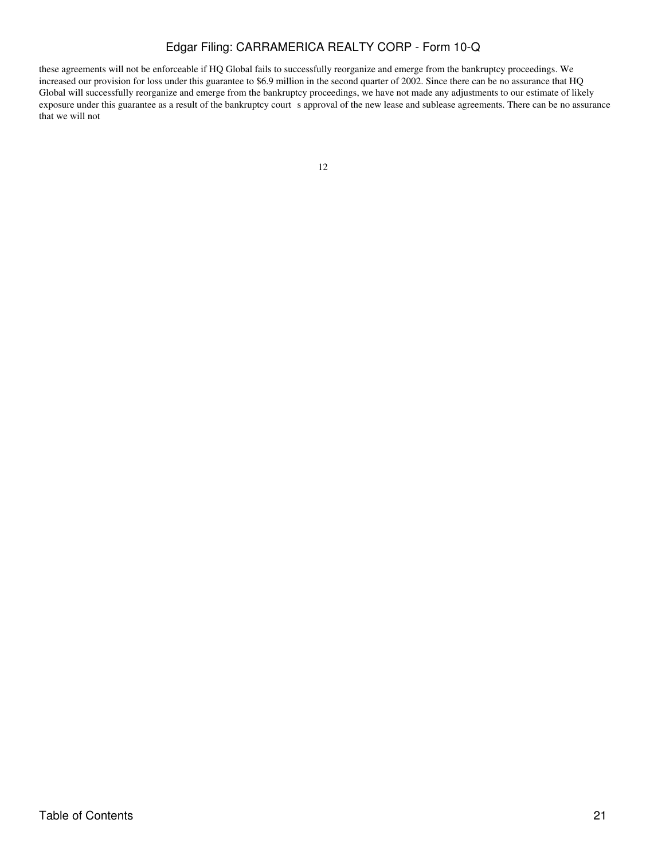these agreements will not be enforceable if HQ Global fails to successfully reorganize and emerge from the bankruptcy proceedings. We increased our provision for loss under this guarantee to \$6.9 million in the second quarter of 2002. Since there can be no assurance that HQ Global will successfully reorganize and emerge from the bankruptcy proceedings, we have not made any adjustments to our estimate of likely exposure under this guarantee as a result of the bankruptcy court s approval of the new lease and sublease agreements. There can be no assurance that we will not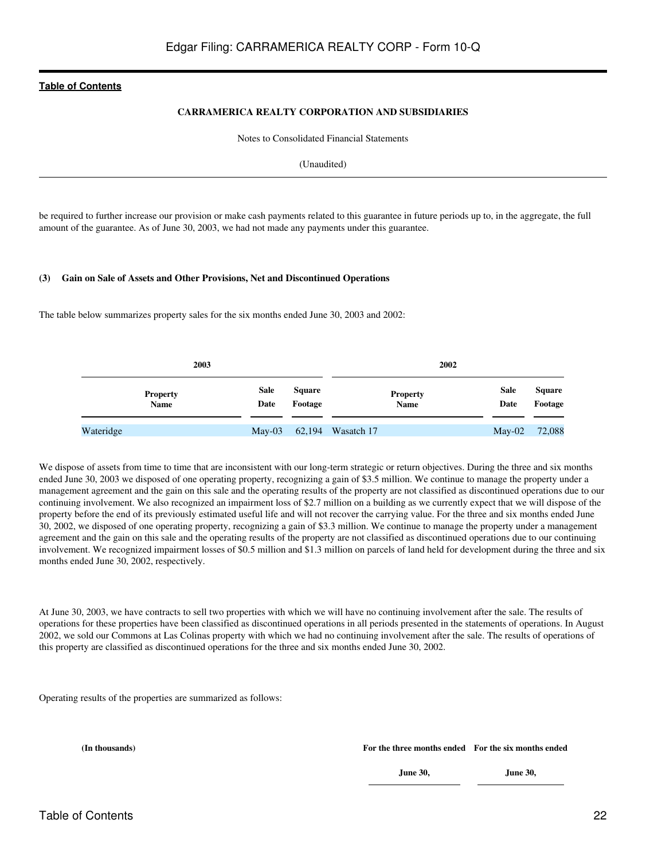#### **CARRAMERICA REALTY CORPORATION AND SUBSIDIARIES**

Notes to Consolidated Financial Statements

(Unaudited)

be required to further increase our provision or make cash payments related to this guarantee in future periods up to, in the aggregate, the full amount of the guarantee. As of June 30, 2003, we had not made any payments under this guarantee.

#### **(3) Gain on Sale of Assets and Other Provisions, Net and Discontinued Operations**

The table below summarizes property sales for the six months ended June 30, 2003 and 2002:

| 2003                           |                     |                          | 2002                     |                     |                          |
|--------------------------------|---------------------|--------------------------|--------------------------|---------------------|--------------------------|
| <b>Property</b><br><b>Name</b> | <b>Sale</b><br>Date | <b>Square</b><br>Footage | <b>Property</b><br>Name  | <b>Sale</b><br>Date | <b>Square</b><br>Footage |
| Wateridge                      |                     |                          | May-03 62,194 Wasatch 17 | $May-02$            | 72,088                   |

We dispose of assets from time to time that are inconsistent with our long-term strategic or return objectives. During the three and six months ended June 30, 2003 we disposed of one operating property, recognizing a gain of \$3.5 million. We continue to manage the property under a management agreement and the gain on this sale and the operating results of the property are not classified as discontinued operations due to our continuing involvement. We also recognized an impairment loss of \$2.7 million on a building as we currently expect that we will dispose of the property before the end of its previously estimated useful life and will not recover the carrying value. For the three and six months ended June 30, 2002, we disposed of one operating property, recognizing a gain of \$3.3 million. We continue to manage the property under a management agreement and the gain on this sale and the operating results of the property are not classified as discontinued operations due to our continuing involvement. We recognized impairment losses of \$0.5 million and \$1.3 million on parcels of land held for development during the three and six months ended June 30, 2002, respectively.

At June 30, 2003, we have contracts to sell two properties with which we will have no continuing involvement after the sale. The results of operations for these properties have been classified as discontinued operations in all periods presented in the statements of operations. In August 2002, we sold our Commons at Las Colinas property with which we had no continuing involvement after the sale. The results of operations of this property are classified as discontinued operations for the three and six months ended June 30, 2002.

Operating results of the properties are summarized as follows:

**(In thousands) For the three months ended For the six months ended**

**June 30,**

**June 30,**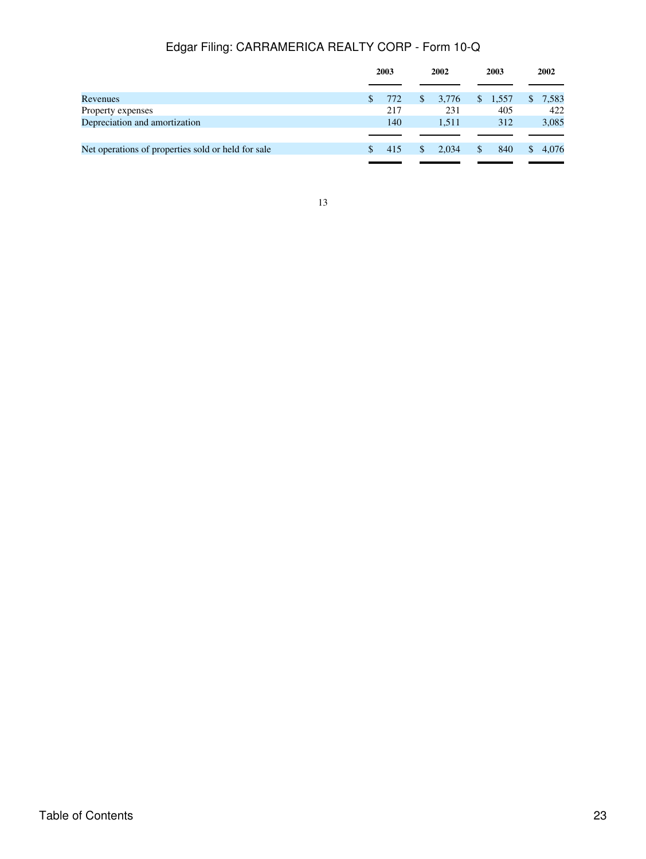|                                                    |               | 2003 |              | 2002  |     | 2003    |  | 2002    |
|----------------------------------------------------|---------------|------|--------------|-------|-----|---------|--|---------|
|                                                    |               |      |              |       |     |         |  |         |
| Revenues                                           | \$.           | 772  | $\mathbb{S}$ | 3,776 |     | \$1,557 |  | \$7,583 |
| Property expenses                                  |               | 217  |              | 231   |     | 405     |  | 422     |
| Depreciation and amortization                      |               | 140  |              | 1.511 |     | 312     |  | 3,085   |
|                                                    |               |      |              |       |     |         |  |         |
| Net operations of properties sold or held for sale | $\mathcal{S}$ | 415  | \$.          | 2.034 | \$. | 840     |  | 4.076   |
|                                                    |               |      |              |       |     |         |  |         |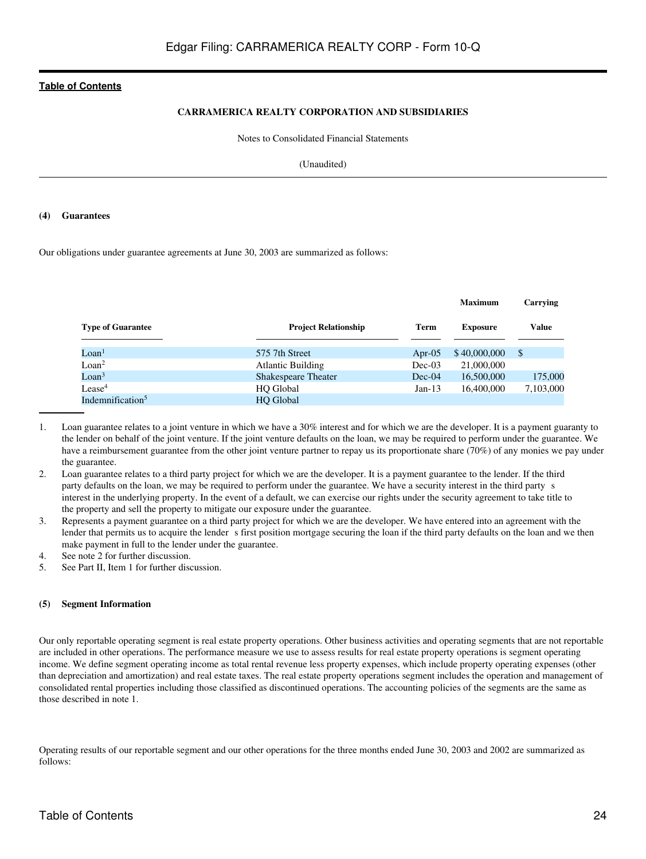#### **CARRAMERICA REALTY CORPORATION AND SUBSIDIARIES**

Notes to Consolidated Financial Statements

(Unaudited)

#### **(4) Guarantees**

Our obligations under guarantee agreements at June 30, 2003 are summarized as follows:

|                              |                             |           | <b>Maximum</b>  | Carrying     |
|------------------------------|-----------------------------|-----------|-----------------|--------------|
| <b>Type of Guarantee</b>     | <b>Project Relationship</b> | Term      | <b>Exposure</b> | <b>Value</b> |
| Loan <sup>1</sup>            | 575 7th Street              | Apr- $05$ | \$40,000,000    | S            |
| Loan <sup>2</sup>            | <b>Atlantic Building</b>    | $Dec-03$  | 21,000,000      |              |
| Loan <sup>3</sup>            | <b>Shakespeare Theater</b>  | $Dec-04$  | 16,500,000      | 175,000      |
| Lease <sup>4</sup>           | HQ Global                   | $Jan-13$  | 16,400,000      | 7,103,000    |
| Indemnification <sup>5</sup> | <b>HO</b> Global            |           |                 |              |

- 1. Loan guarantee relates to a joint venture in which we have a 30% interest and for which we are the developer. It is a payment guaranty to the lender on behalf of the joint venture. If the joint venture defaults on the loan, we may be required to perform under the guarantee. We have a reimbursement guarantee from the other joint venture partner to repay us its proportionate share (70%) of any monies we pay under the guarantee.
- 2. Loan guarantee relates to a third party project for which we are the developer. It is a payment guarantee to the lender. If the third party defaults on the loan, we may be required to perform under the guarantee. We have a security interest in the third party s interest in the underlying property. In the event of a default, we can exercise our rights under the security agreement to take title to the property and sell the property to mitigate our exposure under the guarantee.
- 3. Represents a payment guarantee on a third party project for which we are the developer. We have entered into an agreement with the lender that permits us to acquire the lender s first position mortgage securing the loan if the third party defaults on the loan and we then make payment in full to the lender under the guarantee.
- 4. See note 2 for further discussion.
- 5. See Part II, Item 1 for further discussion.

#### **(5) Segment Information**

Our only reportable operating segment is real estate property operations. Other business activities and operating segments that are not reportable are included in other operations. The performance measure we use to assess results for real estate property operations is segment operating income. We define segment operating income as total rental revenue less property expenses, which include property operating expenses (other than depreciation and amortization) and real estate taxes. The real estate property operations segment includes the operation and management of consolidated rental properties including those classified as discontinued operations. The accounting policies of the segments are the same as those described in note 1.

Operating results of our reportable segment and our other operations for the three months ended June 30, 2003 and 2002 are summarized as follows: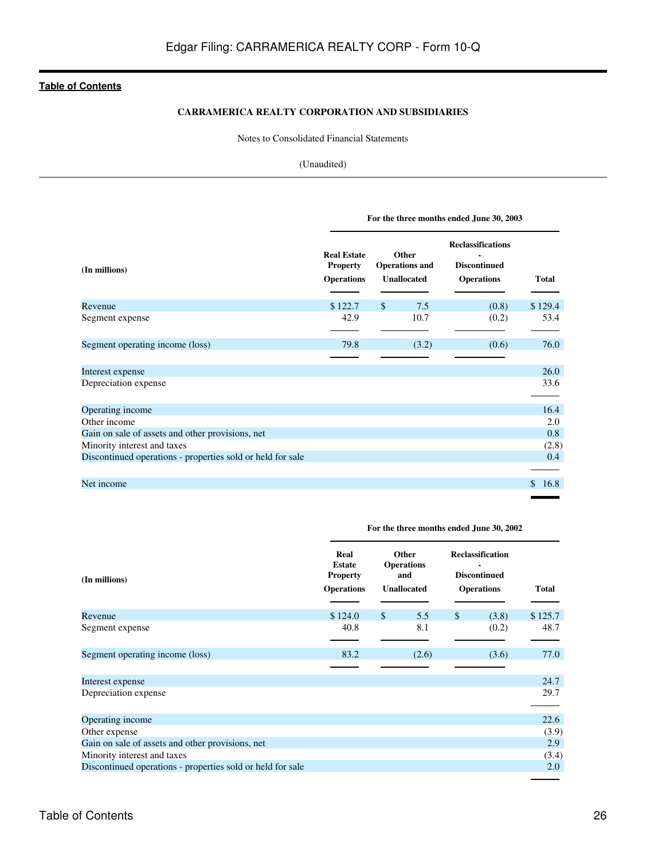#### **CARRAMERICA REALTY CORPORATION AND SUBSIDIARIES**

Notes to Consolidated Financial Statements

#### (Unaudited)

|                                                            | For the three months ended June 30, 2003                   |                                                      |                                                                      |             |  |  |  |  |  |
|------------------------------------------------------------|------------------------------------------------------------|------------------------------------------------------|----------------------------------------------------------------------|-------------|--|--|--|--|--|
| (In millions)                                              | <b>Real Estate</b><br><b>Property</b><br><b>Operations</b> | Other<br><b>Operations and</b><br><b>Unallocated</b> | <b>Reclassifications</b><br><b>Discontinued</b><br><b>Operations</b> | Total       |  |  |  |  |  |
| Revenue                                                    | \$122.7                                                    | $\mathbb{S}$<br>7.5                                  | (0.8)                                                                | \$129.4     |  |  |  |  |  |
| Segment expense                                            | 42.9                                                       | 10.7                                                 | (0.2)                                                                | 53.4        |  |  |  |  |  |
| Segment operating income (loss)                            | 79.8                                                       | (3.2)                                                | (0.6)                                                                | 76.0        |  |  |  |  |  |
| Interest expense                                           |                                                            |                                                      |                                                                      | 26.0        |  |  |  |  |  |
| Depreciation expense                                       |                                                            |                                                      |                                                                      | 33.6        |  |  |  |  |  |
| Operating income                                           |                                                            |                                                      |                                                                      | 16.4        |  |  |  |  |  |
| Other income                                               |                                                            |                                                      |                                                                      | 2.0         |  |  |  |  |  |
| Gain on sale of assets and other provisions, net           |                                                            |                                                      |                                                                      | 0.8         |  |  |  |  |  |
| Minority interest and taxes                                |                                                            |                                                      |                                                                      | (2.8)       |  |  |  |  |  |
| Discontinued operations - properties sold or held for sale |                                                            |                                                      |                                                                      | 0.4         |  |  |  |  |  |
| Net income                                                 |                                                            |                                                      |                                                                      | 16.8<br>\$. |  |  |  |  |  |

| (In millions)                                              | Real<br><b>Estate</b><br><b>Property</b><br><b>Operations</b> |               | Other<br><b>Operations</b><br>and<br><b>Unallocated</b> | <b>Reclassification</b><br><b>Discontinued</b><br><b>Operations</b> | <b>Total</b> |
|------------------------------------------------------------|---------------------------------------------------------------|---------------|---------------------------------------------------------|---------------------------------------------------------------------|--------------|
| Revenue                                                    | \$124.0                                                       | $\mathcal{S}$ | 5.5                                                     | \$<br>(3.8)                                                         | \$125.7      |
| Segment expense                                            | 40.8                                                          |               | 8.1                                                     | (0.2)                                                               | 48.7         |
| Segment operating income (loss)                            | 83.2                                                          |               | (2.6)                                                   | (3.6)                                                               | 77.0         |
| Interest expense                                           |                                                               |               |                                                         |                                                                     | 24.7         |
| Depreciation expense                                       |                                                               |               |                                                         |                                                                     | 29.7         |
| Operating income                                           |                                                               |               |                                                         |                                                                     | 22.6         |
| Other expense                                              |                                                               |               |                                                         |                                                                     | (3.9)        |
| Gain on sale of assets and other provisions, net           |                                                               |               |                                                         |                                                                     | 2.9          |
| Minority interest and taxes                                |                                                               |               |                                                         |                                                                     | (3.4)        |
| Discontinued operations - properties sold or held for sale |                                                               |               |                                                         |                                                                     | 2.0          |

**For the three months ended June 30, 2002**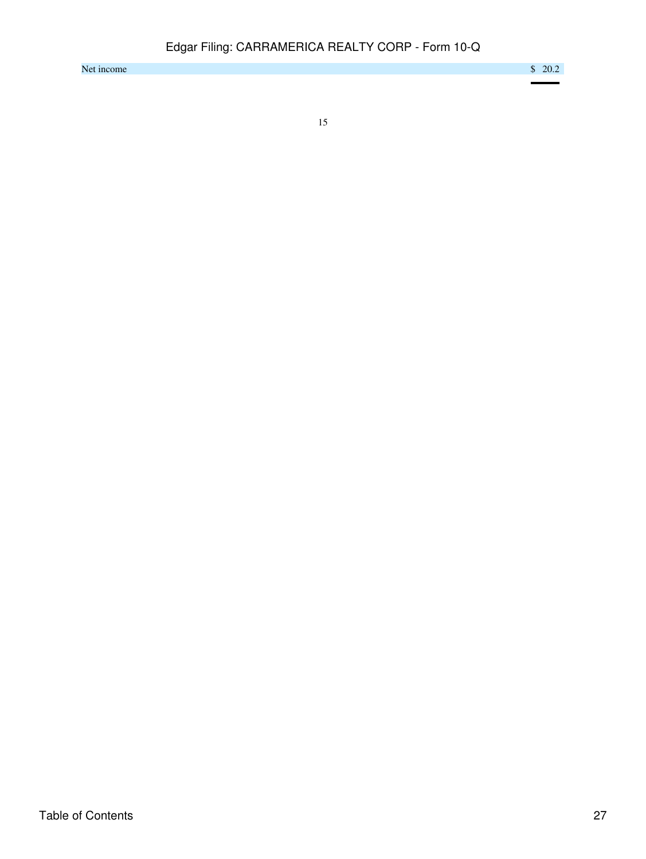Net income  $$ 20.2$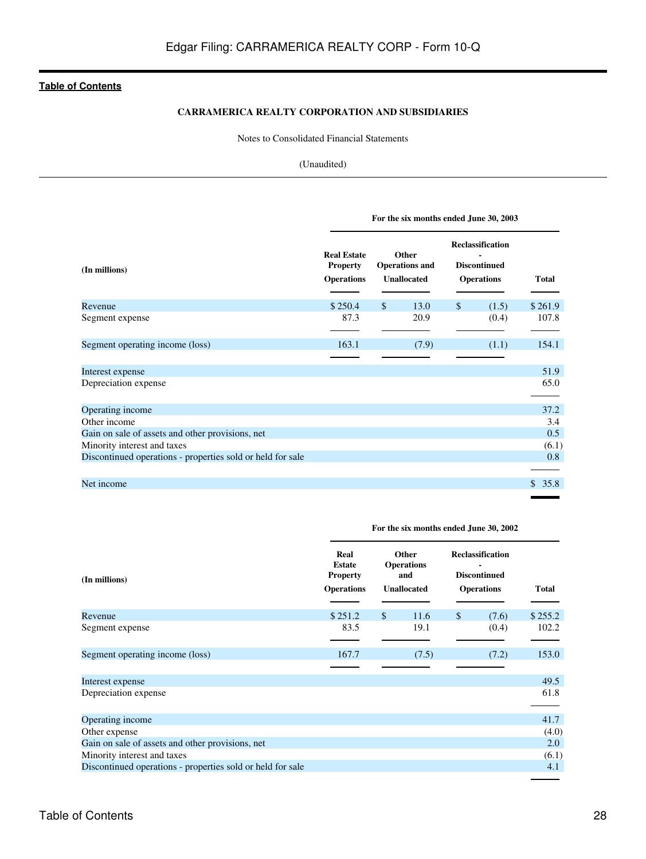### **CARRAMERICA REALTY CORPORATION AND SUBSIDIARIES**

Notes to Consolidated Financial Statements

#### (Unaudited)

|                                                            | For the six months ended June 30, 2003                     |              |                                                      |              |                                                                     |              |  |  |
|------------------------------------------------------------|------------------------------------------------------------|--------------|------------------------------------------------------|--------------|---------------------------------------------------------------------|--------------|--|--|
| (In millions)                                              | <b>Real Estate</b><br><b>Property</b><br><b>Operations</b> |              | Other<br><b>Operations</b> and<br><b>Unallocated</b> |              | <b>Reclassification</b><br><b>Discontinued</b><br><b>Operations</b> | <b>Total</b> |  |  |
| Revenue                                                    | \$250.4                                                    | $\mathbb{S}$ | 13.0                                                 | $\mathbb{S}$ | (1.5)                                                               | \$261.9      |  |  |
| Segment expense                                            | 87.3                                                       |              | 20.9                                                 |              | (0.4)                                                               | 107.8        |  |  |
| Segment operating income (loss)                            | 163.1                                                      |              | (7.9)                                                |              | (1.1)                                                               | 154.1        |  |  |
|                                                            |                                                            |              |                                                      |              |                                                                     |              |  |  |
| Interest expense                                           |                                                            |              |                                                      |              |                                                                     | 51.9         |  |  |
| Depreciation expense                                       |                                                            |              |                                                      |              |                                                                     | 65.0         |  |  |
| Operating income                                           |                                                            |              |                                                      |              |                                                                     | 37.2         |  |  |
| Other income                                               |                                                            |              |                                                      |              |                                                                     | 3.4          |  |  |
| Gain on sale of assets and other provisions, net           |                                                            |              |                                                      |              |                                                                     | 0.5          |  |  |
| Minority interest and taxes                                |                                                            |              |                                                      |              |                                                                     | (6.1)        |  |  |
| Discontinued operations - properties sold or held for sale |                                                            |              |                                                      |              |                                                                     | 0.8          |  |  |
| Net income                                                 |                                                            |              |                                                      |              |                                                                     | 35.8<br>\$.  |  |  |

| (In millions)                                              | Real<br><b>Estate</b><br><b>Property</b><br><b>Operations</b> |              | Other<br><b>Operations</b><br>and<br><b>Unallocated</b> |              | <b>Reclassification</b><br><b>Discontinued</b><br><b>Operations</b> | <b>Total</b> |
|------------------------------------------------------------|---------------------------------------------------------------|--------------|---------------------------------------------------------|--------------|---------------------------------------------------------------------|--------------|
| Revenue                                                    | \$251.2                                                       | $\mathbb{S}$ | 11.6                                                    | $\mathbb{S}$ | (7.6)                                                               | \$255.2      |
| Segment expense                                            | 83.5                                                          |              | 19.1                                                    |              | (0.4)                                                               | 102.2        |
| Segment operating income (loss)                            | 167.7                                                         |              | (7.5)                                                   |              | (7.2)                                                               | 153.0        |
|                                                            |                                                               |              |                                                         |              |                                                                     |              |
| Interest expense                                           |                                                               |              |                                                         |              |                                                                     | 49.5         |
| Depreciation expense                                       |                                                               |              |                                                         |              |                                                                     | 61.8         |
| Operating income                                           |                                                               |              |                                                         |              |                                                                     | 41.7         |
| Other expense                                              |                                                               |              |                                                         |              |                                                                     | (4.0)        |
| Gain on sale of assets and other provisions, net           |                                                               |              |                                                         |              |                                                                     | 2.0          |
| Minority interest and taxes                                |                                                               |              |                                                         |              |                                                                     | (6.1)        |
| Discontinued operations - properties sold or held for sale |                                                               |              |                                                         |              |                                                                     | 4.1          |

**For the six months ended June 30, 2002**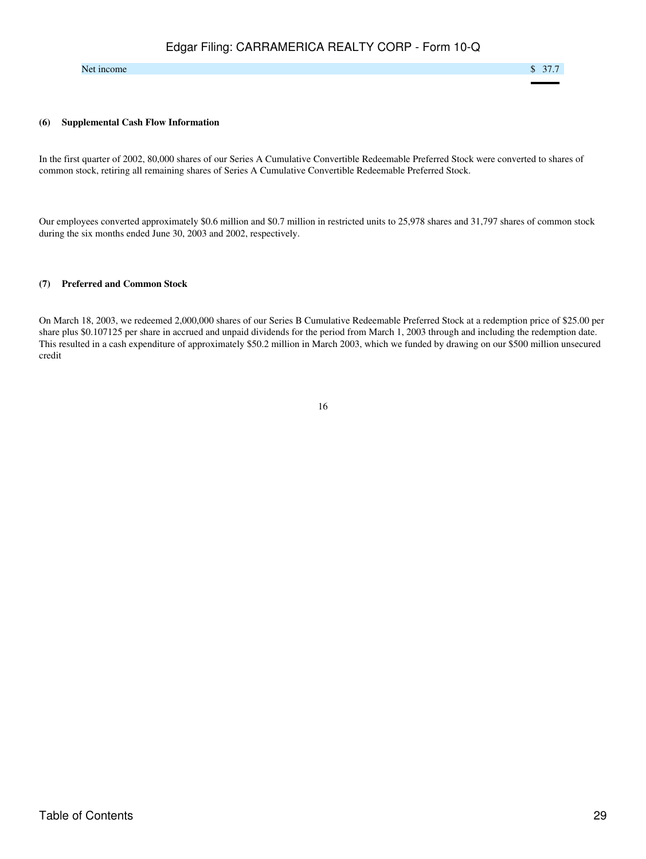#### Net income  $\sim$  37.7

#### **(6) Supplemental Cash Flow Information**

In the first quarter of 2002, 80,000 shares of our Series A Cumulative Convertible Redeemable Preferred Stock were converted to shares of common stock, retiring all remaining shares of Series A Cumulative Convertible Redeemable Preferred Stock.

Our employees converted approximately \$0.6 million and \$0.7 million in restricted units to 25,978 shares and 31,797 shares of common stock during the six months ended June 30, 2003 and 2002, respectively.

#### **(7) Preferred and Common Stock**

On March 18, 2003, we redeemed 2,000,000 shares of our Series B Cumulative Redeemable Preferred Stock at a redemption price of \$25.00 per share plus \$0.107125 per share in accrued and unpaid dividends for the period from March 1, 2003 through and including the redemption date. This resulted in a cash expenditure of approximately \$50.2 million in March 2003, which we funded by drawing on our \$500 million unsecured credit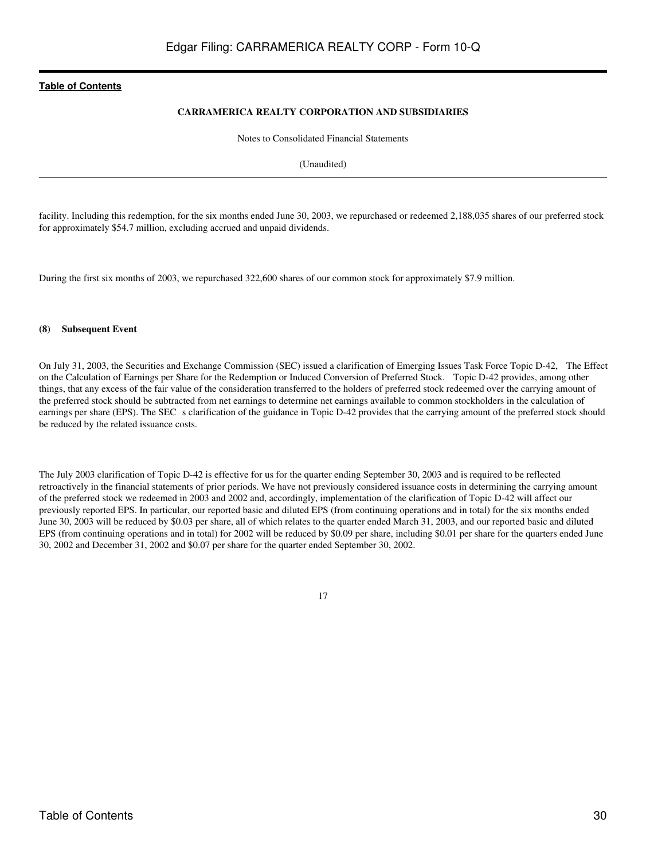#### **CARRAMERICA REALTY CORPORATION AND SUBSIDIARIES**

Notes to Consolidated Financial Statements

(Unaudited)

facility. Including this redemption, for the six months ended June 30, 2003, we repurchased or redeemed 2,188,035 shares of our preferred stock for approximately \$54.7 million, excluding accrued and unpaid dividends.

During the first six months of 2003, we repurchased 322,600 shares of our common stock for approximately \$7.9 million.

#### **(8) Subsequent Event**

On July 31, 2003, the Securities and Exchange Commission (SEC) issued a clarification of Emerging Issues Task Force Topic D-42, The Effect on the Calculation of Earnings per Share for the Redemption or Induced Conversion of Preferred Stock. Topic D-42 provides, among other things, that any excess of the fair value of the consideration transferred to the holders of preferred stock redeemed over the carrying amount of the preferred stock should be subtracted from net earnings to determine net earnings available to common stockholders in the calculation of earnings per share (EPS). The SEC s clarification of the guidance in Topic D-42 provides that the carrying amount of the preferred stock should be reduced by the related issuance costs.

The July 2003 clarification of Topic D-42 is effective for us for the quarter ending September 30, 2003 and is required to be reflected retroactively in the financial statements of prior periods. We have not previously considered issuance costs in determining the carrying amount of the preferred stock we redeemed in 2003 and 2002 and, accordingly, implementation of the clarification of Topic D-42 will affect our previously reported EPS. In particular, our reported basic and diluted EPS (from continuing operations and in total) for the six months ended June 30, 2003 will be reduced by \$0.03 per share, all of which relates to the quarter ended March 31, 2003, and our reported basic and diluted EPS (from continuing operations and in total) for 2002 will be reduced by \$0.09 per share, including \$0.01 per share for the quarters ended June 30, 2002 and December 31, 2002 and \$0.07 per share for the quarter ended September 30, 2002.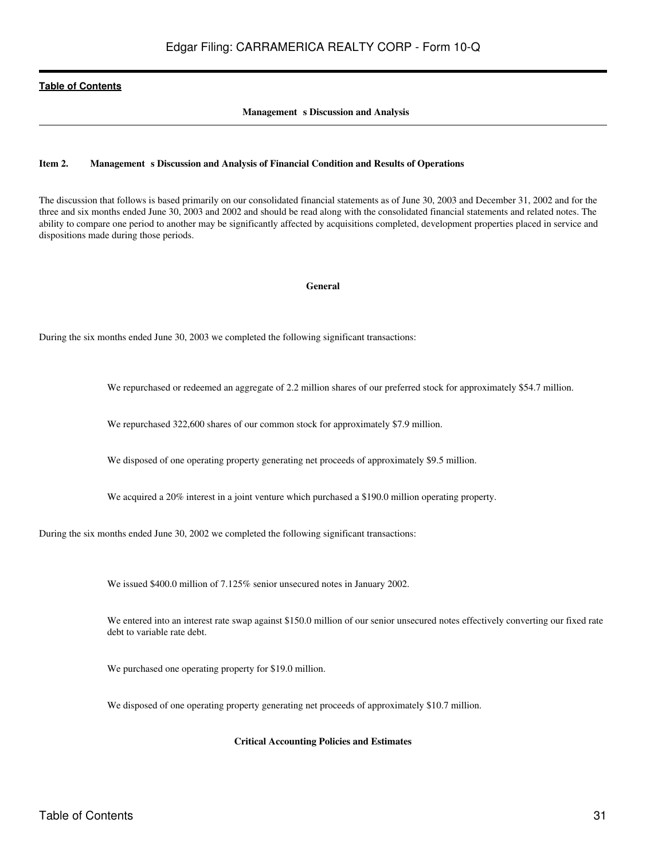#### **Management** s Discussion and Analysis

#### <span id="page-30-0"></span>**Item 2. Management s Discussion and Analysis of Financial Condition and Results of Operations**

The discussion that follows is based primarily on our consolidated financial statements as of June 30, 2003 and December 31, 2002 and for the three and six months ended June 30, 2003 and 2002 and should be read along with the consolidated financial statements and related notes. The ability to compare one period to another may be significantly affected by acquisitions completed, development properties placed in service and dispositions made during those periods.

#### **General**

During the six months ended June 30, 2003 we completed the following significant transactions:

We repurchased or redeemed an aggregate of 2.2 million shares of our preferred stock for approximately \$54.7 million.

We repurchased 322,600 shares of our common stock for approximately \$7.9 million.

We disposed of one operating property generating net proceeds of approximately \$9.5 million.

We acquired a 20% interest in a joint venture which purchased a \$190.0 million operating property.

During the six months ended June 30, 2002 we completed the following significant transactions:

We issued \$400.0 million of 7.125% senior unsecured notes in January 2002.

We entered into an interest rate swap against \$150.0 million of our senior unsecured notes effectively converting our fixed rate debt to variable rate debt.

We purchased one operating property for \$19.0 million.

We disposed of one operating property generating net proceeds of approximately \$10.7 million.

#### **Critical Accounting Policies and Estimates**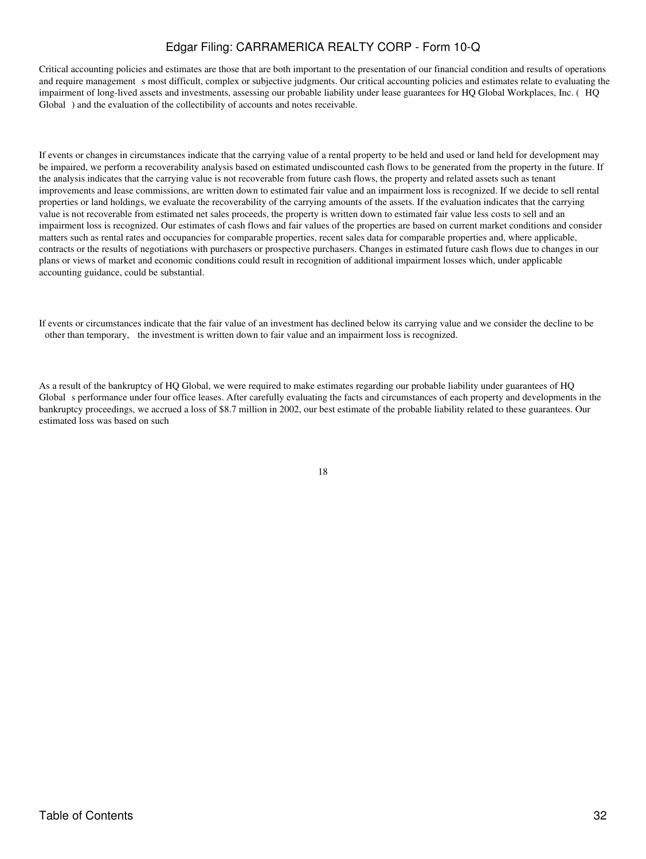Critical accounting policies and estimates are those that are both important to the presentation of our financial condition and results of operations and require management s most difficult, complex or subjective judgments. Our critical accounting policies and estimates relate to evaluating the impairment of long-lived assets and investments, assessing our probable liability under lease guarantees for HQ Global Workplaces, Inc. (HQ Global) and the evaluation of the collectibility of accounts and notes receivable.

If events or changes in circumstances indicate that the carrying value of a rental property to be held and used or land held for development may be impaired, we perform a recoverability analysis based on estimated undiscounted cash flows to be generated from the property in the future. If the analysis indicates that the carrying value is not recoverable from future cash flows, the property and related assets such as tenant improvements and lease commissions, are written down to estimated fair value and an impairment loss is recognized. If we decide to sell rental properties or land holdings, we evaluate the recoverability of the carrying amounts of the assets. If the evaluation indicates that the carrying value is not recoverable from estimated net sales proceeds, the property is written down to estimated fair value less costs to sell and an impairment loss is recognized. Our estimates of cash flows and fair values of the properties are based on current market conditions and consider matters such as rental rates and occupancies for comparable properties, recent sales data for comparable properties and, where applicable, contracts or the results of negotiations with purchasers or prospective purchasers. Changes in estimated future cash flows due to changes in our plans or views of market and economic conditions could result in recognition of additional impairment losses which, under applicable accounting guidance, could be substantial.

If events or circumstances indicate that the fair value of an investment has declined below its carrying value and we consider the decline to be other than temporary, the investment is written down to fair value and an impairment loss is recognized.

As a result of the bankruptcy of HQ Global, we were required to make estimates regarding our probable liability under guarantees of HQ Global s performance under four office leases. After carefully evaluating the facts and circumstances of each property and developments in the bankruptcy proceedings, we accrued a loss of \$8.7 million in 2002, our best estimate of the probable liability related to these guarantees. Our estimated loss was based on such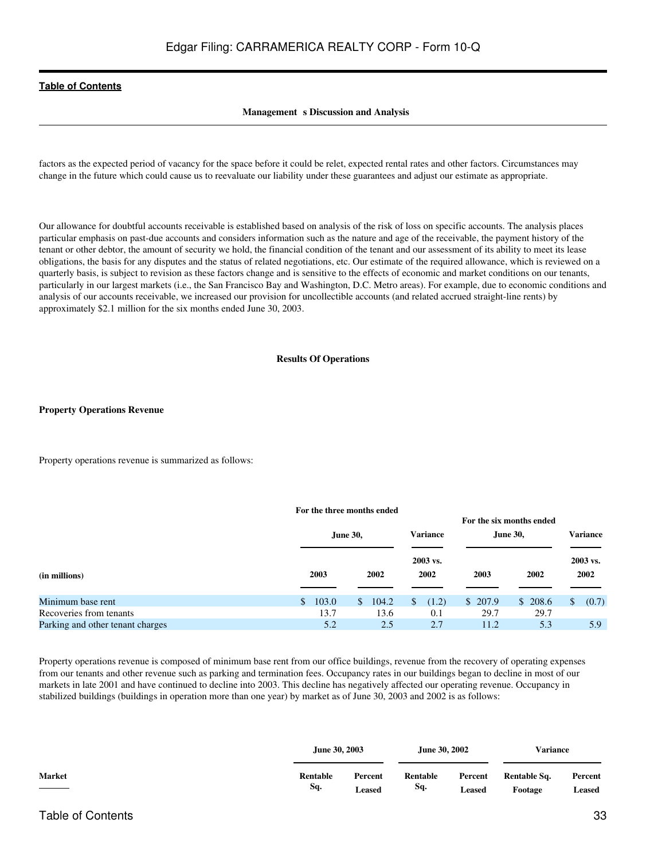#### **Management** s Discussion and Analysis

factors as the expected period of vacancy for the space before it could be relet, expected rental rates and other factors. Circumstances may change in the future which could cause us to reevaluate our liability under these guarantees and adjust our estimate as appropriate.

Our allowance for doubtful accounts receivable is established based on analysis of the risk of loss on specific accounts. The analysis places particular emphasis on past-due accounts and considers information such as the nature and age of the receivable, the payment history of the tenant or other debtor, the amount of security we hold, the financial condition of the tenant and our assessment of its ability to meet its lease obligations, the basis for any disputes and the status of related negotiations, etc. Our estimate of the required allowance, which is reviewed on a quarterly basis, is subject to revision as these factors change and is sensitive to the effects of economic and market conditions on our tenants, particularly in our largest markets (i.e., the San Francisco Bay and Washington, D.C. Metro areas). For example, due to economic conditions and analysis of our accounts receivable, we increased our provision for uncollectible accounts (and related accrued straight-line rents) by approximately \$2.1 million for the six months ended June 30, 2003.

#### **Results Of Operations**

#### **Property Operations Revenue**

Property operations revenue is summarized as follows:

#### **For the three months ended**

|                                  |                         |                 |                  | For the six months ended |                 |                  |  |
|----------------------------------|-------------------------|-----------------|------------------|--------------------------|-----------------|------------------|--|
|                                  |                         | <b>June 30,</b> | <b>Variance</b>  |                          | <b>June 30,</b> | <b>Variance</b>  |  |
| (in millions)                    | 2003                    | 2002            | 2003 vs.<br>2002 | 2003                     | 2002            | 2003 vs.<br>2002 |  |
| Minimum base rent                | 103.0<br>$\mathbb{S}^-$ | 104.2<br>\$     | (1.2)            | \$207.9                  | \$208.6         | (0.7)<br>\$      |  |
| Recoveries from tenants          | 13.7                    | 13.6            | 0.1              | 29.7                     | 29.7            |                  |  |
| Parking and other tenant charges | 5.2                     | 2.5             | 2.7              | 11.2                     | 5.3             | 5.9              |  |

Property operations revenue is composed of minimum base rent from our office buildings, revenue from the recovery of operating expenses from our tenants and other revenue such as parking and termination fees. Occupancy rates in our buildings began to decline in most of our markets in late 2001 and have continued to decline into 2003. This decline has negatively affected our operating revenue. Occupancy in stabilized buildings (buildings in operation more than one year) by market as of June 30, 2003 and 2002 is as follows:

|               | <b>June 30, 2003</b> |         | June 30, 2002 |         | <b>Variance</b> |         |
|---------------|----------------------|---------|---------------|---------|-----------------|---------|
| <b>Market</b> | Rentable             | Percent | Rentable      | Percent | Rentable Sq.    | Percent |
|               | Sq.                  | Leased  | Sq.           | Leased  | Footage         | Leased  |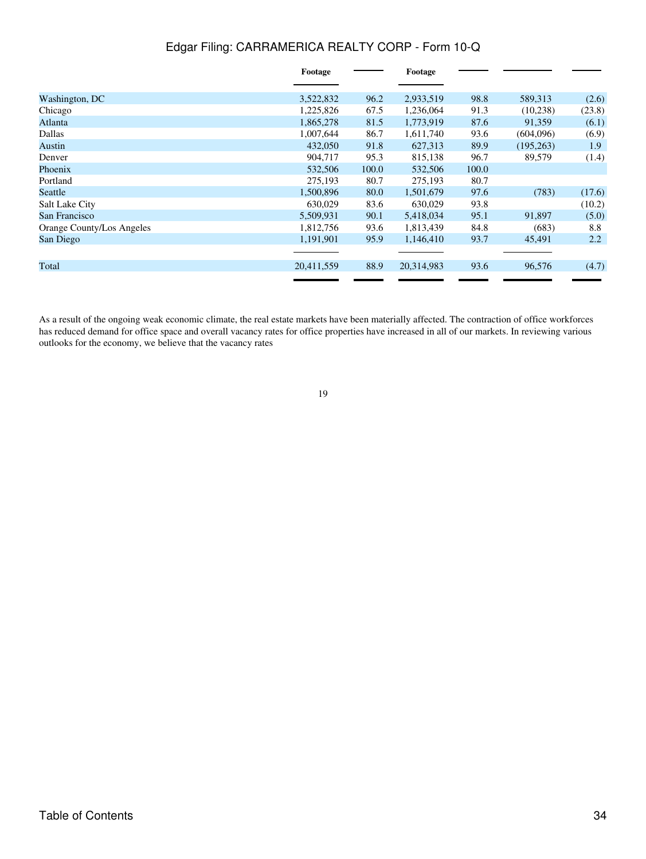|                           | Footage    |       | Footage    |       |            |        |
|---------------------------|------------|-------|------------|-------|------------|--------|
|                           |            |       |            |       |            |        |
| Washington, DC            | 3,522,832  | 96.2  | 2,933,519  | 98.8  | 589,313    | (2.6)  |
| Chicago                   | 1,225,826  | 67.5  | 1,236,064  | 91.3  | (10, 238)  | (23.8) |
| Atlanta                   | 1,865,278  | 81.5  | 1,773,919  | 87.6  | 91,359     | (6.1)  |
| Dallas                    | 1,007,644  | 86.7  | 1,611,740  | 93.6  | (604,096)  | (6.9)  |
| Austin                    | 432,050    | 91.8  | 627,313    | 89.9  | (195, 263) | 1.9    |
| Denver                    | 904,717    | 95.3  | 815,138    | 96.7  | 89,579     | (1.4)  |
| Phoenix                   | 532,506    | 100.0 | 532,506    | 100.0 |            |        |
| Portland                  | 275,193    | 80.7  | 275,193    | 80.7  |            |        |
| Seattle                   | 1,500,896  | 80.0  | 1,501,679  | 97.6  | (783)      | (17.6) |
| Salt Lake City            | 630,029    | 83.6  | 630,029    | 93.8  |            | (10.2) |
| San Francisco             | 5,509,931  | 90.1  | 5,418,034  | 95.1  | 91,897     | (5.0)  |
| Orange County/Los Angeles | 1,812,756  | 93.6  | 1,813,439  | 84.8  | (683)      | 8.8    |
| San Diego                 | 1,191,901  | 95.9  | 1,146,410  | 93.7  | 45,491     | 2.2    |
|                           |            |       |            |       |            |        |
| Total                     | 20,411,559 | 88.9  | 20,314,983 | 93.6  | 96,576     | (4.7)  |
|                           |            |       |            |       |            |        |

As a result of the ongoing weak economic climate, the real estate markets have been materially affected. The contraction of office workforces has reduced demand for office space and overall vacancy rates for office properties have increased in all of our markets. In reviewing various outlooks for the economy, we believe that the vacancy rates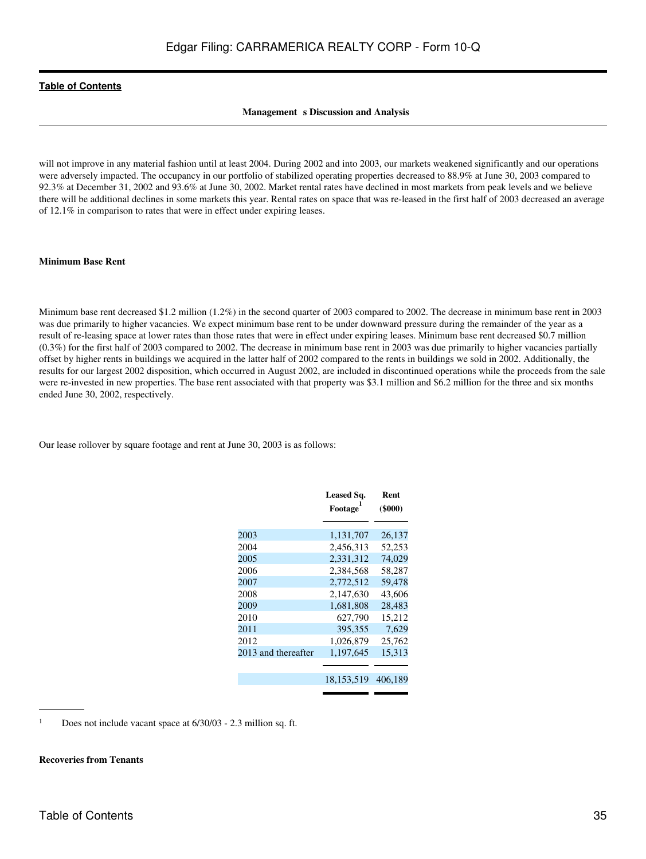#### **Management** s Discussion and Analysis

will not improve in any material fashion until at least 2004. During 2002 and into 2003, our markets weakened significantly and our operations were adversely impacted. The occupancy in our portfolio of stabilized operating properties decreased to 88.9% at June 30, 2003 compared to 92.3% at December 31, 2002 and 93.6% at June 30, 2002. Market rental rates have declined in most markets from peak levels and we believe there will be additional declines in some markets this year. Rental rates on space that was re-leased in the first half of 2003 decreased an average of 12.1% in comparison to rates that were in effect under expiring leases.

#### **Minimum Base Rent**

Minimum base rent decreased \$1.2 million (1.2%) in the second quarter of 2003 compared to 2002. The decrease in minimum base rent in 2003 was due primarily to higher vacancies. We expect minimum base rent to be under downward pressure during the remainder of the year as a result of re-leasing space at lower rates than those rates that were in effect under expiring leases. Minimum base rent decreased \$0.7 million (0.3%) for the first half of 2003 compared to 2002. The decrease in minimum base rent in 2003 was due primarily to higher vacancies partially offset by higher rents in buildings we acquired in the latter half of 2002 compared to the rents in buildings we sold in 2002. Additionally, the results for our largest 2002 disposition, which occurred in August 2002, are included in discontinued operations while the proceeds from the sale were re-invested in new properties. The base rent associated with that property was \$3.1 million and \$6.2 million for the three and six months ended June 30, 2002, respectively.

Our lease rollover by square footage and rent at June 30, 2003 is as follows:

|                     | Leased Sq.<br>Footage | Rent<br>$($ \$000 $)$ |
|---------------------|-----------------------|-----------------------|
|                     |                       |                       |
| 2003                | 1,131,707             | 26,137                |
| 2004                | 2,456,313             | 52,253                |
| 2005                | 2.331.312             | 74.029                |
| 2006                | 2,384,568             | 58,287                |
| 2007                | 2,772,512             | 59,478                |
| 2008                | 2.147.630             | 43,606                |
| 2009                | 1,681,808             | 28,483                |
| 2010                | 627.790               | 15,212                |
| 2011                | 395,355               | 7,629                 |
| 2012                | 1,026,879             | 25,762                |
| 2013 and thereafter | 1,197,645             | 15,313                |
|                     |                       |                       |
|                     | 18, 153, 519          | 406,189               |
|                     |                       |                       |

<sup>1</sup> Does not include vacant space at  $6/30/03$  - 2.3 million sq. ft.

#### **Recoveries from Tenants**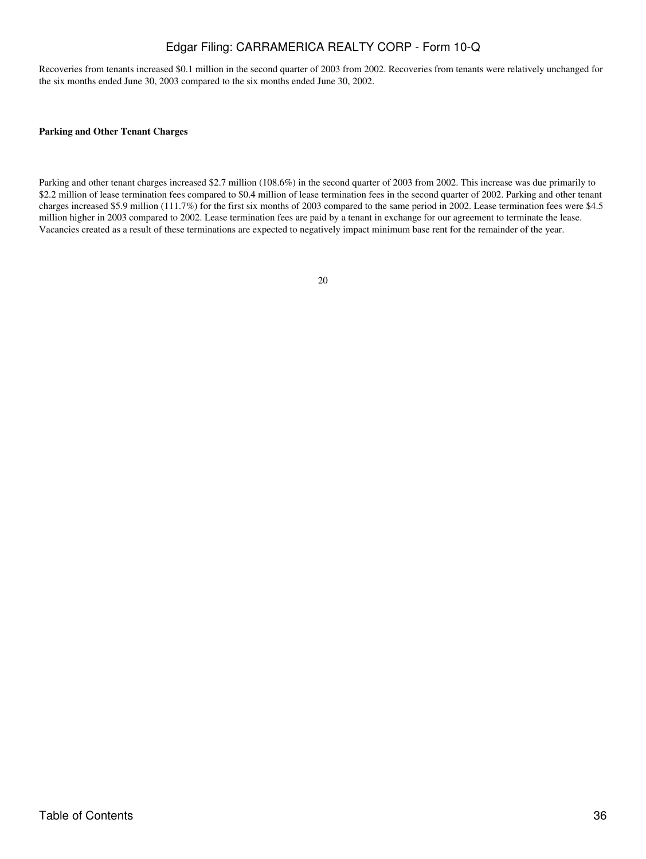Recoveries from tenants increased \$0.1 million in the second quarter of 2003 from 2002. Recoveries from tenants were relatively unchanged for the six months ended June 30, 2003 compared to the six months ended June 30, 2002.

#### **Parking and Other Tenant Charges**

Parking and other tenant charges increased \$2.7 million (108.6%) in the second quarter of 2003 from 2002. This increase was due primarily to \$2.2 million of lease termination fees compared to \$0.4 million of lease termination fees in the second quarter of 2002. Parking and other tenant charges increased \$5.9 million (111.7%) for the first six months of 2003 compared to the same period in 2002. Lease termination fees were \$4.5 million higher in 2003 compared to 2002. Lease termination fees are paid by a tenant in exchange for our agreement to terminate the lease. Vacancies created as a result of these terminations are expected to negatively impact minimum base rent for the remainder of the year.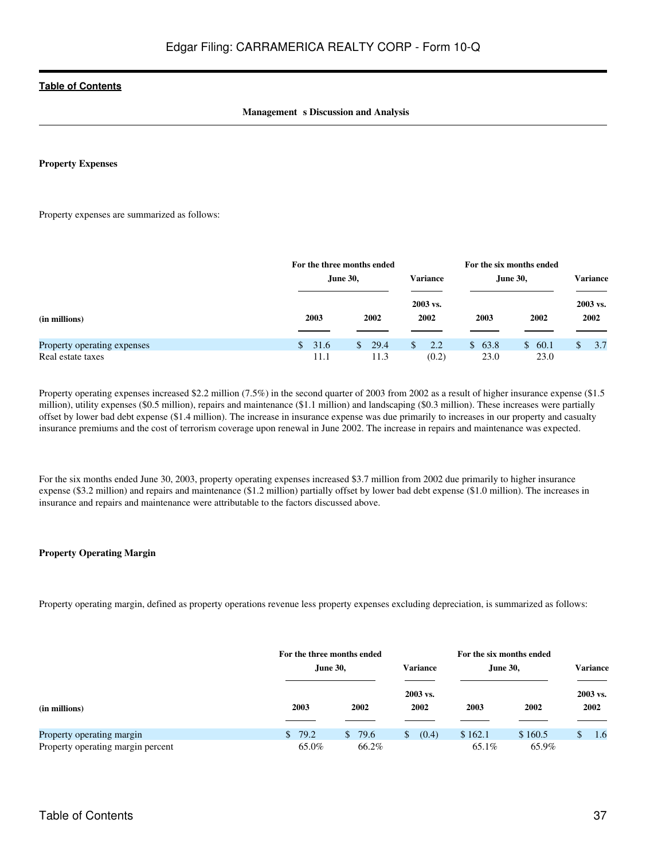#### **Management** s Discussion and Analysis

#### **Property Expenses**

Property expenses are summarized as follows:

|                                                  | For the three months ended   |                              |                     | For the six months ended |                |                  |  |
|--------------------------------------------------|------------------------------|------------------------------|---------------------|--------------------------|----------------|------------------|--|
|                                                  | June 30,                     |                              | Variance            | <b>June 30,</b>          |                | Variance         |  |
| (in millions)                                    | 2003                         | 2002                         | 2003 vs.<br>2002    | 2003                     | 2002           | 2003 vs.<br>2002 |  |
| Property operating expenses<br>Real estate taxes | $\mathbf{s}$<br>31.6<br>11.1 | 29.4<br>$\mathbf{s}$<br>11.3 | 2.2<br>\$.<br>(0.2) | \$63.8<br>23.0           | \$60.1<br>23.0 | 3.7              |  |

Property operating expenses increased \$2.2 million (7.5%) in the second quarter of 2003 from 2002 as a result of higher insurance expense (\$1.5) million), utility expenses (\$0.5 million), repairs and maintenance (\$1.1 million) and landscaping (\$0.3 million). These increases were partially offset by lower bad debt expense (\$1.4 million). The increase in insurance expense was due primarily to increases in our property and casualty insurance premiums and the cost of terrorism coverage upon renewal in June 2002. The increase in repairs and maintenance was expected.

For the six months ended June 30, 2003, property operating expenses increased \$3.7 million from 2002 due primarily to higher insurance expense (\$3.2 million) and repairs and maintenance (\$1.2 million) partially offset by lower bad debt expense (\$1.0 million). The increases in insurance and repairs and maintenance were attributable to the factors discussed above.

#### **Property Operating Margin**

Property operating margin, defined as property operations revenue less property expenses excluding depreciation, is summarized as follows:

|                                                                |                 | For the three months ended<br><b>Variance</b><br>June 30, |                  |                  | For the six months ended<br>June 30, |                  |  |
|----------------------------------------------------------------|-----------------|-----------------------------------------------------------|------------------|------------------|--------------------------------------|------------------|--|
| (in millions)                                                  | 2003            | 2002                                                      | 2003 vs.<br>2002 | 2003             | 2002                                 | 2003 vs.<br>2002 |  |
| Property operating margin<br>Property operating margin percent | \$79.2<br>65.0% | 79.6<br>\$.<br>66.2%                                      | (0.4)<br>\$.     | \$162.1<br>65.1% | \$160.5<br>65.9%                     | 1.6              |  |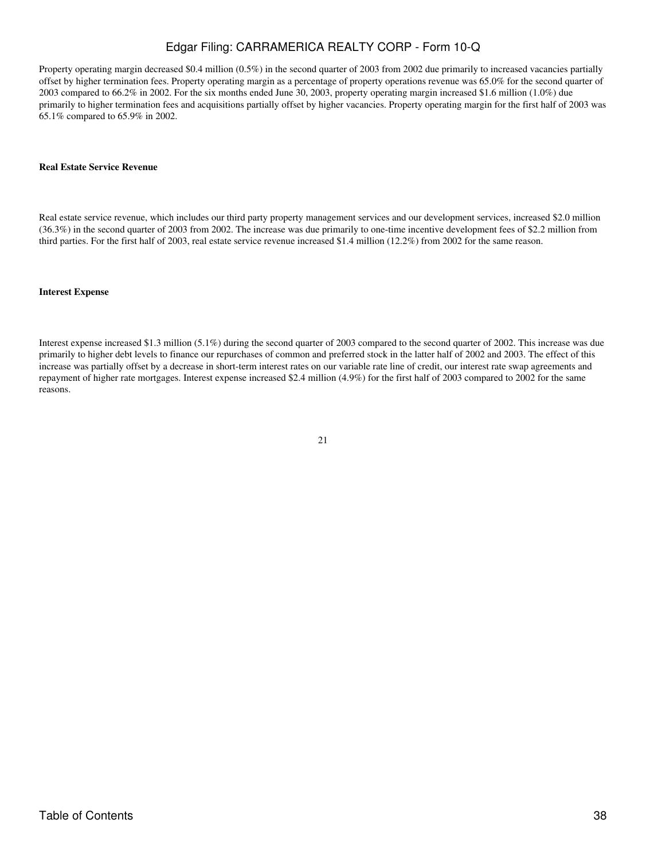Property operating margin decreased \$0.4 million (0.5%) in the second quarter of 2003 from 2002 due primarily to increased vacancies partially offset by higher termination fees. Property operating margin as a percentage of property operations revenue was 65.0% for the second quarter of 2003 compared to 66.2% in 2002. For the six months ended June 30, 2003, property operating margin increased \$1.6 million (1.0%) due primarily to higher termination fees and acquisitions partially offset by higher vacancies. Property operating margin for the first half of 2003 was 65.1% compared to 65.9% in 2002.

#### **Real Estate Service Revenue**

Real estate service revenue, which includes our third party property management services and our development services, increased \$2.0 million (36.3%) in the second quarter of 2003 from 2002. The increase was due primarily to one-time incentive development fees of \$2.2 million from third parties. For the first half of 2003, real estate service revenue increased \$1.4 million (12.2%) from 2002 for the same reason.

#### **Interest Expense**

Interest expense increased \$1.3 million (5.1%) during the second quarter of 2003 compared to the second quarter of 2002. This increase was due primarily to higher debt levels to finance our repurchases of common and preferred stock in the latter half of 2002 and 2003. The effect of this increase was partially offset by a decrease in short-term interest rates on our variable rate line of credit, our interest rate swap agreements and repayment of higher rate mortgages. Interest expense increased \$2.4 million (4.9%) for the first half of 2003 compared to 2002 for the same reasons.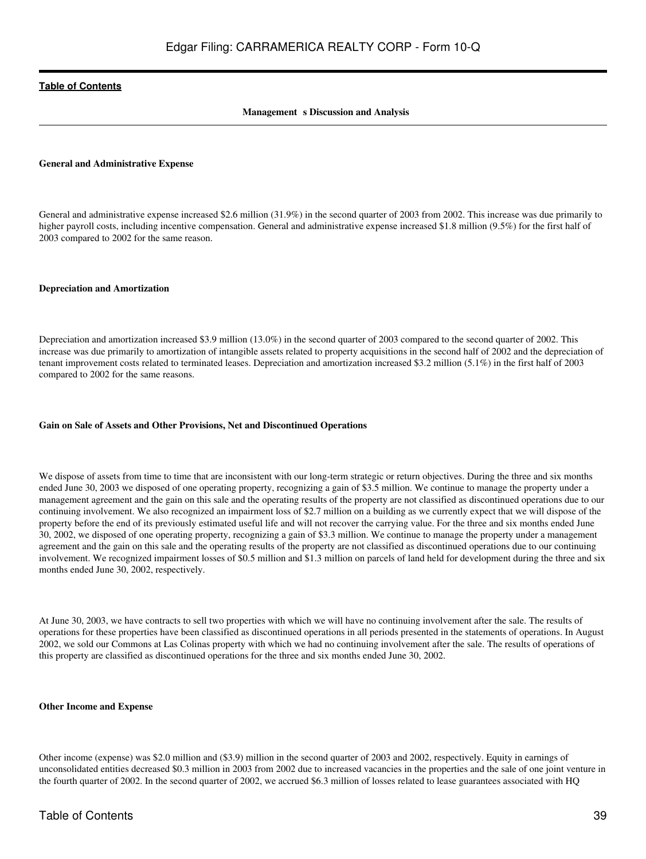#### **Management** s Discussion and Analysis

#### **General and Administrative Expense**

General and administrative expense increased \$2.6 million (31.9%) in the second quarter of 2003 from 2002. This increase was due primarily to higher payroll costs, including incentive compensation. General and administrative expense increased \$1.8 million (9.5%) for the first half of 2003 compared to 2002 for the same reason.

#### **Depreciation and Amortization**

Depreciation and amortization increased \$3.9 million (13.0%) in the second quarter of 2003 compared to the second quarter of 2002. This increase was due primarily to amortization of intangible assets related to property acquisitions in the second half of 2002 and the depreciation of tenant improvement costs related to terminated leases. Depreciation and amortization increased \$3.2 million (5.1%) in the first half of 2003 compared to 2002 for the same reasons.

#### **Gain on Sale of Assets and Other Provisions, Net and Discontinued Operations**

We dispose of assets from time to time that are inconsistent with our long-term strategic or return objectives. During the three and six months ended June 30, 2003 we disposed of one operating property, recognizing a gain of \$3.5 million. We continue to manage the property under a management agreement and the gain on this sale and the operating results of the property are not classified as discontinued operations due to our continuing involvement. We also recognized an impairment loss of \$2.7 million on a building as we currently expect that we will dispose of the property before the end of its previously estimated useful life and will not recover the carrying value. For the three and six months ended June 30, 2002, we disposed of one operating property, recognizing a gain of \$3.3 million. We continue to manage the property under a management agreement and the gain on this sale and the operating results of the property are not classified as discontinued operations due to our continuing involvement. We recognized impairment losses of \$0.5 million and \$1.3 million on parcels of land held for development during the three and six months ended June 30, 2002, respectively.

At June 30, 2003, we have contracts to sell two properties with which we will have no continuing involvement after the sale. The results of operations for these properties have been classified as discontinued operations in all periods presented in the statements of operations. In August 2002, we sold our Commons at Las Colinas property with which we had no continuing involvement after the sale. The results of operations of this property are classified as discontinued operations for the three and six months ended June 30, 2002.

#### **Other Income and Expense**

Other income (expense) was \$2.0 million and (\$3.9) million in the second quarter of 2003 and 2002, respectively. Equity in earnings of unconsolidated entities decreased \$0.3 million in 2003 from 2002 due to increased vacancies in the properties and the sale of one joint venture in the fourth quarter of 2002. In the second quarter of 2002, we accrued \$6.3 million of losses related to lease guarantees associated with HQ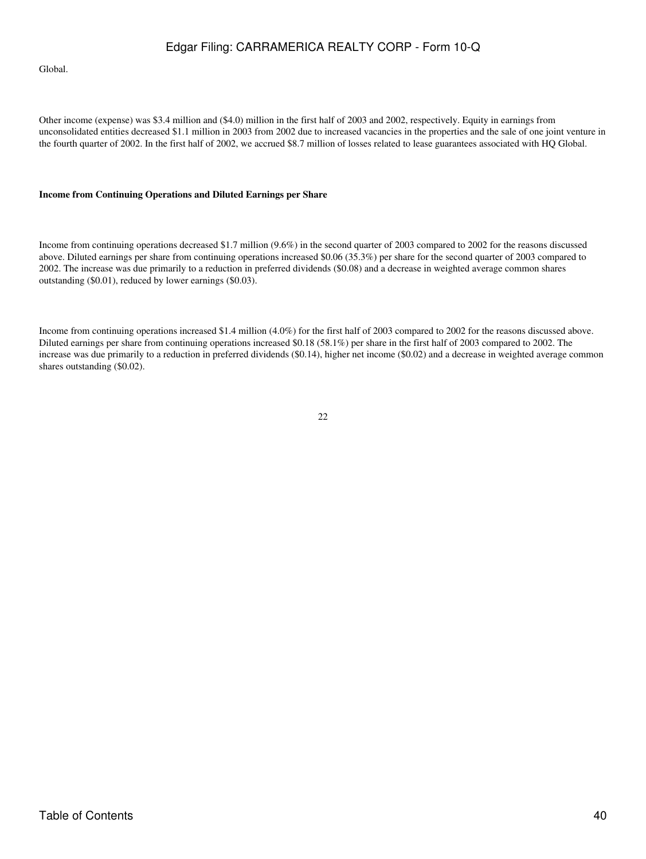Global.

Other income (expense) was \$3.4 million and (\$4.0) million in the first half of 2003 and 2002, respectively. Equity in earnings from unconsolidated entities decreased \$1.1 million in 2003 from 2002 due to increased vacancies in the properties and the sale of one joint venture in the fourth quarter of 2002. In the first half of 2002, we accrued \$8.7 million of losses related to lease guarantees associated with HQ Global.

#### **Income from Continuing Operations and Diluted Earnings per Share**

Income from continuing operations decreased \$1.7 million (9.6%) in the second quarter of 2003 compared to 2002 for the reasons discussed above. Diluted earnings per share from continuing operations increased \$0.06 (35.3%) per share for the second quarter of 2003 compared to 2002. The increase was due primarily to a reduction in preferred dividends (\$0.08) and a decrease in weighted average common shares outstanding (\$0.01), reduced by lower earnings (\$0.03).

Income from continuing operations increased \$1.4 million (4.0%) for the first half of 2003 compared to 2002 for the reasons discussed above. Diluted earnings per share from continuing operations increased \$0.18 (58.1%) per share in the first half of 2003 compared to 2002. The increase was due primarily to a reduction in preferred dividends (\$0.14), higher net income (\$0.02) and a decrease in weighted average common shares outstanding (\$0.02).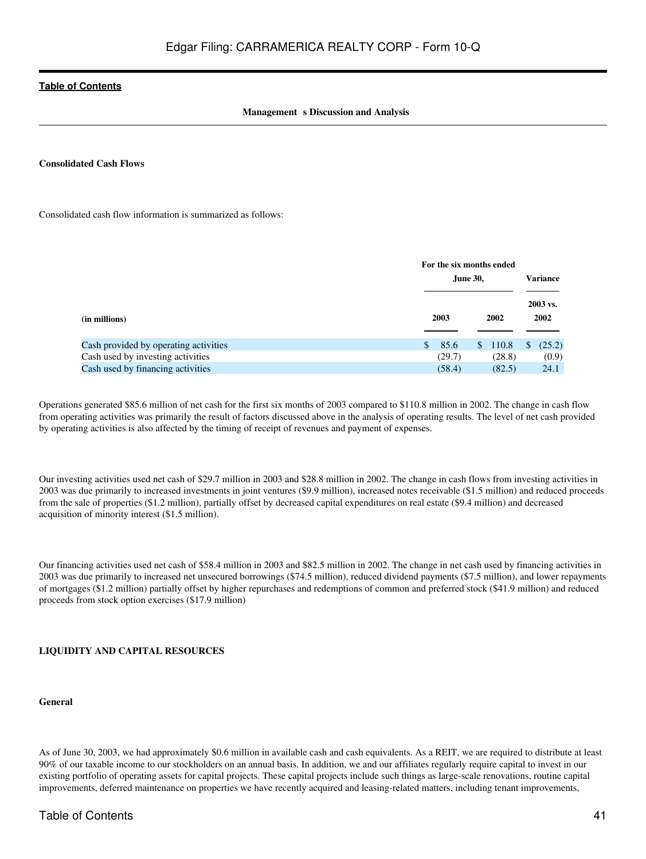#### **Management** s Discussion and Analysis

#### **Consolidated Cash Flows**

Consolidated cash flow information is summarized as follows:

|                                       |               | For the six months ended<br>June 30, |                  |  |  |
|---------------------------------------|---------------|--------------------------------------|------------------|--|--|
| (in millions)                         | 2003          | 2002                                 | 2003 vs.<br>2002 |  |  |
| Cash provided by operating activities | <sup>\$</sup> | 85.6<br>110.8<br>$\mathcal{S}$       | (25.2)<br>S      |  |  |
| Cash used by investing activities     |               | (29.7)<br>(28.8)                     | (0.9)            |  |  |
| Cash used by financing activities     |               | (58.4)<br>(82.5)                     | 24.1             |  |  |

Operations generated \$85.6 million of net cash for the first six months of 2003 compared to \$110.8 million in 2002. The change in cash flow from operating activities was primarily the result of factors discussed above in the analysis of operating results. The level of net cash provided by operating activities is also affected by the timing of receipt of revenues and payment of expenses.

Our investing activities used net cash of \$29.7 million in 2003 and \$28.8 million in 2002. The change in cash flows from investing activities in 2003 was due primarily to increased investments in joint ventures (\$9.9 million), increased notes receivable (\$1.5 million) and reduced proceeds from the sale of properties (\$1.2 million), partially offset by decreased capital expenditures on real estate (\$9.4 million) and decreased acquisition of minority interest (\$1.5 million).

Our financing activities used net cash of \$58.4 million in 2003 and \$82.5 million in 2002. The change in net cash used by financing activities in 2003 was due primarily to increased net unsecured borrowings (\$74.5 million), reduced dividend payments (\$7.5 million), and lower repayments of mortgages (\$1.2 million) partially offset by higher repurchases and redemptions of common and preferred stock (\$41.9 million) and reduced proceeds from stock option exercises (\$17.9 million)

#### **LIQUIDITY AND CAPITAL RESOURCES**

#### **General**

As of June 30, 2003, we had approximately \$0.6 million in available cash and cash equivalents. As a REIT, we are required to distribute at least 90% of our taxable income to our stockholders on an annual basis. In addition, we and our affiliates regularly require capital to invest in our existing portfolio of operating assets for capital projects. These capital projects include such things as large-scale renovations, routine capital improvements, deferred maintenance on properties we have recently acquired and leasing-related matters, including tenant improvements,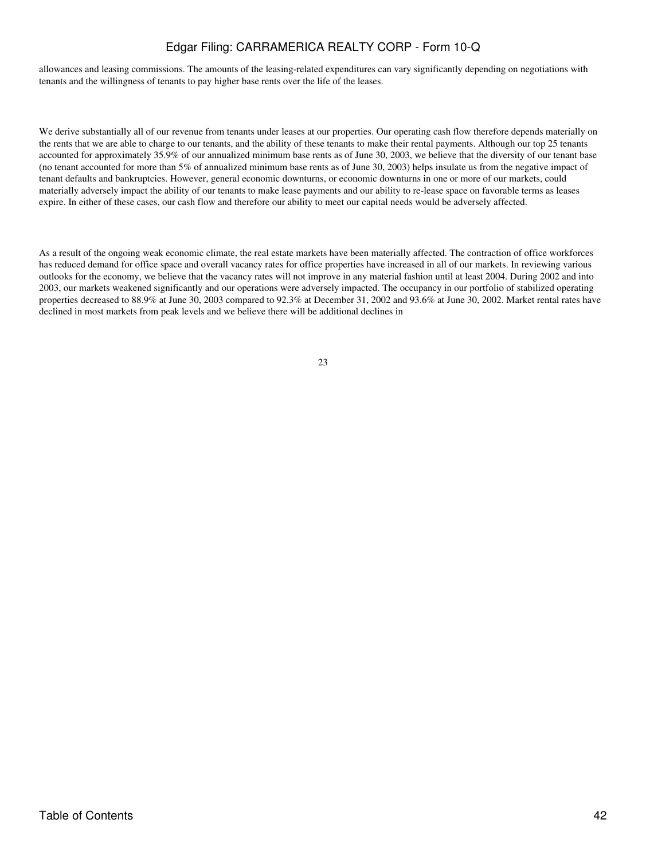allowances and leasing commissions. The amounts of the leasing-related expenditures can vary significantly depending on negotiations with tenants and the willingness of tenants to pay higher base rents over the life of the leases.

We derive substantially all of our revenue from tenants under leases at our properties. Our operating cash flow therefore depends materially on the rents that we are able to charge to our tenants, and the ability of these tenants to make their rental payments. Although our top 25 tenants accounted for approximately 35.9% of our annualized minimum base rents as of June 30, 2003, we believe that the diversity of our tenant base (no tenant accounted for more than 5% of annualized minimum base rents as of June 30, 2003) helps insulate us from the negative impact of tenant defaults and bankruptcies. However, general economic downturns, or economic downturns in one or more of our markets, could materially adversely impact the ability of our tenants to make lease payments and our ability to re-lease space on favorable terms as leases expire. In either of these cases, our cash flow and therefore our ability to meet our capital needs would be adversely affected.

As a result of the ongoing weak economic climate, the real estate markets have been materially affected. The contraction of office workforces has reduced demand for office space and overall vacancy rates for office properties have increased in all of our markets. In reviewing various outlooks for the economy, we believe that the vacancy rates will not improve in any material fashion until at least 2004. During 2002 and into 2003, our markets weakened significantly and our operations were adversely impacted. The occupancy in our portfolio of stabilized operating properties decreased to 88.9% at June 30, 2003 compared to 92.3% at December 31, 2002 and 93.6% at June 30, 2002. Market rental rates have declined in most markets from peak levels and we believe there will be additional declines in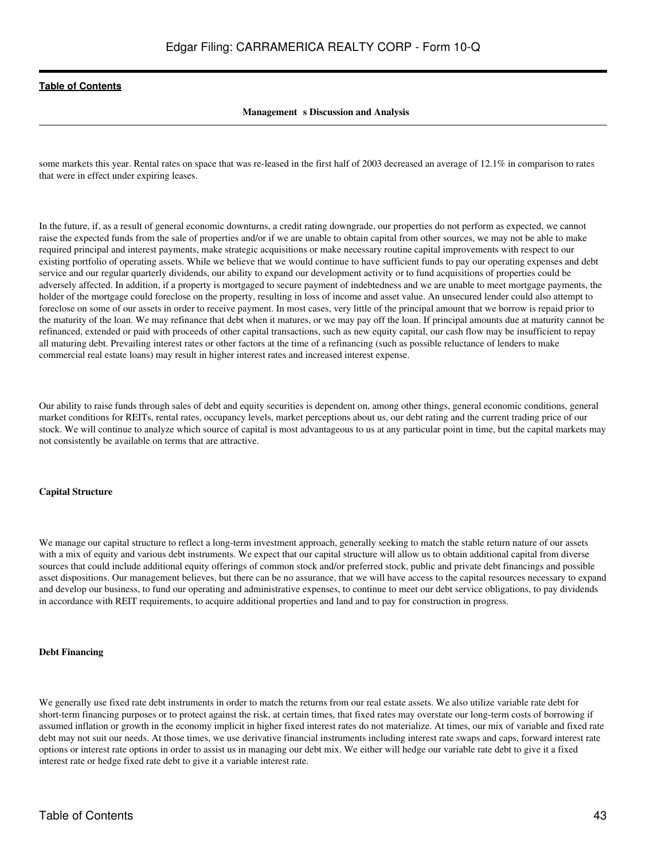#### **Management** s Discussion and Analysis

some markets this year. Rental rates on space that was re-leased in the first half of 2003 decreased an average of 12.1% in comparison to rates that were in effect under expiring leases.

In the future, if, as a result of general economic downturns, a credit rating downgrade, our properties do not perform as expected, we cannot raise the expected funds from the sale of properties and/or if we are unable to obtain capital from other sources, we may not be able to make required principal and interest payments, make strategic acquisitions or make necessary routine capital improvements with respect to our existing portfolio of operating assets. While we believe that we would continue to have sufficient funds to pay our operating expenses and debt service and our regular quarterly dividends, our ability to expand our development activity or to fund acquisitions of properties could be adversely affected. In addition, if a property is mortgaged to secure payment of indebtedness and we are unable to meet mortgage payments, the holder of the mortgage could foreclose on the property, resulting in loss of income and asset value. An unsecured lender could also attempt to foreclose on some of our assets in order to receive payment. In most cases, very little of the principal amount that we borrow is repaid prior to the maturity of the loan. We may refinance that debt when it matures, or we may pay off the loan. If principal amounts due at maturity cannot be refinanced, extended or paid with proceeds of other capital transactions, such as new equity capital, our cash flow may be insufficient to repay all maturing debt. Prevailing interest rates or other factors at the time of a refinancing (such as possible reluctance of lenders to make commercial real estate loans) may result in higher interest rates and increased interest expense.

Our ability to raise funds through sales of debt and equity securities is dependent on, among other things, general economic conditions, general market conditions for REITs, rental rates, occupancy levels, market perceptions about us, our debt rating and the current trading price of our stock. We will continue to analyze which source of capital is most advantageous to us at any particular point in time, but the capital markets may not consistently be available on terms that are attractive.

#### **Capital Structure**

We manage our capital structure to reflect a long-term investment approach, generally seeking to match the stable return nature of our assets with a mix of equity and various debt instruments. We expect that our capital structure will allow us to obtain additional capital from diverse sources that could include additional equity offerings of common stock and/or preferred stock, public and private debt financings and possible asset dispositions. Our management believes, but there can be no assurance, that we will have access to the capital resources necessary to expand and develop our business, to fund our operating and administrative expenses, to continue to meet our debt service obligations, to pay dividends in accordance with REIT requirements, to acquire additional properties and land and to pay for construction in progress.

#### **Debt Financing**

We generally use fixed rate debt instruments in order to match the returns from our real estate assets. We also utilize variable rate debt for short-term financing purposes or to protect against the risk, at certain times, that fixed rates may overstate our long-term costs of borrowing if assumed inflation or growth in the economy implicit in higher fixed interest rates do not materialize. At times, our mix of variable and fixed rate debt may not suit our needs. At those times, we use derivative financial instruments including interest rate swaps and caps, forward interest rate options or interest rate options in order to assist us in managing our debt mix. We either will hedge our variable rate debt to give it a fixed interest rate or hedge fixed rate debt to give it a variable interest rate.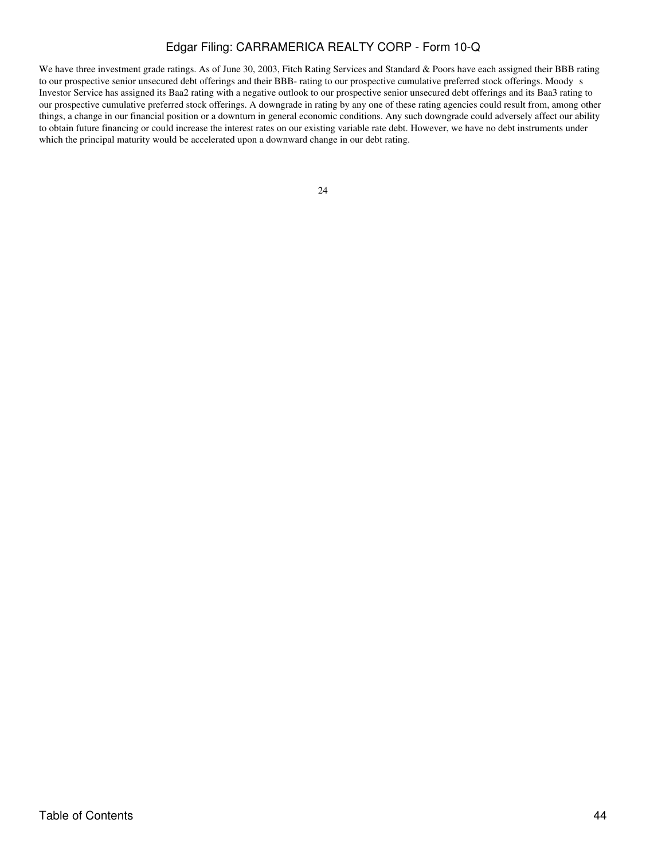We have three investment grade ratings. As of June 30, 2003, Fitch Rating Services and Standard & Poors have each assigned their BBB rating to our prospective senior unsecured debt offerings and their BBB- rating to our prospective cumulative preferred stock offerings. Moodys Investor Service has assigned its Baa2 rating with a negative outlook to our prospective senior unsecured debt offerings and its Baa3 rating to our prospective cumulative preferred stock offerings. A downgrade in rating by any one of these rating agencies could result from, among other things, a change in our financial position or a downturn in general economic conditions. Any such downgrade could adversely affect our ability to obtain future financing or could increase the interest rates on our existing variable rate debt. However, we have no debt instruments under which the principal maturity would be accelerated upon a downward change in our debt rating.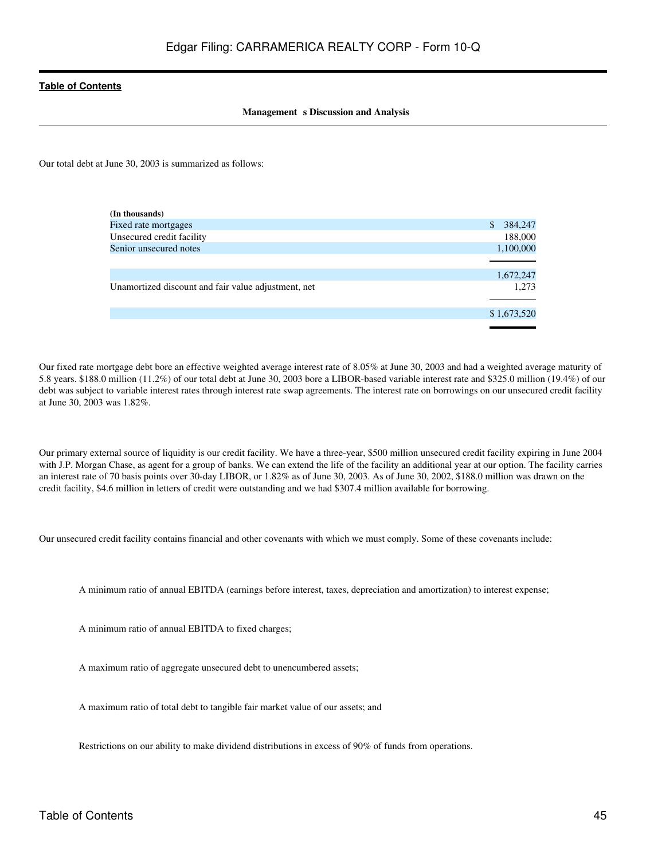#### **Management** s Discussion and Analysis

Our total debt at June 30, 2003 is summarized as follows:

| (In thousands)                                      |              |             |
|-----------------------------------------------------|--------------|-------------|
| Fixed rate mortgages                                | <sup>S</sup> | 384,247     |
| Unsecured credit facility                           |              | 188,000     |
| Senior unsecured notes                              |              | 1,100,000   |
|                                                     |              |             |
|                                                     |              | 1,672,247   |
| Unamortized discount and fair value adjustment, net |              | 1,273       |
|                                                     |              |             |
|                                                     |              | \$1,673,520 |
|                                                     |              |             |

Our fixed rate mortgage debt bore an effective weighted average interest rate of 8.05% at June 30, 2003 and had a weighted average maturity of 5.8 years. \$188.0 million (11.2%) of our total debt at June 30, 2003 bore a LIBOR-based variable interest rate and \$325.0 million (19.4%) of our debt was subject to variable interest rates through interest rate swap agreements. The interest rate on borrowings on our unsecured credit facility at June 30, 2003 was 1.82%.

Our primary external source of liquidity is our credit facility. We have a three-year, \$500 million unsecured credit facility expiring in June 2004 with J.P. Morgan Chase, as agent for a group of banks. We can extend the life of the facility an additional year at our option. The facility carries an interest rate of 70 basis points over 30-day LIBOR, or 1.82% as of June 30, 2003. As of June 30, 2002, \$188.0 million was drawn on the credit facility, \$4.6 million in letters of credit were outstanding and we had \$307.4 million available for borrowing.

Our unsecured credit facility contains financial and other covenants with which we must comply. Some of these covenants include:

A minimum ratio of annual EBITDA (earnings before interest, taxes, depreciation and amortization) to interest expense;

A minimum ratio of annual EBITDA to fixed charges;

A maximum ratio of aggregate unsecured debt to unencumbered assets;

A maximum ratio of total debt to tangible fair market value of our assets; and

Restrictions on our ability to make dividend distributions in excess of 90% of funds from operations.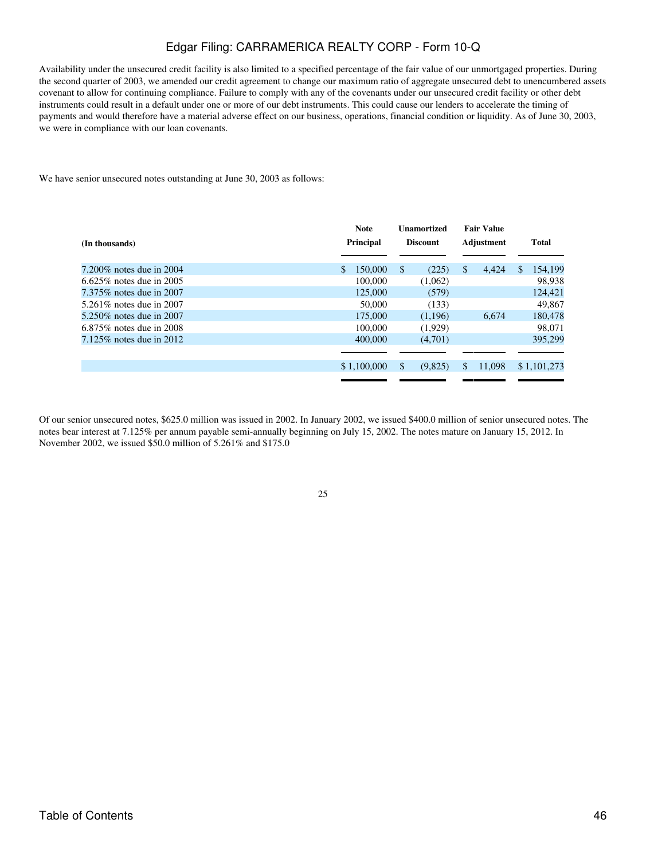Availability under the unsecured credit facility is also limited to a specified percentage of the fair value of our unmortgaged properties. During the second quarter of 2003, we amended our credit agreement to change our maximum ratio of aggregate unsecured debt to unencumbered assets covenant to allow for continuing compliance. Failure to comply with any of the covenants under our unsecured credit facility or other debt instruments could result in a default under one or more of our debt instruments. This could cause our lenders to accelerate the timing of payments and would therefore have a material adverse effect on our business, operations, financial condition or liquidity. As of June 30, 2003, we were in compliance with our loan covenants.

We have senior unsecured notes outstanding at June 30, 2003 as follows:

| (In thousands)              | <b>Note</b><br><b>Principal</b> | <b>Unamortized</b><br><b>Discount</b> | <b>Fair Value</b><br>Adjustment | <b>Total</b>             |
|-----------------------------|---------------------------------|---------------------------------------|---------------------------------|--------------------------|
| $7.200\%$ notes due in 2004 | 150,000<br>$\mathbb{S}$         | <sup>\$</sup><br>(225)                | \$<br>4.424                     | 154,199<br><sup>\$</sup> |
| 6.625\% notes due in 2005   | 100,000                         | (1,062)                               |                                 | 98,938                   |
| 7.375% notes due in 2007    | 125,000                         | (579)                                 |                                 | 124,421                  |
| 5.261\% notes due in 2007   | 50,000                          | (133)                                 |                                 | 49.867                   |
| 5.250\% notes due in 2007   | 175,000                         | (1.196)                               | 6.674                           | 180,478                  |
| $6.875\%$ notes due in 2008 | 100,000                         | (1,929)                               |                                 | 98,071                   |
| $7.125\%$ notes due in 2012 | 400,000                         | (4,701)                               |                                 | 395,299                  |
|                             |                                 |                                       |                                 |                          |
|                             | \$1,100,000                     | \$<br>(9,825)                         | \$<br>11,098                    | \$1,101,273              |
|                             |                                 |                                       |                                 |                          |

Of our senior unsecured notes, \$625.0 million was issued in 2002. In January 2002, we issued \$400.0 million of senior unsecured notes. The notes bear interest at 7.125% per annum payable semi-annually beginning on July 15, 2002. The notes mature on January 15, 2012. In November 2002, we issued \$50.0 million of 5.261% and \$175.0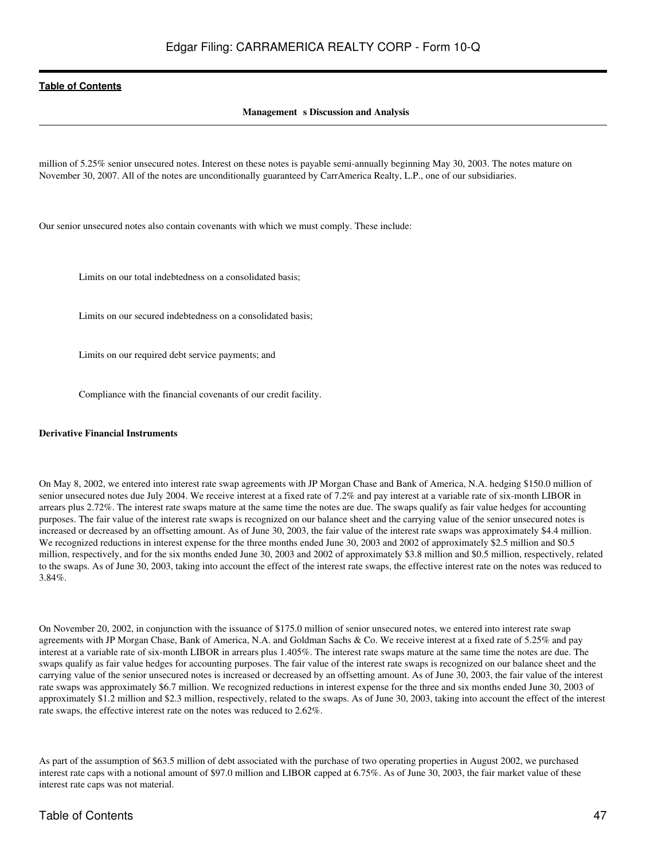#### **Management** s Discussion and Analysis

million of 5.25% senior unsecured notes. Interest on these notes is payable semi-annually beginning May 30, 2003. The notes mature on November 30, 2007. All of the notes are unconditionally guaranteed by CarrAmerica Realty, L.P., one of our subsidiaries.

Our senior unsecured notes also contain covenants with which we must comply. These include:

Limits on our total indebtedness on a consolidated basis;

Limits on our secured indebtedness on a consolidated basis;

Limits on our required debt service payments; and

Compliance with the financial covenants of our credit facility.

#### **Derivative Financial Instruments**

On May 8, 2002, we entered into interest rate swap agreements with JP Morgan Chase and Bank of America, N.A. hedging \$150.0 million of senior unsecured notes due July 2004. We receive interest at a fixed rate of 7.2% and pay interest at a variable rate of six-month LIBOR in arrears plus 2.72%. The interest rate swaps mature at the same time the notes are due. The swaps qualify as fair value hedges for accounting purposes. The fair value of the interest rate swaps is recognized on our balance sheet and the carrying value of the senior unsecured notes is increased or decreased by an offsetting amount. As of June 30, 2003, the fair value of the interest rate swaps was approximately \$4.4 million. We recognized reductions in interest expense for the three months ended June 30, 2003 and 2002 of approximately \$2.5 million and \$0.5 million, respectively, and for the six months ended June 30, 2003 and 2002 of approximately \$3.8 million and \$0.5 million, respectively, related to the swaps. As of June 30, 2003, taking into account the effect of the interest rate swaps, the effective interest rate on the notes was reduced to 3.84%.

On November 20, 2002, in conjunction with the issuance of \$175.0 million of senior unsecured notes, we entered into interest rate swap agreements with JP Morgan Chase, Bank of America, N.A. and Goldman Sachs & Co. We receive interest at a fixed rate of 5.25% and pay interest at a variable rate of six-month LIBOR in arrears plus 1.405%. The interest rate swaps mature at the same time the notes are due. The swaps qualify as fair value hedges for accounting purposes. The fair value of the interest rate swaps is recognized on our balance sheet and the carrying value of the senior unsecured notes is increased or decreased by an offsetting amount. As of June 30, 2003, the fair value of the interest rate swaps was approximately \$6.7 million. We recognized reductions in interest expense for the three and six months ended June 30, 2003 of approximately \$1.2 million and \$2.3 million, respectively, related to the swaps. As of June 30, 2003, taking into account the effect of the interest rate swaps, the effective interest rate on the notes was reduced to 2.62%.

As part of the assumption of \$63.5 million of debt associated with the purchase of two operating properties in August 2002, we purchased interest rate caps with a notional amount of \$97.0 million and LIBOR capped at 6.75%. As of June 30, 2003, the fair market value of these interest rate caps was not material.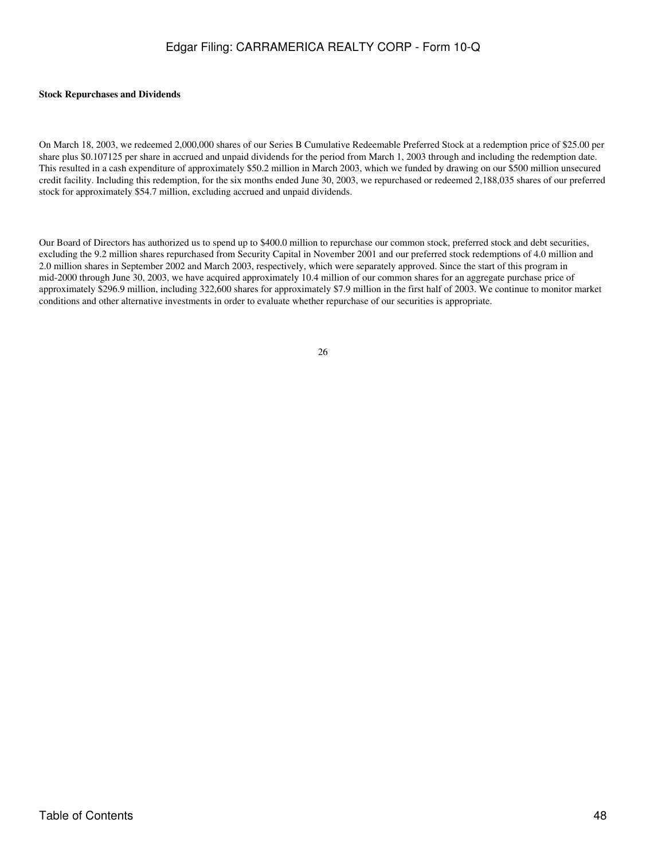#### **Stock Repurchases and Dividends**

On March 18, 2003, we redeemed 2,000,000 shares of our Series B Cumulative Redeemable Preferred Stock at a redemption price of \$25.00 per share plus \$0.107125 per share in accrued and unpaid dividends for the period from March 1, 2003 through and including the redemption date. This resulted in a cash expenditure of approximately \$50.2 million in March 2003, which we funded by drawing on our \$500 million unsecured credit facility. Including this redemption, for the six months ended June 30, 2003, we repurchased or redeemed 2,188,035 shares of our preferred stock for approximately \$54.7 million, excluding accrued and unpaid dividends.

Our Board of Directors has authorized us to spend up to \$400.0 million to repurchase our common stock, preferred stock and debt securities, excluding the 9.2 million shares repurchased from Security Capital in November 2001 and our preferred stock redemptions of 4.0 million and 2.0 million shares in September 2002 and March 2003, respectively, which were separately approved. Since the start of this program in mid-2000 through June 30, 2003, we have acquired approximately 10.4 million of our common shares for an aggregate purchase price of approximately \$296.9 million, including 322,600 shares for approximately \$7.9 million in the first half of 2003. We continue to monitor market conditions and other alternative investments in order to evaluate whether repurchase of our securities is appropriate.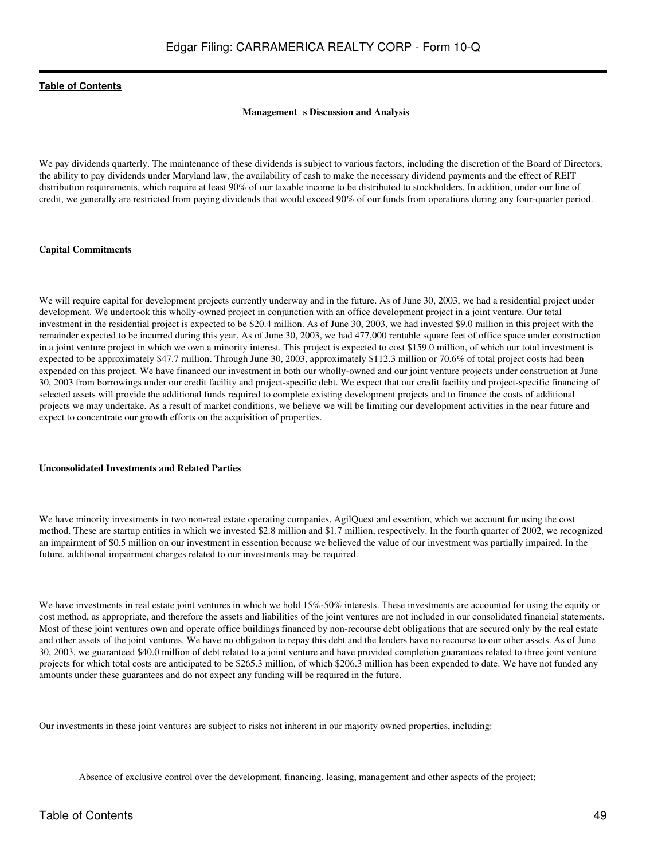#### **Management** s Discussion and Analysis

We pay dividends quarterly. The maintenance of these dividends is subject to various factors, including the discretion of the Board of Directors, the ability to pay dividends under Maryland law, the availability of cash to make the necessary dividend payments and the effect of REIT distribution requirements, which require at least 90% of our taxable income to be distributed to stockholders. In addition, under our line of credit, we generally are restricted from paying dividends that would exceed 90% of our funds from operations during any four-quarter period.

#### **Capital Commitments**

We will require capital for development projects currently underway and in the future. As of June 30, 2003, we had a residential project under development. We undertook this wholly-owned project in conjunction with an office development project in a joint venture. Our total investment in the residential project is expected to be \$20.4 million. As of June 30, 2003, we had invested \$9.0 million in this project with the remainder expected to be incurred during this year. As of June 30, 2003, we had 477,000 rentable square feet of office space under construction in a joint venture project in which we own a minority interest. This project is expected to cost \$159.0 million, of which our total investment is expected to be approximately \$47.7 million. Through June 30, 2003, approximately \$112.3 million or 70.6% of total project costs had been expended on this project. We have financed our investment in both our wholly-owned and our joint venture projects under construction at June 30, 2003 from borrowings under our credit facility and project-specific debt. We expect that our credit facility and project-specific financing of selected assets will provide the additional funds required to complete existing development projects and to finance the costs of additional projects we may undertake. As a result of market conditions, we believe we will be limiting our development activities in the near future and expect to concentrate our growth efforts on the acquisition of properties.

#### **Unconsolidated Investments and Related Parties**

We have minority investments in two non-real estate operating companies, AgilQuest and essention, which we account for using the cost method. These are startup entities in which we invested \$2.8 million and \$1.7 million, respectively. In the fourth quarter of 2002, we recognized an impairment of \$0.5 million on our investment in essention because we believed the value of our investment was partially impaired. In the future, additional impairment charges related to our investments may be required.

We have investments in real estate joint ventures in which we hold 15%-50% interests. These investments are accounted for using the equity or cost method, as appropriate, and therefore the assets and liabilities of the joint ventures are not included in our consolidated financial statements. Most of these joint ventures own and operate office buildings financed by non-recourse debt obligations that are secured only by the real estate and other assets of the joint ventures. We have no obligation to repay this debt and the lenders have no recourse to our other assets. As of June 30, 2003, we guaranteed \$40.0 million of debt related to a joint venture and have provided completion guarantees related to three joint venture projects for which total costs are anticipated to be \$265.3 million, of which \$206.3 million has been expended to date. We have not funded any amounts under these guarantees and do not expect any funding will be required in the future.

Our investments in these joint ventures are subject to risks not inherent in our majority owned properties, including:

Absence of exclusive control over the development, financing, leasing, management and other aspects of the project;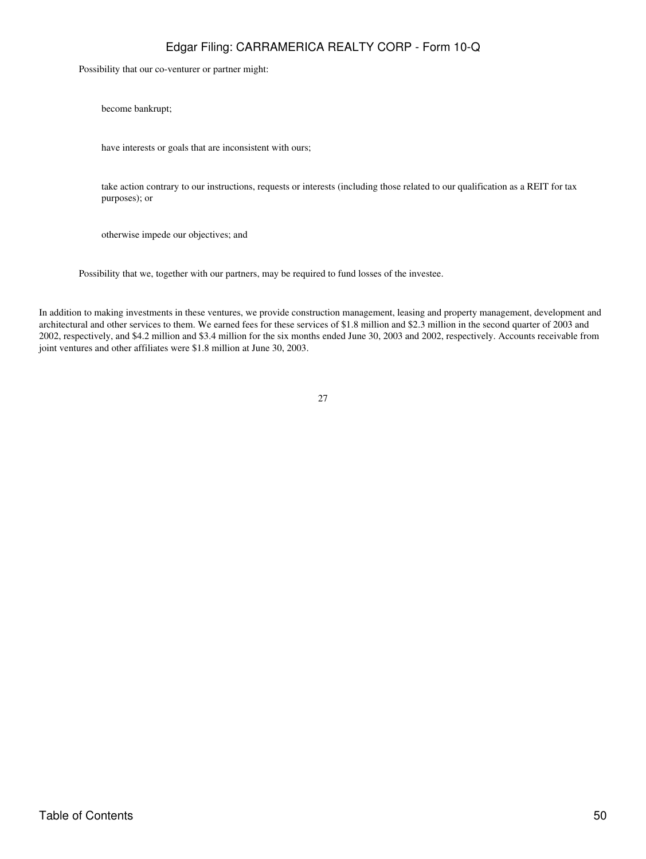Possibility that our co-venturer or partner might:

become bankrupt;

have interests or goals that are inconsistent with ours;

take action contrary to our instructions, requests or interests (including those related to our qualification as a REIT for tax purposes); or

otherwise impede our objectives; and

Possibility that we, together with our partners, may be required to fund losses of the investee.

In addition to making investments in these ventures, we provide construction management, leasing and property management, development and architectural and other services to them. We earned fees for these services of \$1.8 million and \$2.3 million in the second quarter of 2003 and 2002, respectively, and \$4.2 million and \$3.4 million for the six months ended June 30, 2003 and 2002, respectively. Accounts receivable from joint ventures and other affiliates were \$1.8 million at June 30, 2003.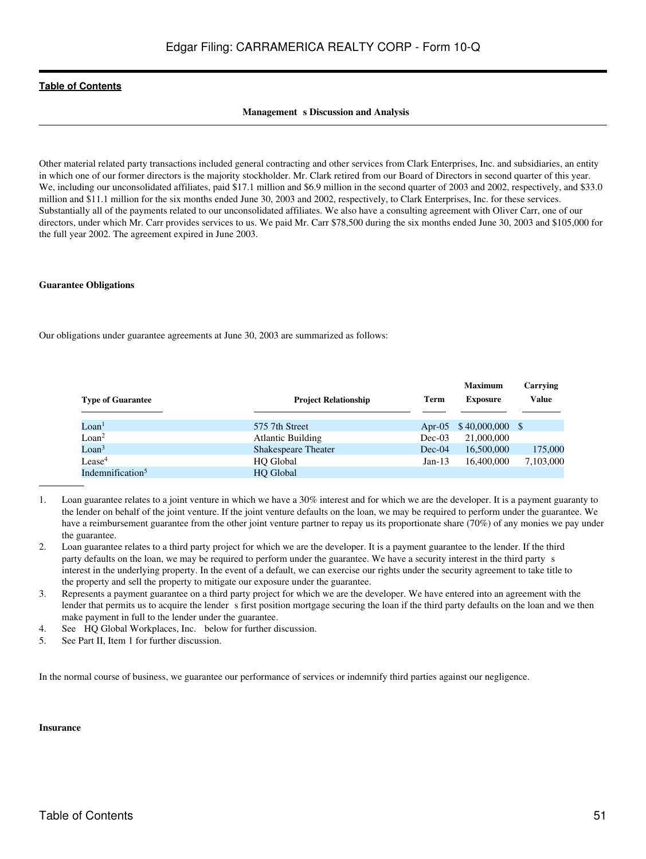#### **Management** s Discussion and Analysis

Other material related party transactions included general contracting and other services from Clark Enterprises, Inc. and subsidiaries, an entity in which one of our former directors is the majority stockholder. Mr. Clark retired from our Board of Directors in second quarter of this year. We, including our unconsolidated affiliates, paid \$17.1 million and \$6.9 million in the second quarter of 2003 and 2002, respectively, and \$33.0 million and \$11.1 million for the six months ended June 30, 2003 and 2002, respectively, to Clark Enterprises, Inc. for these services. Substantially all of the payments related to our unconsolidated affiliates. We also have a consulting agreement with Oliver Carr, one of our directors, under which Mr. Carr provides services to us. We paid Mr. Carr \$78,500 during the six months ended June 30, 2003 and \$105,000 for the full year 2002. The agreement expired in June 2003.

#### **Guarantee Obligations**

Our obligations under guarantee agreements at June 30, 2003 are summarized as follows:

| <b>Type of Guarantee</b>     | <b>Project Relationship</b> | Term      | <b>Maximum</b><br><b>Exposure</b> | Carrying<br>Value |
|------------------------------|-----------------------------|-----------|-----------------------------------|-------------------|
| Loan <sup>1</sup>            | 575 7th Street              | Apr- $05$ | $$40,000,000$ \$                  |                   |
| Loan <sup>2</sup>            | <b>Atlantic Building</b>    | $Dec-03$  | 21,000,000                        |                   |
| $\text{L}$ oan <sup>3</sup>  | <b>Shakespeare Theater</b>  | $Dec-04$  | 16,500,000                        | 175,000           |
| $\rm{Lease^4}$               | <b>HO</b> Global            | $Jan-13$  | 16,400,000                        | 7,103,000         |
| Indemnification <sup>5</sup> | <b>HO</b> Global            |           |                                   |                   |

- 1. Loan guarantee relates to a joint venture in which we have a 30% interest and for which we are the developer. It is a payment guaranty to the lender on behalf of the joint venture. If the joint venture defaults on the loan, we may be required to perform under the guarantee. We have a reimbursement guarantee from the other joint venture partner to repay us its proportionate share (70%) of any monies we pay under the guarantee.
- 2. Loan guarantee relates to a third party project for which we are the developer. It is a payment guarantee to the lender. If the third party defaults on the loan, we may be required to perform under the guarantee. We have a security interest in the third partys interest in the underlying property. In the event of a default, we can exercise our rights under the security agreement to take title to the property and sell the property to mitigate our exposure under the guarantee.
- 3. Represents a payment guarantee on a third party project for which we are the developer. We have entered into an agreement with the lender that permits us to acquire the lender s first position mortgage securing the loan if the third party defaults on the loan and we then make payment in full to the lender under the guarantee.
- 4. See HQ Global Workplaces, Inc. below for further discussion.
- 5. See Part II, Item 1 for further discussion.

In the normal course of business, we guarantee our performance of services or indemnify third parties against our negligence.

#### **Insurance**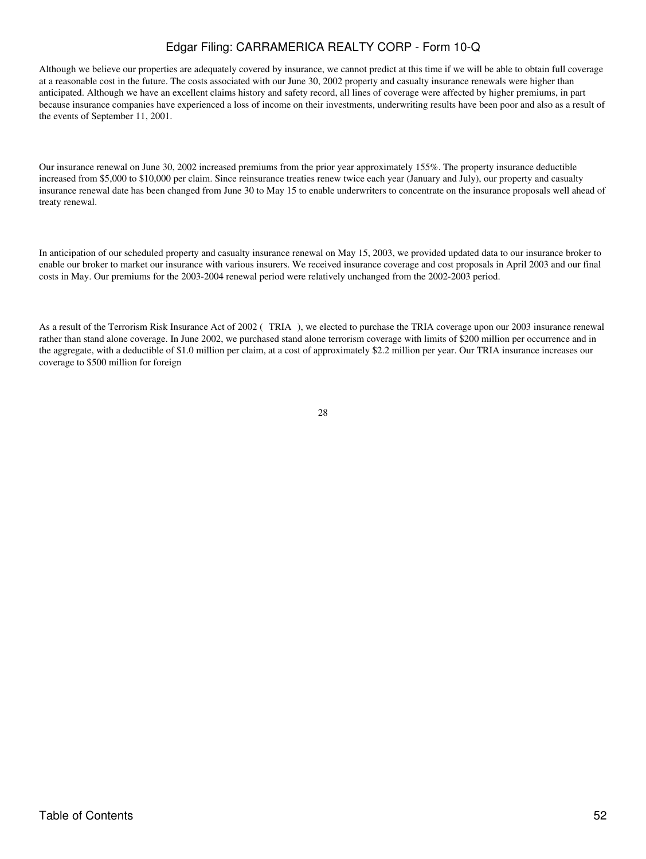Although we believe our properties are adequately covered by insurance, we cannot predict at this time if we will be able to obtain full coverage at a reasonable cost in the future. The costs associated with our June 30, 2002 property and casualty insurance renewals were higher than anticipated. Although we have an excellent claims history and safety record, all lines of coverage were affected by higher premiums, in part because insurance companies have experienced a loss of income on their investments, underwriting results have been poor and also as a result of the events of September 11, 2001.

Our insurance renewal on June 30, 2002 increased premiums from the prior year approximately 155%. The property insurance deductible increased from \$5,000 to \$10,000 per claim. Since reinsurance treaties renew twice each year (January and July), our property and casualty insurance renewal date has been changed from June 30 to May 15 to enable underwriters to concentrate on the insurance proposals well ahead of treaty renewal.

In anticipation of our scheduled property and casualty insurance renewal on May 15, 2003, we provided updated data to our insurance broker to enable our broker to market our insurance with various insurers. We received insurance coverage and cost proposals in April 2003 and our final costs in May. Our premiums for the 2003-2004 renewal period were relatively unchanged from the 2002-2003 period.

As a result of the Terrorism Risk Insurance Act of 2002 (TRIA), we elected to purchase the TRIA coverage upon our 2003 insurance renewal rather than stand alone coverage. In June 2002, we purchased stand alone terrorism coverage with limits of \$200 million per occurrence and in the aggregate, with a deductible of \$1.0 million per claim, at a cost of approximately \$2.2 million per year. Our TRIA insurance increases our coverage to \$500 million for foreign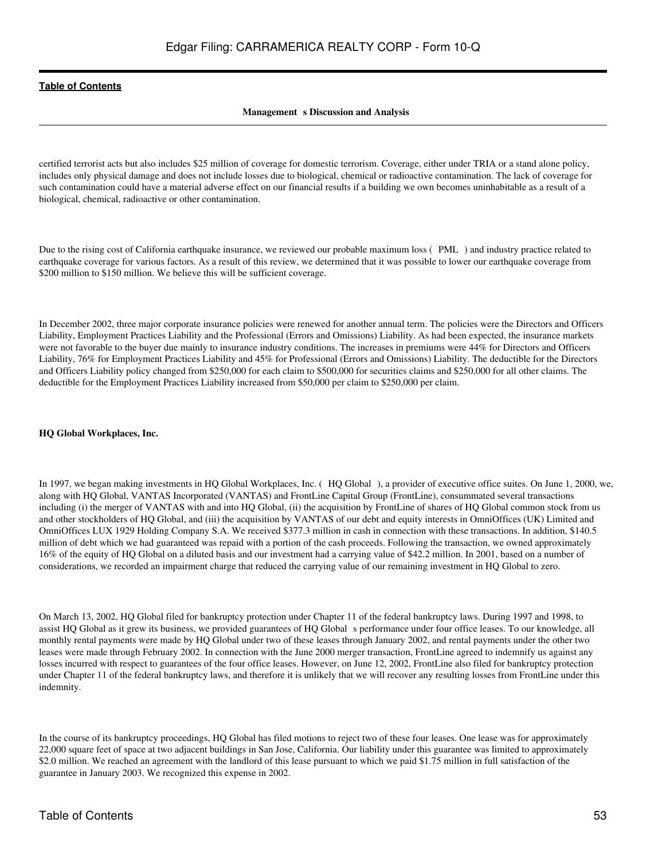#### **Management** s Discussion and Analysis

certified terrorist acts but also includes \$25 million of coverage for domestic terrorism. Coverage, either under TRIA or a stand alone policy, includes only physical damage and does not include losses due to biological, chemical or radioactive contamination. The lack of coverage for such contamination could have a material adverse effect on our financial results if a building we own becomes uninhabitable as a result of a biological, chemical, radioactive or other contamination.

Due to the rising cost of California earthquake insurance, we reviewed our probable maximum loss (PML) and industry practice related to earthquake coverage for various factors. As a result of this review, we determined that it was possible to lower our earthquake coverage from \$200 million to \$150 million. We believe this will be sufficient coverage.

In December 2002, three major corporate insurance policies were renewed for another annual term. The policies were the Directors and Officers Liability, Employment Practices Liability and the Professional (Errors and Omissions) Liability. As had been expected, the insurance markets were not favorable to the buyer due mainly to insurance industry conditions. The increases in premiums were 44% for Directors and Officers Liability, 76% for Employment Practices Liability and 45% for Professional (Errors and Omissions) Liability. The deductible for the Directors and Officers Liability policy changed from \$250,000 for each claim to \$500,000 for securities claims and \$250,000 for all other claims. The deductible for the Employment Practices Liability increased from \$50,000 per claim to \$250,000 per claim.

#### **HQ Global Workplaces, Inc.**

In 1997, we began making investments in HQ Global Workplaces, Inc. (HQ Global), a provider of executive office suites. On June 1, 2000, we, along with HQ Global, VANTAS Incorporated (VANTAS) and FrontLine Capital Group (FrontLine), consummated several transactions including (i) the merger of VANTAS with and into HQ Global, (ii) the acquisition by FrontLine of shares of HQ Global common stock from us and other stockholders of HQ Global, and (iii) the acquisition by VANTAS of our debt and equity interests in OmniOffices (UK) Limited and OmniOffices LUX 1929 Holding Company S.A. We received \$377.3 million in cash in connection with these transactions. In addition, \$140.5 million of debt which we had guaranteed was repaid with a portion of the cash proceeds. Following the transaction, we owned approximately 16% of the equity of HQ Global on a diluted basis and our investment had a carrying value of \$42.2 million. In 2001, based on a number of considerations, we recorded an impairment charge that reduced the carrying value of our remaining investment in HQ Global to zero.

On March 13, 2002, HQ Global filed for bankruptcy protection under Chapter 11 of the federal bankruptcy laws. During 1997 and 1998, to assist HQ Global as it grew its business, we provided guarantees of HQ Global s performance under four office leases. To our knowledge, all monthly rental payments were made by HQ Global under two of these leases through January 2002, and rental payments under the other two leases were made through February 2002. In connection with the June 2000 merger transaction, FrontLine agreed to indemnify us against any losses incurred with respect to guarantees of the four office leases. However, on June 12, 2002, FrontLine also filed for bankruptcy protection under Chapter 11 of the federal bankruptcy laws, and therefore it is unlikely that we will recover any resulting losses from FrontLine under this indemnity.

In the course of its bankruptcy proceedings, HQ Global has filed motions to reject two of these four leases. One lease was for approximately 22,000 square feet of space at two adjacent buildings in San Jose, California. Our liability under this guarantee was limited to approximately \$2.0 million. We reached an agreement with the landlord of this lease pursuant to which we paid \$1.75 million in full satisfaction of the guarantee in January 2003. We recognized this expense in 2002.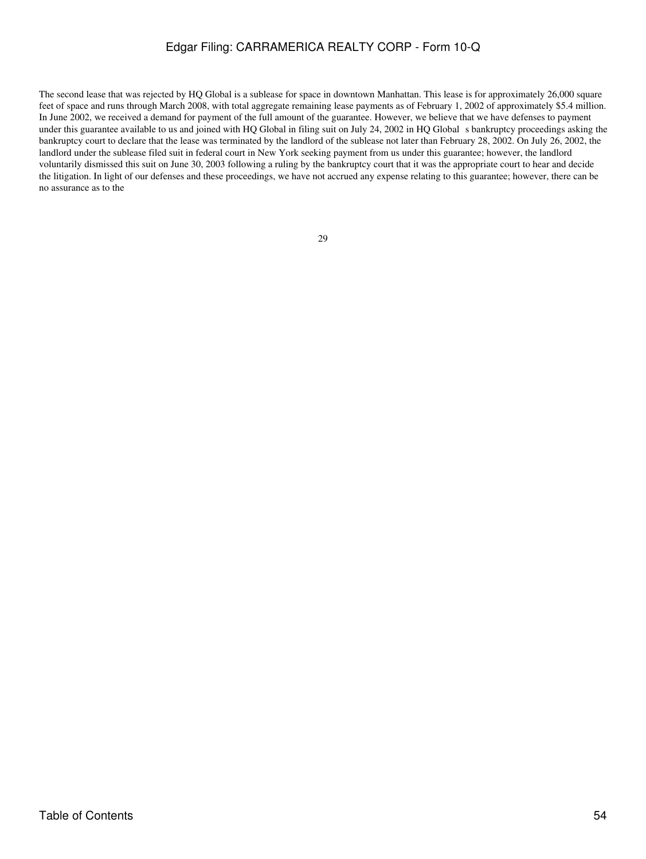The second lease that was rejected by HQ Global is a sublease for space in downtown Manhattan. This lease is for approximately 26,000 square feet of space and runs through March 2008, with total aggregate remaining lease payments as of February 1, 2002 of approximately \$5.4 million. In June 2002, we received a demand for payment of the full amount of the guarantee. However, we believe that we have defenses to payment under this guarantee available to us and joined with HQ Global in filing suit on July 24, 2002 in HQ Global s bankruptcy proceedings asking the bankruptcy court to declare that the lease was terminated by the landlord of the sublease not later than February 28, 2002. On July 26, 2002, the landlord under the sublease filed suit in federal court in New York seeking payment from us under this guarantee; however, the landlord voluntarily dismissed this suit on June 30, 2003 following a ruling by the bankruptcy court that it was the appropriate court to hear and decide the litigation. In light of our defenses and these proceedings, we have not accrued any expense relating to this guarantee; however, there can be no assurance as to the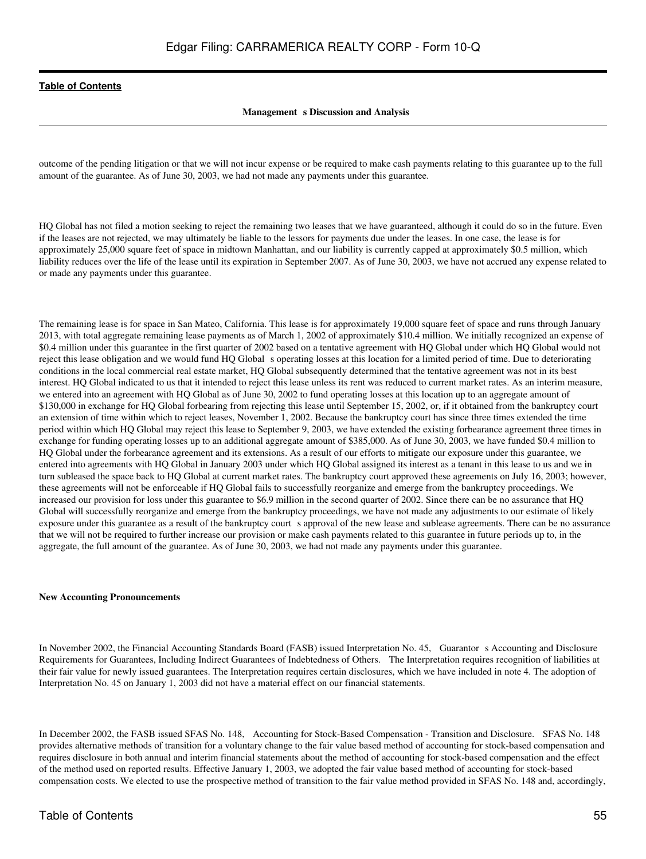#### **Management** s Discussion and Analysis

outcome of the pending litigation or that we will not incur expense or be required to make cash payments relating to this guarantee up to the full amount of the guarantee. As of June 30, 2003, we had not made any payments under this guarantee.

HQ Global has not filed a motion seeking to reject the remaining two leases that we have guaranteed, although it could do so in the future. Even if the leases are not rejected, we may ultimately be liable to the lessors for payments due under the leases. In one case, the lease is for approximately 25,000 square feet of space in midtown Manhattan, and our liability is currently capped at approximately \$0.5 million, which liability reduces over the life of the lease until its expiration in September 2007. As of June 30, 2003, we have not accrued any expense related to or made any payments under this guarantee.

The remaining lease is for space in San Mateo, California. This lease is for approximately 19,000 square feet of space and runs through January 2013, with total aggregate remaining lease payments as of March 1, 2002 of approximately \$10.4 million. We initially recognized an expense of \$0.4 million under this guarantee in the first quarter of 2002 based on a tentative agreement with HQ Global under which HQ Global would not reject this lease obligation and we would fund HQ Global s operating losses at this location for a limited period of time. Due to deteriorating conditions in the local commercial real estate market, HQ Global subsequently determined that the tentative agreement was not in its best interest. HQ Global indicated to us that it intended to reject this lease unless its rent was reduced to current market rates. As an interim measure, we entered into an agreement with HQ Global as of June 30, 2002 to fund operating losses at this location up to an aggregate amount of \$130,000 in exchange for HQ Global forbearing from rejecting this lease until September 15, 2002, or, if it obtained from the bankruptcy court an extension of time within which to reject leases, November 1, 2002. Because the bankruptcy court has since three times extended the time period within which HQ Global may reject this lease to September 9, 2003, we have extended the existing forbearance agreement three times in exchange for funding operating losses up to an additional aggregate amount of \$385,000. As of June 30, 2003, we have funded \$0.4 million to HQ Global under the forbearance agreement and its extensions. As a result of our efforts to mitigate our exposure under this guarantee, we entered into agreements with HQ Global in January 2003 under which HQ Global assigned its interest as a tenant in this lease to us and we in turn subleased the space back to HQ Global at current market rates. The bankruptcy court approved these agreements on July 16, 2003; however, these agreements will not be enforceable if HQ Global fails to successfully reorganize and emerge from the bankruptcy proceedings. We increased our provision for loss under this guarantee to \$6.9 million in the second quarter of 2002. Since there can be no assurance that HQ Global will successfully reorganize and emerge from the bankruptcy proceedings, we have not made any adjustments to our estimate of likely exposure under this guarantee as a result of the bankruptcy court s approval of the new lease and sublease agreements. There can be no assurance that we will not be required to further increase our provision or make cash payments related to this guarantee in future periods up to, in the aggregate, the full amount of the guarantee. As of June 30, 2003, we had not made any payments under this guarantee.

#### **New Accounting Pronouncements**

In November 2002, the Financial Accounting Standards Board (FASB) issued Interpretation No. 45, Guarantors Accounting and Disclosure Requirements for Guarantees, Including Indirect Guarantees of Indebtedness of Others. The Interpretation requires recognition of liabilities at their fair value for newly issued guarantees. The Interpretation requires certain disclosures, which we have included in note 4. The adoption of Interpretation No. 45 on January 1, 2003 did not have a material effect on our financial statements.

In December 2002, the FASB issued SFAS No. 148, Accounting for Stock-Based Compensation - Transition and Disclosure. SFAS No. 148 provides alternative methods of transition for a voluntary change to the fair value based method of accounting for stock-based compensation and requires disclosure in both annual and interim financial statements about the method of accounting for stock-based compensation and the effect of the method used on reported results. Effective January 1, 2003, we adopted the fair value based method of accounting for stock-based compensation costs. We elected to use the prospective method of transition to the fair value method provided in SFAS No. 148 and, accordingly,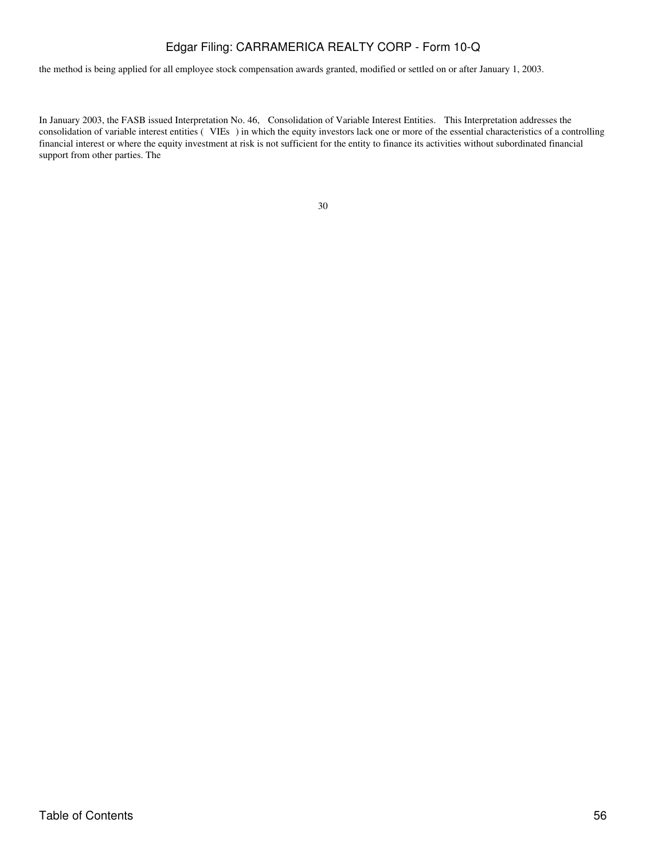the method is being applied for all employee stock compensation awards granted, modified or settled on or after January 1, 2003.

In January 2003, the FASB issued Interpretation No. 46, Consolidation of Variable Interest Entities. This Interpretation addresses the consolidation of variable interest entities (VIEs) in which the equity investors lack one or more of the essential characteristics of a controlling financial interest or where the equity investment at risk is not sufficient for the entity to finance its activities without subordinated financial support from other parties. The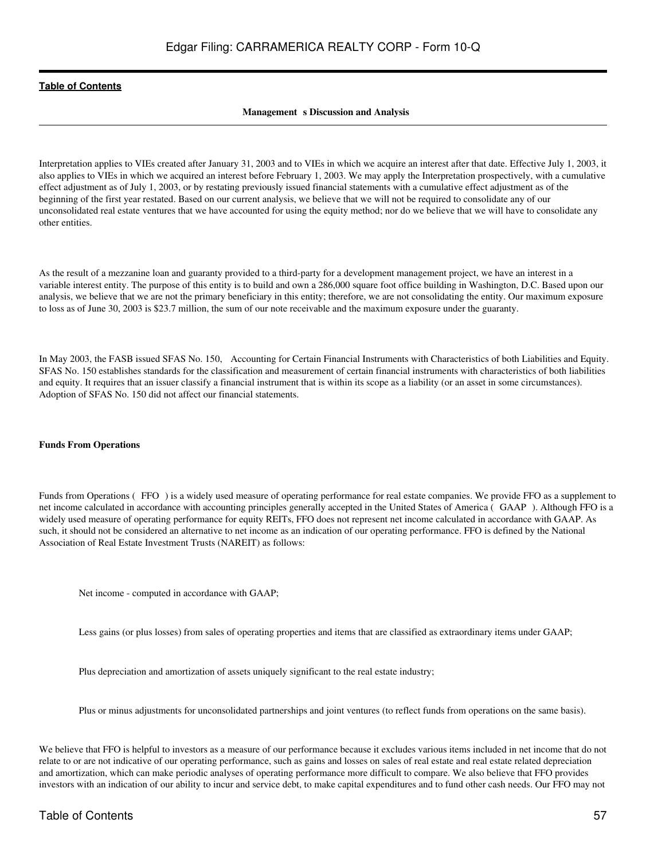#### **Management** s Discussion and Analysis

Interpretation applies to VIEs created after January 31, 2003 and to VIEs in which we acquire an interest after that date. Effective July 1, 2003, it also applies to VIEs in which we acquired an interest before February 1, 2003. We may apply the Interpretation prospectively, with a cumulative effect adjustment as of July 1, 2003, or by restating previously issued financial statements with a cumulative effect adjustment as of the beginning of the first year restated. Based on our current analysis, we believe that we will not be required to consolidate any of our unconsolidated real estate ventures that we have accounted for using the equity method; nor do we believe that we will have to consolidate any other entities.

As the result of a mezzanine loan and guaranty provided to a third-party for a development management project, we have an interest in a variable interest entity. The purpose of this entity is to build and own a 286,000 square foot office building in Washington, D.C. Based upon our analysis, we believe that we are not the primary beneficiary in this entity; therefore, we are not consolidating the entity. Our maximum exposure to loss as of June 30, 2003 is \$23.7 million, the sum of our note receivable and the maximum exposure under the guaranty.

In May 2003, the FASB issued SFAS No. 150, Accounting for Certain Financial Instruments with Characteristics of both Liabilities and Equity. SFAS No. 150 establishes standards for the classification and measurement of certain financial instruments with characteristics of both liabilities and equity. It requires that an issuer classify a financial instrument that is within its scope as a liability (or an asset in some circumstances). Adoption of SFAS No. 150 did not affect our financial statements.

#### **Funds From Operations**

Funds from Operations (FFO) is a widely used measure of operating performance for real estate companies. We provide FFO as a supplement to net income calculated in accordance with accounting principles generally accepted in the United States of America (GAAP). Although FFO is a widely used measure of operating performance for equity REITs, FFO does not represent net income calculated in accordance with GAAP. As such, it should not be considered an alternative to net income as an indication of our operating performance. FFO is defined by the National Association of Real Estate Investment Trusts (NAREIT) as follows:

Net income - computed in accordance with GAAP;

Less gains (or plus losses) from sales of operating properties and items that are classified as extraordinary items under GAAP;

Plus depreciation and amortization of assets uniquely significant to the real estate industry;

Plus or minus adjustments for unconsolidated partnerships and joint ventures (to reflect funds from operations on the same basis).

We believe that FFO is helpful to investors as a measure of our performance because it excludes various items included in net income that do not relate to or are not indicative of our operating performance, such as gains and losses on sales of real estate and real estate related depreciation and amortization, which can make periodic analyses of operating performance more difficult to compare. We also believe that FFO provides investors with an indication of our ability to incur and service debt, to make capital expenditures and to fund other cash needs. Our FFO may not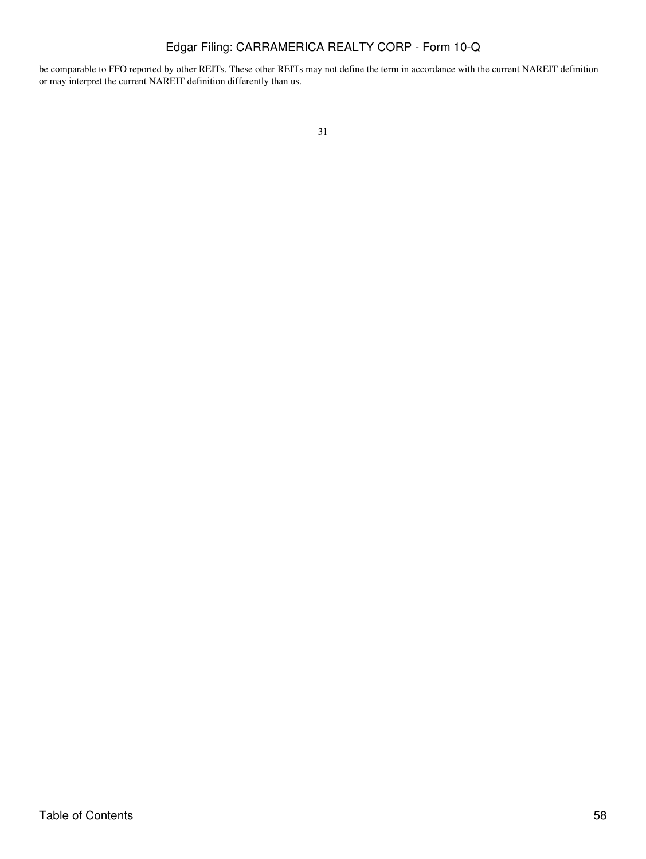be comparable to FFO reported by other REITs. These other REITs may not define the term in accordance with the current NAREIT definition or may interpret the current NAREIT definition differently than us.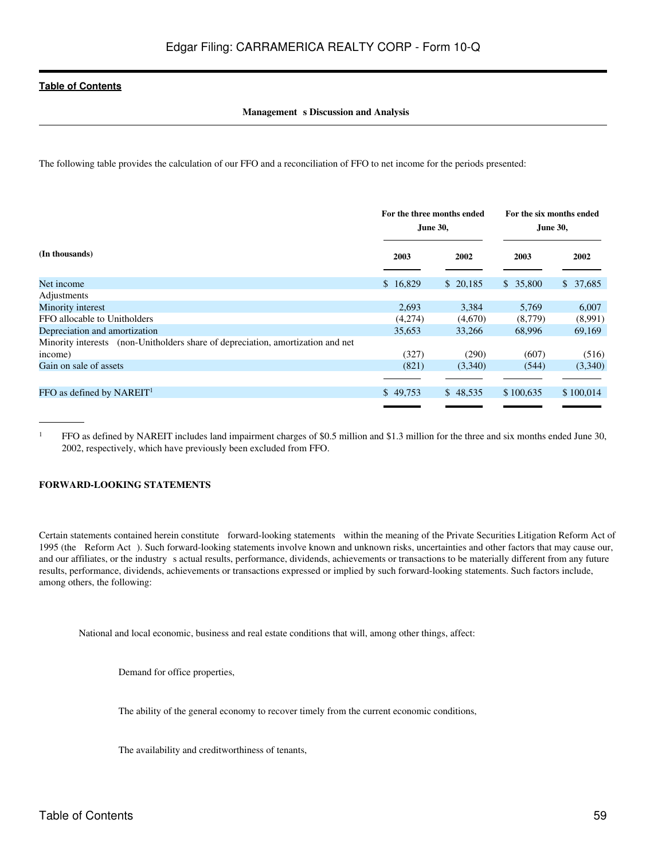#### **Management** s Discussion and Analysis

The following table provides the calculation of our FFO and a reconciliation of FFO to net income for the periods presented:

|                                                                                 | For the three months ended<br>June 30, |          | For the six months ended<br>June 30, |           |
|---------------------------------------------------------------------------------|----------------------------------------|----------|--------------------------------------|-----------|
| (In thousands)                                                                  | 2003                                   | 2002     | 2003                                 | 2002      |
| Net income                                                                      | \$16,829                               | \$20,185 | \$35,800                             | \$37,685  |
| Adjustments                                                                     |                                        |          |                                      |           |
| Minority interest                                                               | 2,693                                  | 3,384    | 5,769                                | 6,007     |
| FFO allocable to Unitholders                                                    | (4,274)                                | (4,670)  | (8,779)                              | (8,991)   |
| Depreciation and amortization                                                   | 35,653                                 | 33,266   | 68,996                               | 69,169    |
| Minority interests (non-Unitholders share of depreciation, amortization and net |                                        |          |                                      |           |
| income)                                                                         | (327)                                  | (290)    | (607)                                | (516)     |
| Gain on sale of assets                                                          | (821)                                  | (3,340)  | (544)                                | (3,340)   |
|                                                                                 |                                        |          |                                      |           |
| FFO as defined by NAREIT <sup>1</sup>                                           | \$49,753                               | \$48,535 | \$100,635                            | \$100,014 |
|                                                                                 |                                        |          |                                      |           |

<sup>1</sup> FFO as defined by NAREIT includes land impairment charges of \$0.5 million and \$1.3 million for the three and six months ended June 30, 2002, respectively, which have previously been excluded from FFO.

#### **FORWARD-LOOKING STATEMENTS**

Certain statements contained herein constitute forward-looking statements within the meaning of the Private Securities Litigation Reform Act of 1995 (the Reform Act). Such forward-looking statements involve known and unknown risks, uncertainties and other factors that may cause our, and our affiliates, or the industry s actual results, performance, dividends, achievements or transactions to be materially different from any future results, performance, dividends, achievements or transactions expressed or implied by such forward-looking statements. Such factors include, among others, the following:

National and local economic, business and real estate conditions that will, among other things, affect:

Demand for office properties,

The ability of the general economy to recover timely from the current economic conditions,

The availability and creditworthiness of tenants,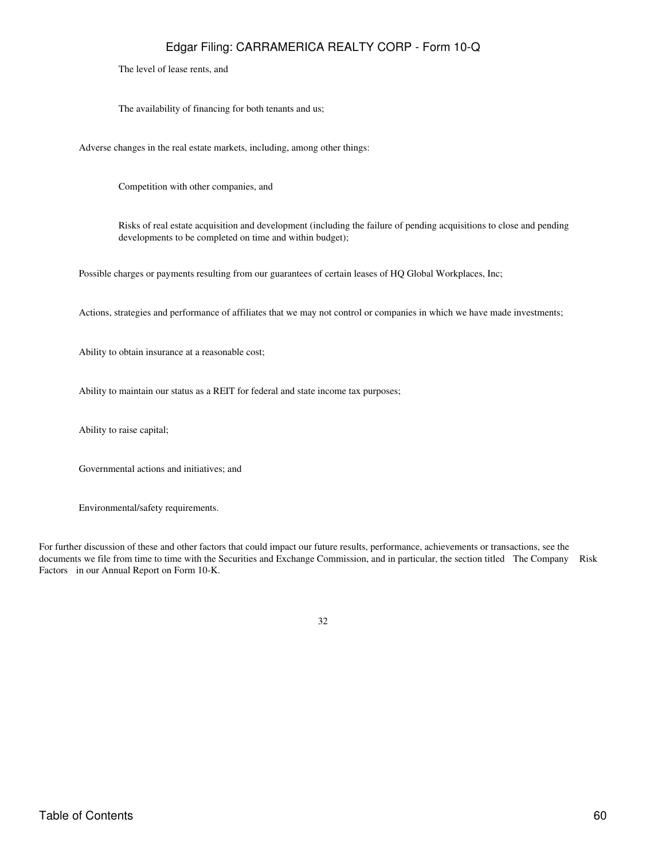The level of lease rents, and

The availability of financing for both tenants and us;

Adverse changes in the real estate markets, including, among other things:

Competition with other companies, and

Risks of real estate acquisition and development (including the failure of pending acquisitions to close and pending developments to be completed on time and within budget);

Possible charges or payments resulting from our guarantees of certain leases of HQ Global Workplaces, Inc;

Actions, strategies and performance of affiliates that we may not control or companies in which we have made investments;

Ability to obtain insurance at a reasonable cost;

Ability to maintain our status as a REIT for federal and state income tax purposes;

Ability to raise capital;

Governmental actions and initiatives; and

Environmental/safety requirements.

For further discussion of these and other factors that could impact our future results, performance, achievements or transactions, see the documents we file from time to time with the Securities and Exchange Commission, and in particular, the section titled The Company Risk Factors in our Annual Report on Form 10-K.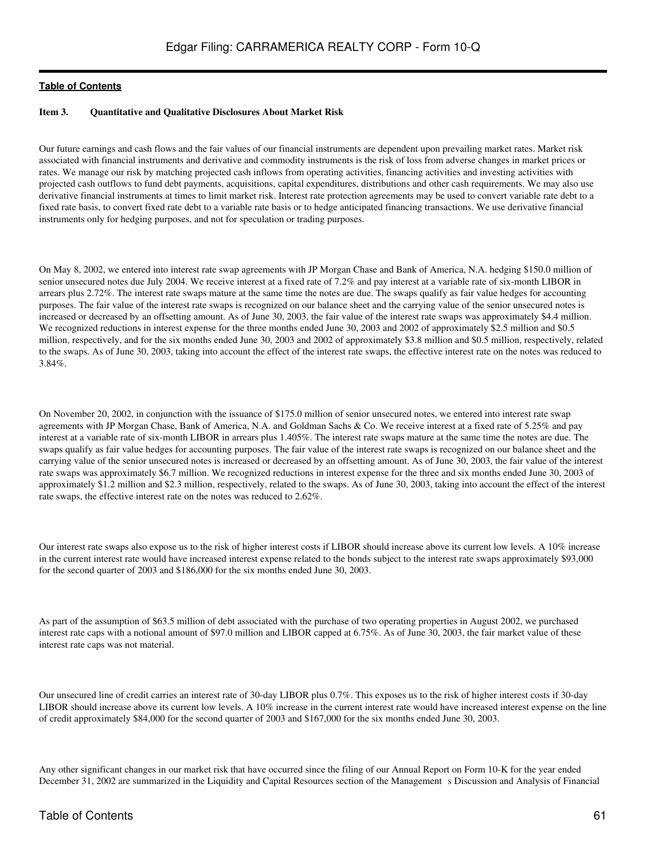#### <span id="page-60-0"></span>**Item 3. Quantitative and Qualitative Disclosures About Market Risk**

Our future earnings and cash flows and the fair values of our financial instruments are dependent upon prevailing market rates. Market risk associated with financial instruments and derivative and commodity instruments is the risk of loss from adverse changes in market prices or rates. We manage our risk by matching projected cash inflows from operating activities, financing activities and investing activities with projected cash outflows to fund debt payments, acquisitions, capital expenditures, distributions and other cash requirements. We may also use derivative financial instruments at times to limit market risk. Interest rate protection agreements may be used to convert variable rate debt to a fixed rate basis, to convert fixed rate debt to a variable rate basis or to hedge anticipated financing transactions. We use derivative financial instruments only for hedging purposes, and not for speculation or trading purposes.

On May 8, 2002, we entered into interest rate swap agreements with JP Morgan Chase and Bank of America, N.A. hedging \$150.0 million of senior unsecured notes due July 2004. We receive interest at a fixed rate of 7.2% and pay interest at a variable rate of six-month LIBOR in arrears plus 2.72%. The interest rate swaps mature at the same time the notes are due. The swaps qualify as fair value hedges for accounting purposes. The fair value of the interest rate swaps is recognized on our balance sheet and the carrying value of the senior unsecured notes is increased or decreased by an offsetting amount. As of June 30, 2003, the fair value of the interest rate swaps was approximately \$4.4 million. We recognized reductions in interest expense for the three months ended June 30, 2003 and 2002 of approximately \$2.5 million and \$0.5 million, respectively, and for the six months ended June 30, 2003 and 2002 of approximately \$3.8 million and \$0.5 million, respectively, related to the swaps. As of June 30, 2003, taking into account the effect of the interest rate swaps, the effective interest rate on the notes was reduced to 3.84%.

On November 20, 2002, in conjunction with the issuance of \$175.0 million of senior unsecured notes, we entered into interest rate swap agreements with JP Morgan Chase, Bank of America, N.A. and Goldman Sachs & Co. We receive interest at a fixed rate of 5.25% and pay interest at a variable rate of six-month LIBOR in arrears plus 1.405%. The interest rate swaps mature at the same time the notes are due. The swaps qualify as fair value hedges for accounting purposes. The fair value of the interest rate swaps is recognized on our balance sheet and the carrying value of the senior unsecured notes is increased or decreased by an offsetting amount. As of June 30, 2003, the fair value of the interest rate swaps was approximately \$6.7 million. We recognized reductions in interest expense for the three and six months ended June 30, 2003 of approximately \$1.2 million and \$2.3 million, respectively, related to the swaps. As of June 30, 2003, taking into account the effect of the interest rate swaps, the effective interest rate on the notes was reduced to 2.62%.

Our interest rate swaps also expose us to the risk of higher interest costs if LIBOR should increase above its current low levels. A 10% increase in the current interest rate would have increased interest expense related to the bonds subject to the interest rate swaps approximately \$93,000 for the second quarter of 2003 and \$186,000 for the six months ended June 30, 2003.

As part of the assumption of \$63.5 million of debt associated with the purchase of two operating properties in August 2002, we purchased interest rate caps with a notional amount of \$97.0 million and LIBOR capped at 6.75%. As of June 30, 2003, the fair market value of these interest rate caps was not material.

Our unsecured line of credit carries an interest rate of 30-day LIBOR plus 0.7%. This exposes us to the risk of higher interest costs if 30-day LIBOR should increase above its current low levels. A 10% increase in the current interest rate would have increased interest expense on the line of credit approximately \$84,000 for the second quarter of 2003 and \$167,000 for the six months ended June 30, 2003.

Any other significant changes in our market risk that have occurred since the filing of our Annual Report on Form 10-K for the year ended December 31, 2002 are summarized in the Liquidity and Capital Resources section of the Management s Discussion and Analysis of Financial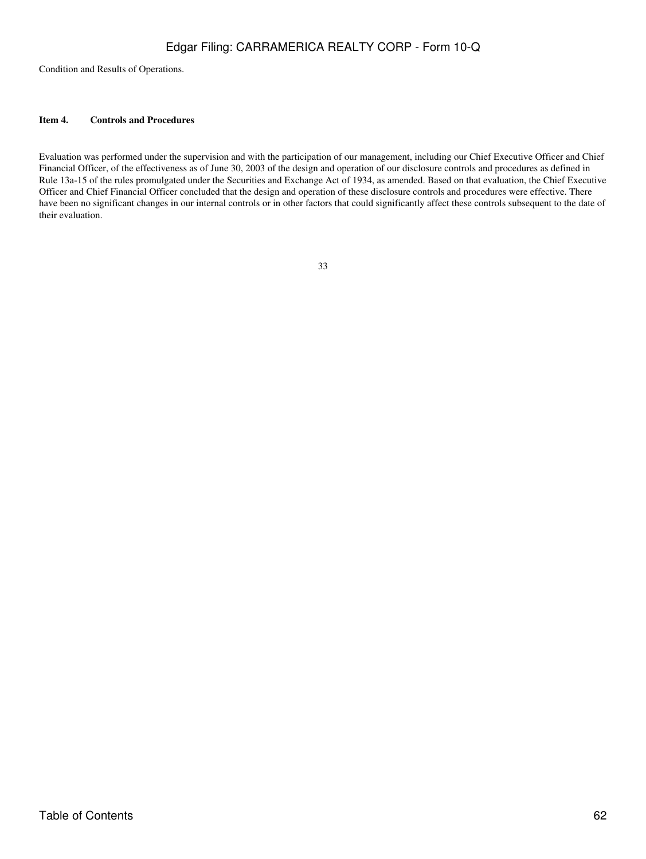Condition and Results of Operations.

#### <span id="page-61-0"></span>**Item 4. Controls and Procedures**

Evaluation was performed under the supervision and with the participation of our management, including our Chief Executive Officer and Chief Financial Officer, of the effectiveness as of June 30, 2003 of the design and operation of our disclosure controls and procedures as defined in Rule 13a-15 of the rules promulgated under the Securities and Exchange Act of 1934, as amended. Based on that evaluation, the Chief Executive Officer and Chief Financial Officer concluded that the design and operation of these disclosure controls and procedures were effective. There have been no significant changes in our internal controls or in other factors that could significantly affect these controls subsequent to the date of their evaluation.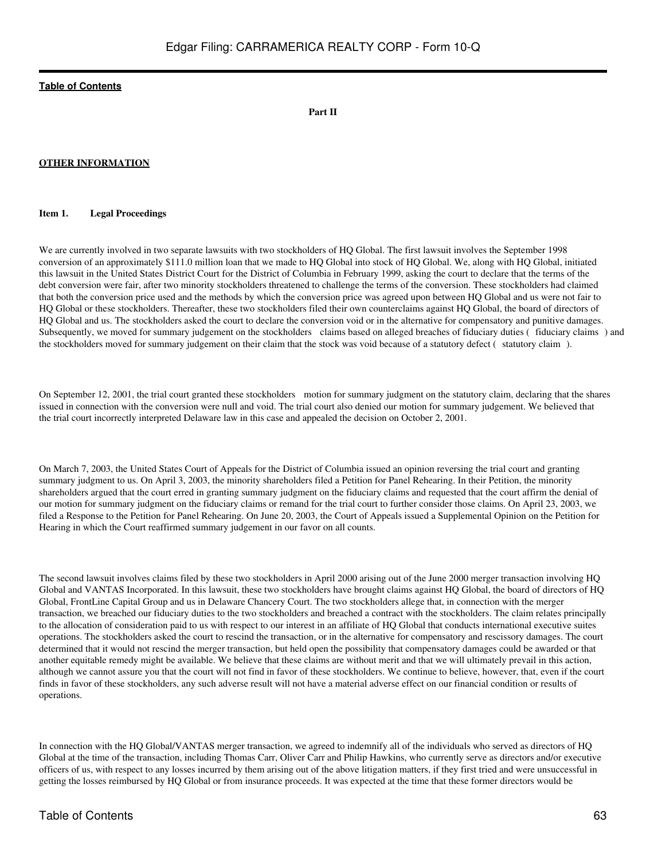#### **Part II**

#### **OTHER INFORMATION**

#### <span id="page-62-0"></span>**Item 1. Legal Proceedings**

We are currently involved in two separate lawsuits with two stockholders of HQ Global. The first lawsuit involves the September 1998 conversion of an approximately \$111.0 million loan that we made to HQ Global into stock of HQ Global. We, along with HQ Global, initiated this lawsuit in the United States District Court for the District of Columbia in February 1999, asking the court to declare that the terms of the debt conversion were fair, after two minority stockholders threatened to challenge the terms of the conversion. These stockholders had claimed that both the conversion price used and the methods by which the conversion price was agreed upon between HQ Global and us were not fair to HQ Global or these stockholders. Thereafter, these two stockholders filed their own counterclaims against HQ Global, the board of directors of HQ Global and us. The stockholders asked the court to declare the conversion void or in the alternative for compensatory and punitive damages. Subsequently, we moved for summary judgement on the stockholders claims based on alleged breaches of fiduciary duties (fiduciary claims) and the stockholders moved for summary judgement on their claim that the stock was void because of a statutory defect (statutory claim).

On September 12, 2001, the trial court granted these stockholders motion for summary judgment on the statutory claim, declaring that the shares issued in connection with the conversion were null and void. The trial court also denied our motion for summary judgement. We believed that the trial court incorrectly interpreted Delaware law in this case and appealed the decision on October 2, 2001.

On March 7, 2003, the United States Court of Appeals for the District of Columbia issued an opinion reversing the trial court and granting summary judgment to us. On April 3, 2003, the minority shareholders filed a Petition for Panel Rehearing. In their Petition, the minority shareholders argued that the court erred in granting summary judgment on the fiduciary claims and requested that the court affirm the denial of our motion for summary judgment on the fiduciary claims or remand for the trial court to further consider those claims. On April 23, 2003, we filed a Response to the Petition for Panel Rehearing. On June 20, 2003, the Court of Appeals issued a Supplemental Opinion on the Petition for Hearing in which the Court reaffirmed summary judgement in our favor on all counts.

The second lawsuit involves claims filed by these two stockholders in April 2000 arising out of the June 2000 merger transaction involving HQ Global and VANTAS Incorporated. In this lawsuit, these two stockholders have brought claims against HQ Global, the board of directors of HQ Global, FrontLine Capital Group and us in Delaware Chancery Court. The two stockholders allege that, in connection with the merger transaction, we breached our fiduciary duties to the two stockholders and breached a contract with the stockholders. The claim relates principally to the allocation of consideration paid to us with respect to our interest in an affiliate of HQ Global that conducts international executive suites operations. The stockholders asked the court to rescind the transaction, or in the alternative for compensatory and rescissory damages. The court determined that it would not rescind the merger transaction, but held open the possibility that compensatory damages could be awarded or that another equitable remedy might be available. We believe that these claims are without merit and that we will ultimately prevail in this action, although we cannot assure you that the court will not find in favor of these stockholders. We continue to believe, however, that, even if the court finds in favor of these stockholders, any such adverse result will not have a material adverse effect on our financial condition or results of operations.

In connection with the HQ Global/VANTAS merger transaction, we agreed to indemnify all of the individuals who served as directors of HQ Global at the time of the transaction, including Thomas Carr, Oliver Carr and Philip Hawkins, who currently serve as directors and/or executive officers of us, with respect to any losses incurred by them arising out of the above litigation matters, if they first tried and were unsuccessful in getting the losses reimbursed by HQ Global or from insurance proceeds. It was expected at the time that these former directors would be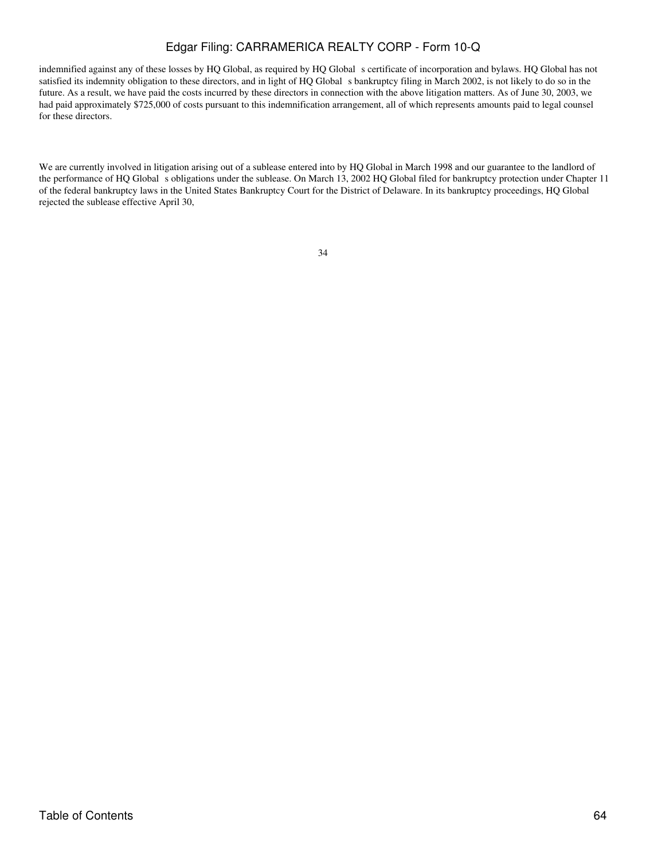indemnified against any of these losses by HQ Global, as required by HQ Global s certificate of incorporation and bylaws. HQ Global has not satisfied its indemnity obligation to these directors, and in light of HQ Global s bankruptcy filing in March 2002, is not likely to do so in the future. As a result, we have paid the costs incurred by these directors in connection with the above litigation matters. As of June 30, 2003, we had paid approximately \$725,000 of costs pursuant to this indemnification arrangement, all of which represents amounts paid to legal counsel for these directors.

We are currently involved in litigation arising out of a sublease entered into by HQ Global in March 1998 and our guarantee to the landlord of the performance of HQ Global s obligations under the sublease. On March 13, 2002 HQ Global filed for bankruptcy protection under Chapter 11 of the federal bankruptcy laws in the United States Bankruptcy Court for the District of Delaware. In its bankruptcy proceedings, HQ Global rejected the sublease effective April 30,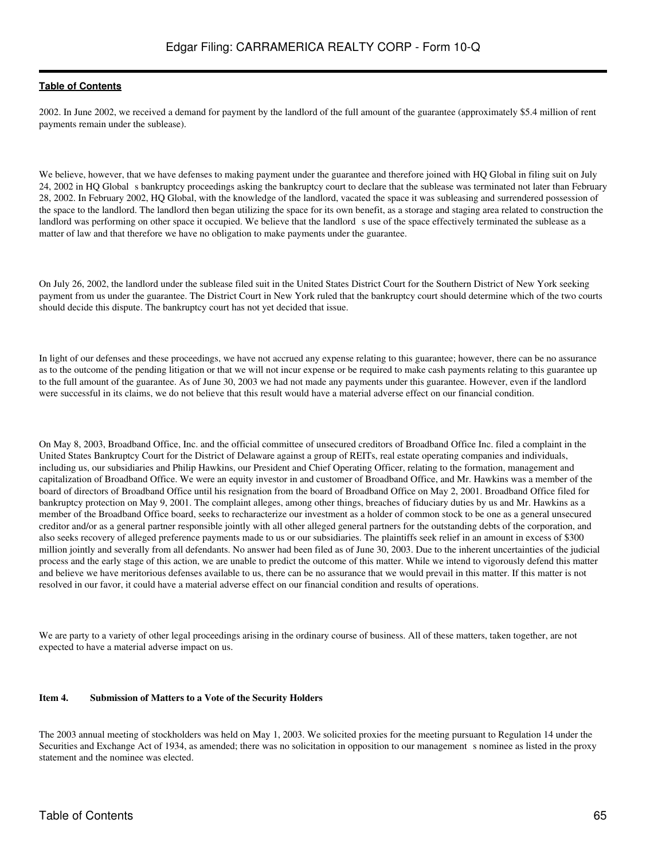2002. In June 2002, we received a demand for payment by the landlord of the full amount of the guarantee (approximately \$5.4 million of rent payments remain under the sublease).

We believe, however, that we have defenses to making payment under the guarantee and therefore joined with HQ Global in filing suit on July 24, 2002 in HQ Global s bankruptcy proceedings asking the bankruptcy court to declare that the sublease was terminated not later than February 28, 2002. In February 2002, HQ Global, with the knowledge of the landlord, vacated the space it was subleasing and surrendered possession of the space to the landlord. The landlord then began utilizing the space for its own benefit, as a storage and staging area related to construction the landlord was performing on other space it occupied. We believe that the landlord s use of the space effectively terminated the sublease as a matter of law and that therefore we have no obligation to make payments under the guarantee.

On July 26, 2002, the landlord under the sublease filed suit in the United States District Court for the Southern District of New York seeking payment from us under the guarantee. The District Court in New York ruled that the bankruptcy court should determine which of the two courts should decide this dispute. The bankruptcy court has not yet decided that issue.

In light of our defenses and these proceedings, we have not accrued any expense relating to this guarantee; however, there can be no assurance as to the outcome of the pending litigation or that we will not incur expense or be required to make cash payments relating to this guarantee up to the full amount of the guarantee. As of June 30, 2003 we had not made any payments under this guarantee. However, even if the landlord were successful in its claims, we do not believe that this result would have a material adverse effect on our financial condition.

On May 8, 2003, Broadband Office, Inc. and the official committee of unsecured creditors of Broadband Office Inc. filed a complaint in the United States Bankruptcy Court for the District of Delaware against a group of REITs, real estate operating companies and individuals, including us, our subsidiaries and Philip Hawkins, our President and Chief Operating Officer, relating to the formation, management and capitalization of Broadband Office. We were an equity investor in and customer of Broadband Office, and Mr. Hawkins was a member of the board of directors of Broadband Office until his resignation from the board of Broadband Office on May 2, 2001. Broadband Office filed for bankruptcy protection on May 9, 2001. The complaint alleges, among other things, breaches of fiduciary duties by us and Mr. Hawkins as a member of the Broadband Office board, seeks to recharacterize our investment as a holder of common stock to be one as a general unsecured creditor and/or as a general partner responsible jointly with all other alleged general partners for the outstanding debts of the corporation, and also seeks recovery of alleged preference payments made to us or our subsidiaries. The plaintiffs seek relief in an amount in excess of \$300 million jointly and severally from all defendants. No answer had been filed as of June 30, 2003. Due to the inherent uncertainties of the judicial process and the early stage of this action, we are unable to predict the outcome of this matter. While we intend to vigorously defend this matter and believe we have meritorious defenses available to us, there can be no assurance that we would prevail in this matter. If this matter is not resolved in our favor, it could have a material adverse effect on our financial condition and results of operations.

We are party to a variety of other legal proceedings arising in the ordinary course of business. All of these matters, taken together, are not expected to have a material adverse impact on us.

#### <span id="page-64-0"></span>**Item 4. Submission of Matters to a Vote of the Security Holders**

The 2003 annual meeting of stockholders was held on May 1, 2003. We solicited proxies for the meeting pursuant to Regulation 14 under the Securities and Exchange Act of 1934, as amended; there was no solicitation in opposition to our management s nominee as listed in the proxy statement and the nominee was elected.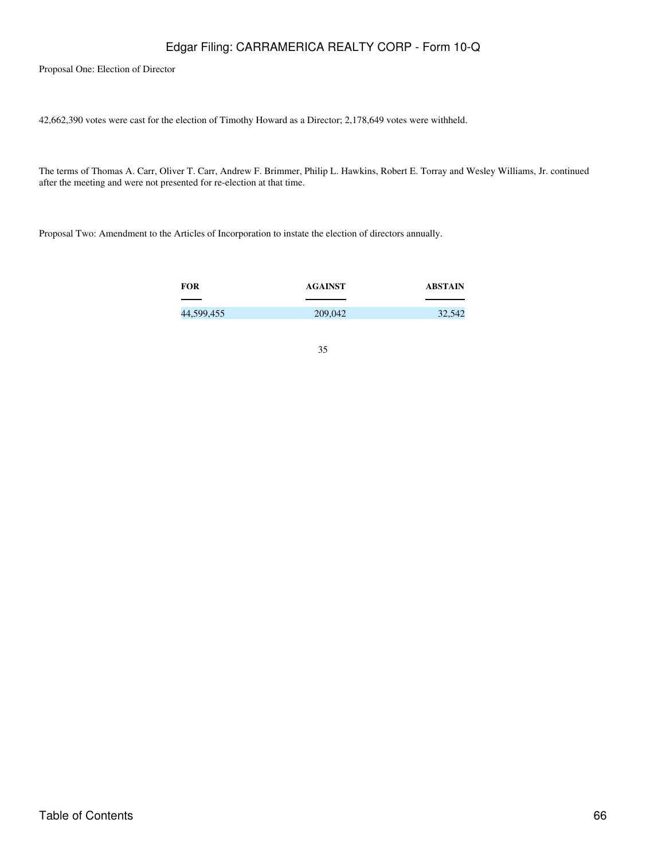Proposal One: Election of Director

42,662,390 votes were cast for the election of Timothy Howard as a Director; 2,178,649 votes were withheld.

The terms of Thomas A. Carr, Oliver T. Carr, Andrew F. Brimmer, Philip L. Hawkins, Robert E. Torray and Wesley Williams, Jr. continued after the meeting and were not presented for re-election at that time.

Proposal Two: Amendment to the Articles of Incorporation to instate the election of directors annually.

| <b>FOR</b> | <b>AGAINST</b> | ABSTAIN |
|------------|----------------|---------|
|            |                |         |
| 44,599,455 | 209,042        | 32,542  |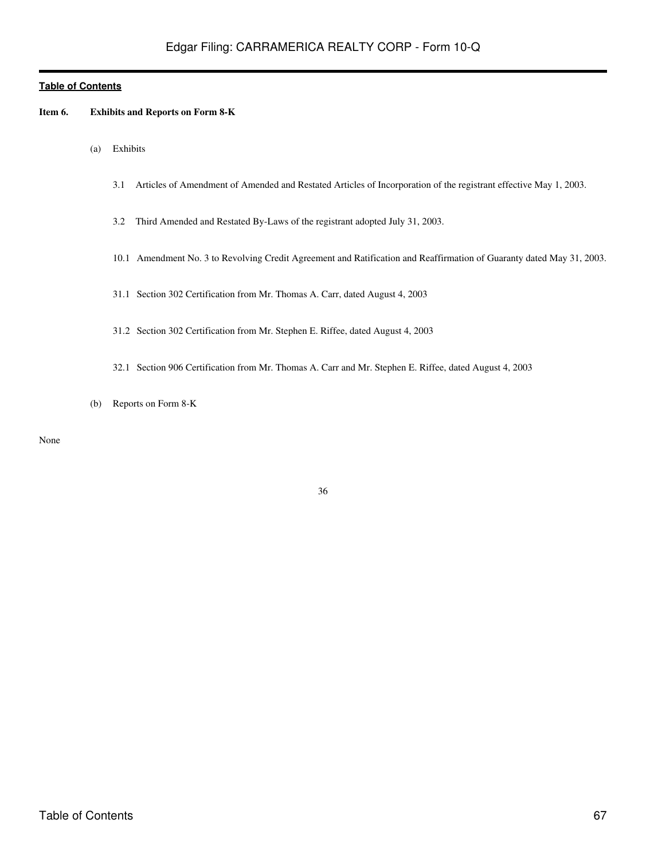#### <span id="page-66-0"></span>**Item 6. Exhibits and Reports on Form 8-K**

- (a) Exhibits
	- 3.1 Articles of Amendment of Amended and Restated Articles of Incorporation of the registrant effective May 1, 2003.
	- 3.2 Third Amended and Restated By-Laws of the registrant adopted July 31, 2003.
	- 10.1 Amendment No. 3 to Revolving Credit Agreement and Ratification and Reaffirmation of Guaranty dated May 31, 2003.
	- 31.1 Section 302 Certification from Mr. Thomas A. Carr, dated August 4, 2003
	- 31.2 Section 302 Certification from Mr. Stephen E. Riffee, dated August 4, 2003
	- 32.1 Section 906 Certification from Mr. Thomas A. Carr and Mr. Stephen E. Riffee, dated August 4, 2003
- (b) Reports on Form 8-K

None